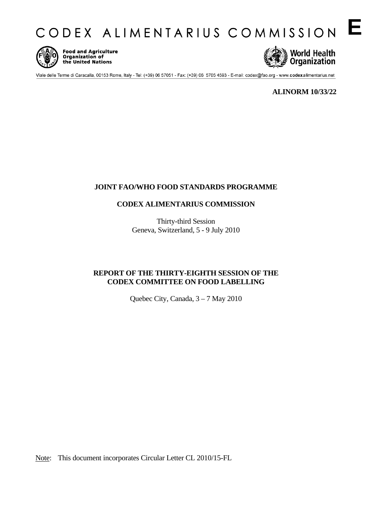CODEX ALIMENTARIUS COMMISSION E



Food and Agriculture<br>Organization of<br>the United Nations



Viale delle Terme di Caracalla, 00153 Rome, Italy - Tel: (+39) 06 57051 - Fax: (+39) 06 5705 4593 - E-mail: codex@fao.org - www.codexalimentarius.net

**ALINORM 10/33/22** 

### **JOINT FAO/WHO FOOD STANDARDS PROGRAMME**

### **CODEX ALIMENTARIUS COMMISSION**

Thirty-third Session Geneva, Switzerland, 5 - 9 July 2010

### **REPORT OF THE THIRTY-EIGHTH SESSION OF THE CODEX COMMITTEE ON FOOD LABELLING**

Quebec City, Canada, 3 – 7 May 2010

Note: This document incorporates Circular Letter CL 2010/15-FL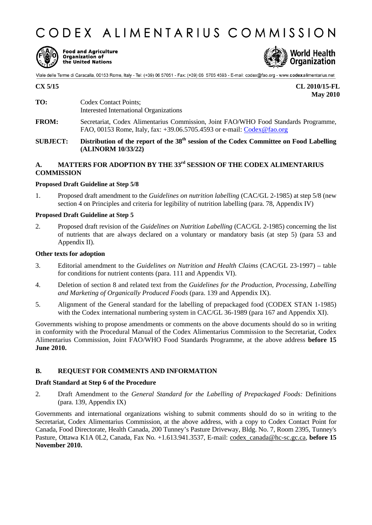# CODEX ALIMENTARIUS COMMISSION



Food and Agriculture<br>Organization of<br>the United Nations



Viale delle Terme di Caracalla, 00153 Rome, Italy - Tel: (+39) 06 57051 - Fax: (+39) 06 5705 4593 - E-mail: codex@fao.org - www.codexalimentarius.net

**CX 5/15 CL 2010/15-FL May 2010** 

- **TO:** Codex Contact Points; Interested International Organizations
- **FROM:** Secretariat, Codex Alimentarius Commission, Joint FAO/WHO Food Standards Programme, FAO, 00153 Rome, Italy, fax: +39.06.5705.4593 or e-mail: [Codex@fao.org](mailto:Codex@fao.org)
- **SUBJECT:** Distribution of the report of the 38<sup>th</sup> session of the Codex Committee on Food Labelling **(ALINORM 10/33/22)**

### A. MATTERS FOR ADOPTION BY THE 33<sup>rd</sup> SESSION OF THE CODEX ALIMENTARIUS **COMMISSION**

### **Proposed Draft Guideline at Step 5/8**

1. Proposed draft amendment to the *Guidelines on nutrition labelling* (CAC/GL 2-1985) at step 5/8 (new section 4 on Principles and criteria for legibility of nutrition labelling (para. 78, Appendix IV)

#### **Proposed Draft Guideline at Step 5**

2. Proposed draft revision of the *Guidelines on Nutrition Labelling* (CAC/GL 2-1985) concerning the list of nutrients that are always declared on a voluntary or mandatory basis (at step 5) (para 53 and Appendix II).

### **Other texts for adoption**

- 3. Editorial amendment to the *Guidelines on Nutrition and Health Claims* (CAC/GL 23-1997) table for conditions for nutrient contents (para. 111 and Appendix VI).
- 4. Deletion of section 8 and related text from the *Guidelines for the Production, Processing, Labelling and Marketing of Organically Produced Foods* (para. 139 and Appendix IX).
- 5. Alignment of the General standard for the labelling of prepackaged food (CODEX STAN 1-1985) with the Codex international numbering system in CAC/GL 36-1989 (para 167 and Appendix XI).

Governments wishing to propose amendments or comments on the above documents should do so in writing in conformity with the Procedural Manual of the Codex Alimentarius Commission to the Secretariat, Codex Alimentarius Commission, Joint FAO/WHO Food Standards Programme, at the above address **before 15 June 2010.** 

### **B. REQUEST FOR COMMENTS AND INFORMATION**

#### **Draft Standard at Step 6 of the Procedure**

2. Draft Amendment to the *General Standard for the Labelling of Prepackaged Foods:* Definitions (para. 139, Appendix IX)

Governments and international organizations wishing to submit comments should do so in writing to the Secretariat, Codex Alimentarius Commission, at the above address, with a copy to Codex Contact Point for Canada, Food Directorate, Health Canada, 200 Tunney's Pasture Driveway, Bldg. No. 7, Room 2395, Tunney's Pasture, Ottawa K1A 0L2, Canada, Fax No. +1.613.941.3537, E-mail: [codex\\_canada@hc-sc.gc.ca](mailto:codex_canada@hc-sc.gc.ca), **before 15 November 2010.**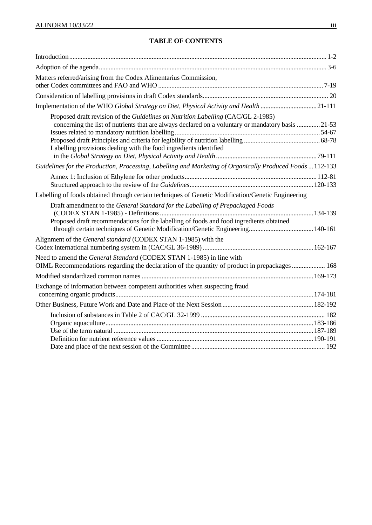| Matters referred/arising from the Codex Alimentarius Commission,                                                                                                                                                                                            |  |
|-------------------------------------------------------------------------------------------------------------------------------------------------------------------------------------------------------------------------------------------------------------|--|
|                                                                                                                                                                                                                                                             |  |
| Implementation of the WHO Global Strategy on Diet, Physical Activity and Health 21-111                                                                                                                                                                      |  |
| Proposed draft revision of the Guidelines on Nutrition Labelling (CAC/GL 2-1985)<br>concerning the list of nutrients that are always declared on a voluntary or mandatory basis  21-53<br>Labelling provisions dealing with the food ingredients identified |  |
| Guidelines for the Production, Processing, Labelling and Marketing of Organically Produced Foods  112-133                                                                                                                                                   |  |
|                                                                                                                                                                                                                                                             |  |
| Labelling of foods obtained through certain techniques of Genetic Modification/Genetic Engineering                                                                                                                                                          |  |
| Draft amendment to the General Standard for the Labelling of Prepackaged Foods<br>Proposed draft recommendations for the labelling of foods and food ingredients obtained                                                                                   |  |
| Alignment of the General standard (CODEX STAN 1-1985) with the                                                                                                                                                                                              |  |
| Need to amend the General Standard (CODEX STAN 1-1985) in line with<br>OIML Recommendations regarding the declaration of the quantity of product in prepackages  168                                                                                        |  |
| Exchange of information between competent authorities when suspecting fraud                                                                                                                                                                                 |  |
|                                                                                                                                                                                                                                                             |  |
|                                                                                                                                                                                                                                                             |  |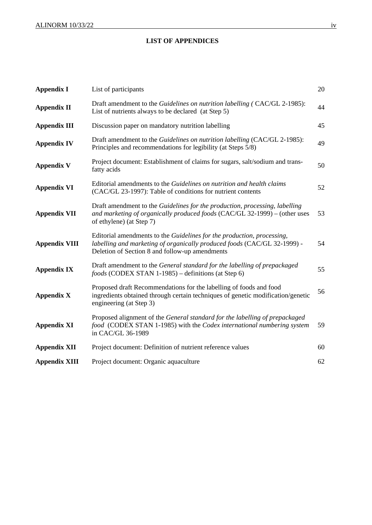### **LIST OF APPENDICES**

| <b>Appendix I</b>    | List of participants                                                                                                                                                                                 | 20 |
|----------------------|------------------------------------------------------------------------------------------------------------------------------------------------------------------------------------------------------|----|
| <b>Appendix II</b>   | Draft amendment to the Guidelines on nutrition labelling (CAC/GL 2-1985):<br>List of nutrients always to be declared (at Step 5)                                                                     | 44 |
| <b>Appendix III</b>  | Discussion paper on mandatory nutrition labelling                                                                                                                                                    | 45 |
| <b>Appendix IV</b>   | Draft amendment to the Guidelines on nutrition labelling (CAC/GL 2-1985):<br>Principles and recommendations for legibility (at Steps 5/8)                                                            |    |
| <b>Appendix V</b>    | Project document: Establishment of claims for sugars, salt/sodium and trans-<br>fatty acids                                                                                                          | 50 |
| <b>Appendix VI</b>   | Editorial amendments to the Guidelines on nutrition and health claims<br>(CAC/GL 23-1997): Table of conditions for nutrient contents                                                                 | 52 |
| <b>Appendix VII</b>  | Draft amendment to the Guidelines for the production, processing, labelling<br>and marketing of organically produced foods (CAC/GL 32-1999) – (other uses<br>of ethylene) (at Step 7)                | 53 |
| <b>Appendix VIII</b> | Editorial amendments to the Guidelines for the production, processing,<br>labelling and marketing of organically produced foods (CAC/GL 32-1999) -<br>Deletion of Section 8 and follow-up amendments | 54 |
| <b>Appendix IX</b>   | Draft amendment to the General standard for the labelling of prepackaged<br>foods (CODEX STAN 1-1985) – definitions (at Step 6)                                                                      | 55 |
| <b>Appendix X</b>    | Proposed draft Recommendations for the labelling of foods and food<br>ingredients obtained through certain techniques of genetic modification/genetic<br>engineering (at Step 3)                     | 56 |
| <b>Appendix XI</b>   | Proposed alignment of the General standard for the labelling of prepackaged<br>food (CODEX STAN 1-1985) with the Codex international numbering system<br>in CAC/GL 36-1989                           | 59 |
| <b>Appendix XII</b>  | Project document: Definition of nutrient reference values                                                                                                                                            | 60 |
| <b>Appendix XIII</b> | Project document: Organic aquaculture                                                                                                                                                                | 62 |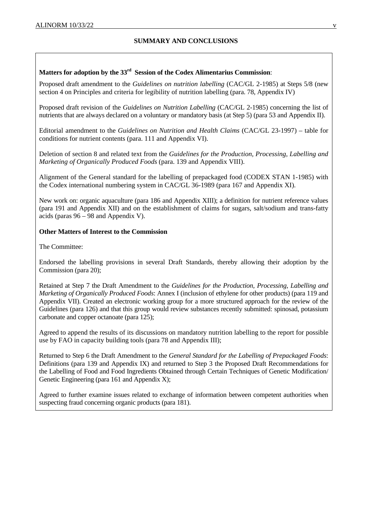### **SUMMARY AND CONCLUSIONS**

### **Matters for adoption by the 33rd Session of the Codex Alimentarius Commission**:

Proposed draft amendment to the *Guidelines on nutrition labelling* (CAC/GL 2-1985) at Steps 5/8 (new section 4 on Principles and criteria for legibility of nutrition labelling (para. 78, Appendix IV)

Proposed draft revision of the *Guidelines on Nutrition Labelling* (CAC/GL 2-1985) concerning the list of nutrients that are always declared on a voluntary or mandatory basis (at Step 5) (para 53 and Appendix II).

Editorial amendment to the *Guidelines on Nutrition and Health Claims* (CAC/GL 23-1997) – table for conditions for nutrient contents (para. 111 and Appendix VI).

Deletion of section 8 and related text from the *Guidelines for the Production, Processing, Labelling and Marketing of Organically Produced Foods* (para. 139 and Appendix VIII).

Alignment of the General standard for the labelling of prepackaged food (CODEX STAN 1-1985) with the Codex international numbering system in CAC/GL 36-1989 (para 167 and Appendix XI).

New work on: organic aquaculture (para 186 and Appendix XIII); a definition for nutrient reference values (para 191 and Appendix XII) and on the establishment of claims for sugars, salt/sodium and trans-fatty acids (paras  $96 - 98$  and Appendix V).

### **Other Matters of Interest to the Commission**

The Committee:

Endorsed the labelling provisions in several Draft Standards, thereby allowing their adoption by the Commission (para 20);

Retained at Step 7 the Draft Amendment to the *Guidelines for the Production, Processing, Labelling and Marketing of Organically Produced Foods*: Annex I (inclusion of ethylene for other products) (para 119 and Appendix VII). Created an electronic working group for a more structured approach for the review of the Guidelines (para 126) and that this group would review substances recently submitted: spinosad, potassium carbonate and copper octanoate (para 125);

Agreed to append the results of its discussions on mandatory nutrition labelling to the report for possible use by FAO in capacity building tools (para 78 and Appendix III);

Returned to Step 6 the Draft Amendment to the *General Standard for the Labelling of Prepackaged Foods*: Definitions (para 139 and Appendix IX) and returned to Step 3 the Proposed Draft Recommendations for the Labelling of Food and Food Ingredients Obtained through Certain Techniques of Genetic Modification/ Genetic Engineering (para 161 and Appendix X);

Agreed to further examine issues related to exchange of information between competent authorities when suspecting fraud concerning organic products (para 181).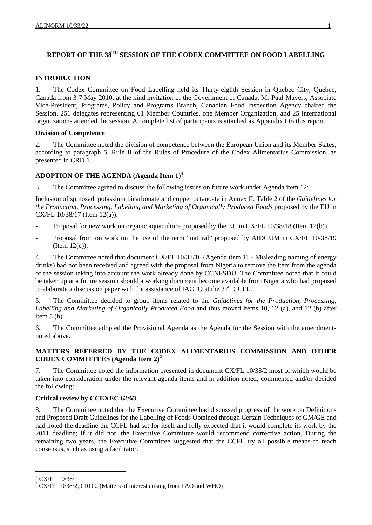## **REPORT OF THE 38TH SESSION OF THE CODEX COMMITTEE ON FOOD LABELLING**

### **INTRODUCTION**

1. The Codex Committee on Food Labelling held its Thirty-eighth Session in Quebec City, Quebec, Canada from 3-7 May 2010, at the kind invitation of the Government of Canada. Mr Paul Mayers, Associate Vice-President, Programs, Policy and Programs Branch, Canadian Food Inspection Agency chaired the Session. 251 delegates representing 61 Member Countries, one Member Organization, and 25 international organizations attended the session. A complete list of participants is attached as Appendix I to this report.

### **Division of Competence**

2. The Committee noted the division of competence between the European Union and its Member States, according to paragraph 5, Rule II of the Rules of Procedure of the Codex Alimentarius Commission, as presented in CRD 1.

### **ADOPTION OF THE AGENDA (Agenda Item 1)[1](#page-5-0)**

3. The Committee agreed to discuss the following issues on future work under Agenda item 12:

Inclusion of spinosad, potassium bicarbonate and copper octanoate in Annex II, Table 2 of the *Guidelines for the Production, Processing, Labelling and Marketing of Organically Produced Foods* proposed by the EU in CX/FL 10/38/17 (Item 12(a)).

- Proposal for new work on organic aquaculture proposed by the EU in CX/FL 10/38/18 (Item 12(b)).
- Proposal from on work on the use of the term "natural" proposed by AIDGUM in CX/FL 10/38/19 (Item 12(c)).

4. The Committee noted that document CX/FL 10/38/16 (Agenda item 11 - Misleading naming of energy drinks) had not been received and agreed with the proposal from Nigeria to remove the item from the agenda of the session taking into account the work already done by CCNFSDU. The Committee noted that it could be taken up at a future session should a working document become available from Nigeria who had proposed to elaborate a discussion paper with the assistance of IACFO at the  $37<sup>th</sup>$  CCFL.

5. The Committee decided to group items related to the *Guidelines for the Production, Processing, Labelling and Marketing of Organically Produced Food* and thus moved items 10, 12 (a), and 12 (b) after item 5 (b).

6. The Committee adopted the Provisional Agenda as the Agenda for the Session with the amendments noted above.

### **MATTERS REFERRED BY THE CODEX ALIMENTARIUS COMMISSION AND OTHER CODEX COMMITTEES (Agenda Item 2)[2](#page-5-1)**

7. The Committee noted the information presented in document CX/FL 10/38/2 most of which would be taken into consideration under the relevant agenda items and in addition noted, commented and/or decided the following:

### **Critical review by CCEXEC 62/63**

8. The Committee noted that the Executive Committee had discussed progress of the work on Definitions and Proposed Draft Guidelines for the Labelling of Foods Obtained through Certain Techniques of GM/GE and had noted the deadline the CCFL had set for itself and fully expected that it would complete its work by the 2011 deadline; if it did not, the Executive Committee would recommend corrective action. During the remaining two years, the Executive Committee suggested that the CCFL try all possible means to reach consensus, such as using a facilitator.

l

<span id="page-5-0"></span><sup>1</sup> CX/FL 10/38/1

<span id="page-5-1"></span> $2$  CX/FL 10/38/2, CRD 2 (Matters of interest arising from FAO and WHO)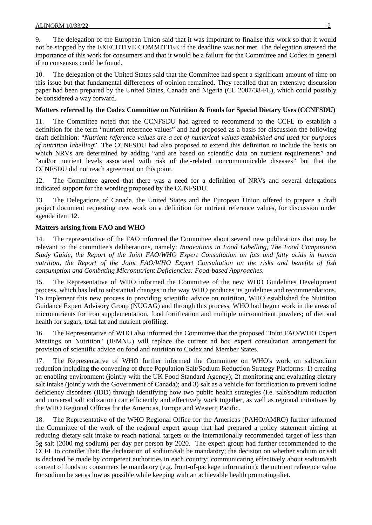9. The delegation of the European Union said that it was important to finalise this work so that it would not be stopped by the EXECUTIVE COMMITTEE if the deadline was not met. The delegation stressed the importance of this work for consumers and that it would be a failure for the Committee and Codex in general if no consensus could be found.

10. The delegation of the United States said that the Committee had spent a significant amount of time on this issue but that fundamental differences of opinion remained. They recalled that an extensive discussion paper had been prepared by the United States, Canada and Nigeria (CL 2007/38-FL), which could possibly be considered a way forward.

### **Matters referred by the Codex Committee on Nutrition & Foods for Special Dietary Uses (CCNFSDU)**

11. The Committee noted that the CCNFSDU had agreed to recommend to the CCFL to establish a definition for the term "nutrient reference values" and had proposed as a basis for discussion the following draft definition: "*Nutrient reference values are a set of numerical values established and used for purposes of nutrition labelling*". The CCNFSDU had also proposed to extend this definition to include the basis on which NRVs are determined by adding "and are based on scientific data on nutrient requirements" and "and/or nutrient levels associated with risk of diet-related noncommunicable diseases" but that the CCNFSDU did not reach agreement on this point.

12. The Committee agreed that there was a need for a definition of NRVs and several delegations indicated support for the wording proposed by the CCNFSDU.

13. The Delegations of Canada, the United States and the European Union offered to prepare a draft project document requesting new work on a definition for nutrient reference values, for discussion under agenda item 12.

### **Matters arising from FAO and WHO**

14. The representative of the FAO informed the Committee about several new publications that may be relevant to the committee's deliberations, namely: *Innovations in Food Labelling, The Food Composition Study Guide, the Report of the Joint FAO/WHO Expert Consultation on fats and fatty acids in human nutrition, the Report of the Joint FAO/WHO Expert Consultation on the risks and benefits of fish consumption and Combating Micronutrient Deficiencies: Food-based Approaches.* 

15. The Representative of WHO informed the Committee of the new WHO Guidelines Development process, which has led to substantial changes in the way WHO produces its guidelines and recommendations. To implement this new process in providing scientific advice on nutrition, WHO established the Nutrition Guidance Expert Advisory Group (NUGAG) and through this process, WHO had begun work in the areas of micronutrients for iron supplementation, food fortification and multiple micronutrient powders; of diet and health for sugars, total fat and nutrient profiling.

16. The Representative of WHO also informed the Committee that the proposed "Joint FAO/WHO Expert Meetings on Nutrition" (JEMNU) will replace the current ad hoc expert consultation arrangement for provision of scientific advice on food and nutrition to Codex and Member States.

17. The Representative of WHO further informed the Committee on WHO's work on salt/sodium reduction including the convening of three Population Salt/Sodium Reduction Strategy Platforms: 1) creating an enabling environment (jointly with the UK Food Standard Agency); 2) monitoring and evaluating dietary salt intake (jointly with the Government of Canada); and 3) salt as a vehicle for fortification to prevent iodine deficiency disorders (IDD) through identifying how two public health strategies (i.e. salt/sodium reduction and universal salt iodization) can efficiently and effectively work together, as well as regional initiatives by the WHO Regional Offices for the Americas, Europe and Western Pacific.

18. The Representative of the WHO Regional Office for the Americas (PAHO/AMRO) further informed the Committee of the work of the regional expert group that had prepared a policy statement aiming at reducing dietary salt intake to reach national targets or the internationally recommended target of less than 5g salt (2000 mg sodium) per day per person by 2020. The expert group had further recommended to the CCFL to consider that: the declaration of sodium/salt be mandatory; the decision on whether sodium or salt is declared be made by competent authorities in each country; communicating effectively about sodium/salt content of foods to consumers be mandatory (e.g. front-of-package information); the nutrient reference value for sodium be set as low as possible while keeping with an achievable health promoting diet.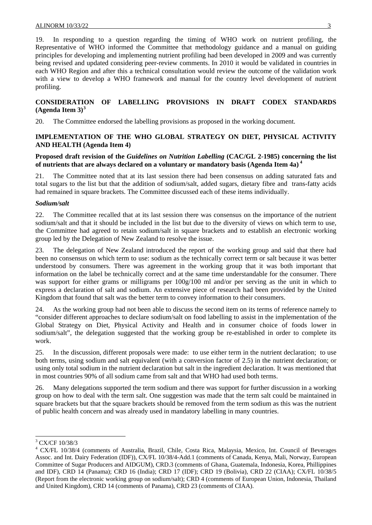19. In responding to a question regarding the timing of WHO work on nutrient profiling, the Representative of WHO informed the Committee that methodology guidance and a manual on guiding principles for developing and implementing nutrient profiling had been developed in 2009 and was currently being revised and updated considering peer-review comments. In 2010 it would be validated in countries in each WHO Region and after this a technical consultation would review the outcome of the validation work with a view to develop a WHO framework and manual for the country level development of nutrient profiling.

### **CONSIDERATION OF LABELLING PROVISIONS IN DRAFT CODEX STANDARDS (Agenda Item 3)[3](#page-7-0)**

20. The Committee endorsed the labelling provisions as proposed in the working document.

### **IMPLEMENTATION OF THE WHO GLOBAL STRATEGY ON DIET, PHYSICAL ACTIVITY AND HEALTH (Agenda Item 4)**

### **Proposed draft revision of the** *Guidelines on Nutrition Labelling* **(CAC/GL 2-1985) concerning the list of nutrients that are always declared on a voluntary or mandatory basis (Agenda Item 4a) [4](#page-7-1)**

21. The Committee noted that at its last session there had been consensus on adding saturated fats and total sugars to the list but that the addition of sodium/salt, added sugars, dietary fibre and trans-fatty acids had remained in square brackets. The Committee discussed each of these items individually.

### *Sodium/salt*

22. The Committee recalled that at its last session there was consensus on the importance of the nutrient sodium/salt and that it should be included in the list but due to the diversity of views on which term to use, the Committee had agreed to retain sodium/salt in square brackets and to establish an electronic working group led by the Delegation of New Zealand to resolve the issue.

23. The delegation of New Zealand introduced the report of the working group and said that there had been no consensus on which term to use: sodium as the technically correct term or salt because it was better understood by consumers. There was agreement in the working group that it was both important that information on the label be technically correct and at the same time understandable for the consumer. There was support for either grams or milligrams per  $100g/100$  ml and/or per serving as the unit in which to express a declaration of salt and sodium. An extensive piece of research had been provided by the United Kingdom that found that salt was the better term to convey information to their consumers.

24. As the working group had not been able to discuss the second item on its terms of reference namely to "consider different approaches to declare sodium/salt on food labelling to assist in the implementation of the Global Strategy on Diet, Physical Activity and Health and in consumer choice of foods lower in sodium/salt", the delegation suggested that the working group be re-established in order to complete its work.

25. In the discussion, different proposals were made: to use either term in the nutrient declaration; to use both terms, using sodium and salt equivalent (with a conversion factor of 2.5) in the nutrient declaration; or using only total sodium in the nutrient declaration but salt in the ingredient declaration. It was mentioned that in most countries 90% of all sodium came from salt and that WHO had used both terms.

26. Many delegations supported the term sodium and there was support for further discussion in a working group on how to deal with the term salt. One suggestion was made that the term salt could be maintained in square brackets but that the square brackets should be removed from the term sodium as this was the nutrient of public health concern and was already used in mandatory labelling in many countries.

l

<sup>3</sup> CX/CF 10/38/3

<span id="page-7-1"></span><span id="page-7-0"></span><sup>4</sup> CX/FL 10/38/4 (comments of Australia, Brazil, Chile, Costa Rica, Malaysia, Mexico, Int. Council of Beverages Assoc. and Int. Dairy Federation (IDF)), CX/FL 10/38/4-Add.1 (comments of Canada, Kenya, Mali, Norway, European Committee of Sugar Producers and AIDGUM), CRD.3 (comments of Ghana, Guatemala, Indonesia, Korea, Phillippines and IDF), CRD 14 (Panama); CRD 16 (India); CRD 17 (IDF); CRD 19 (Bolivia), CRD 22 (CIAA); CX/FL 10/38/5 (Report from the electronic working group on sodium/salt); CRD 4 (comments of European Union, Indonesia, Thailand and United Kingdom), CRD 14 (comments of Panama), CRD 23 (comments of CIAA).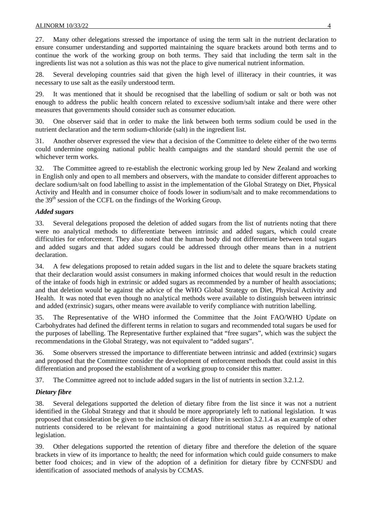27. Many other delegations stressed the importance of using the term salt in the nutrient declaration to ensure consumer understanding and supported maintaining the square brackets around both terms and to continue the work of the working group on both terms. They said that including the term salt in the ingredients list was not a solution as this was not the place to give numerical nutrient information.

28. Several developing countries said that given the high level of illiteracy in their countries, it was necessary to use salt as the easily understood term.

29. It was mentioned that it should be recognised that the labelling of sodium or salt or both was not enough to address the public health concern related to excessive sodium/salt intake and there were other measures that governments should consider such as consumer education.

30. One observer said that in order to make the link between both terms sodium could be used in the nutrient declaration and the term sodium-chloride (salt) in the ingredient list.

31. Another observer expressed the view that a decision of the Committee to delete either of the two terms could undermine ongoing national public health campaigns and the standard should permit the use of whichever term works.

32. The Committee agreed to re-establish the electronic working group led by New Zealand and working in English only and open to all members and observers, with the mandate to consider different approaches to declare sodium/salt on food labelling to assist in the implementation of the Global Strategy on Diet, Physical Activity and Health and in consumer choice of foods lower in sodium/salt and to make recommendations to the  $39<sup>th</sup>$  session of the CCFL on the findings of the Working Group.

### *Added sugars*

33. Several delegations proposed the deletion of added sugars from the list of nutrients noting that there were no analytical methods to differentiate between intrinsic and added sugars, which could create difficulties for enforcement. They also noted that the human body did not differentiate between total sugars and added sugars and that added sugars could be addressed through other means than in a nutrient declaration.

34. A few delegations proposed to retain added sugars in the list and to delete the square brackets stating that their declaration would assist consumers in making informed choices that would result in the reduction of the intake of foods high in extrinsic or added sugars as recommended by a number of health associations; and that deletion would be against the advice of the WHO Global Strategy on Diet, Physical Activity and Health. It was noted that even though no analytical methods were available to distinguish between intrinsic and added (extrinsic) sugars, other means were available to verify compliance with nutrition labelling.

35. The Representative of the WHO informed the Committee that the Joint FAO/WHO Update on Carbohydrates had defined the different terms in relation to sugars and recommended total sugars be used for the purposes of labelling. The Representative further explained that "free sugars", which was the subject the recommendations in the Global Strategy, was not equivalent to "added sugars".

36. Some observers stressed the importance to differentiate between intrinsic and added (extrinsic) sugars and proposed that the Committee consider the development of enforcement methods that could assist in this differentiation and proposed the establishment of a working group to consider this matter.

37. The Committee agreed not to include added sugars in the list of nutrients in section 3.2.1.2.

### *Dietary fibre*

38. Several delegations supported the deletion of dietary fibre from the list since it was not a nutrient identified in the Global Strategy and that it should be more appropriately left to national legislation. It was proposed that consideration be given to the inclusion of dietary fibre in section 3.2.1.4 as an example of other nutrients considered to be relevant for maintaining a good nutritional status as required by national legislation.

39. Other delegations supported the retention of dietary fibre and therefore the deletion of the square brackets in view of its importance to health; the need for information which could guide consumers to make better food choices; and in view of the adoption of a definition for dietary fibre by CCNFSDU and identification of associated methods of analysis by CCMAS.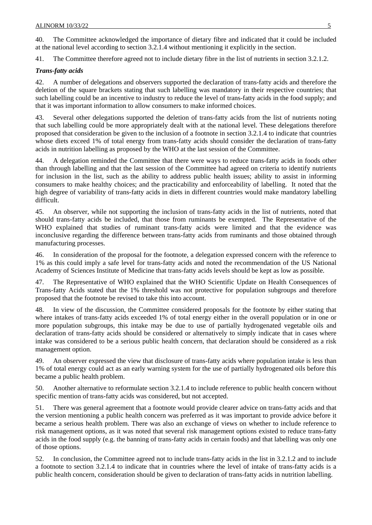40. The Committee acknowledged the importance of dietary fibre and indicated that it could be included at the national level according to section 3.2.1.4 without mentioning it explicitly in the section.

41. The Committee therefore agreed not to include dietary fibre in the list of nutrients in section 3.2.1.2.

### *Trans-fatty acids*

42. A number of delegations and observers supported the declaration of trans-fatty acids and therefore the deletion of the square brackets stating that such labelling was mandatory in their respective countries; that such labelling could be an incentive to industry to reduce the level of trans-fatty acids in the food supply; and that it was important information to allow consumers to make informed choices.

43. Several other delegations supported the deletion of trans-fatty acids from the list of nutrients noting that such labelling could be more appropriately dealt with at the national level. These delegations therefore proposed that consideration be given to the inclusion of a footnote in section 3.2.1.4 to indicate that countries whose diets exceed 1% of total energy from trans-fatty acids should consider the declaration of trans-fatty acids in nutrition labelling as proposed by the WHO at the last session of the Committee.

44. A delegation reminded the Committee that there were ways to reduce trans-fatty acids in foods other than through labelling and that the last session of the Committee had agreed on criteria to identify nutrients for inclusion in the list, such as the ability to address public health issues; ability to assist in informing consumers to make healthy choices; and the practicability and enforceability of labelling. It noted that the high degree of variability of trans-fatty acids in diets in different countries would make mandatory labelling difficult.

45. An observer, while not supporting the inclusion of trans-fatty acids in the list of nutrients, noted that should trans-fatty acids be included, that those from ruminants be exempted. The Representative of the WHO explained that studies of ruminant trans-fatty acids were limited and that the evidence was inconclusive regarding the difference between trans-fatty acids from ruminants and those obtained through manufacturing processes.

46. In consideration of the proposal for the footnote, a delegation expressed concern with the reference to 1% as this could imply a safe level for trans-fatty acids and noted the recommendation of the US National Academy of Sciences Institute of Medicine that trans-fatty acids levels should be kept as low as possible.

47. The Representative of WHO explained that the WHO Scientific Update on Health Consequences of Trans-fatty Acids stated that the 1% threshold was not protective for population subgroups and therefore proposed that the footnote be revised to take this into account.

48. In view of the discussion, the Committee considered proposals for the footnote by either stating that where intakes of trans-fatty acids exceeded 1% of total energy either in the overall population or in one or more population subgroups, this intake may be due to use of partially hydrogenated vegetable oils and declaration of trans-fatty acids should be considered or alternatively to simply indicate that in cases where intake was considered to be a serious public health concern, that declaration should be considered as a risk management option.

49. An observer expressed the view that disclosure of trans-fatty acids where population intake is less than 1% of total energy could act as an early warning system for the use of partially hydrogenated oils before this became a public health problem.

50. Another alternative to reformulate section 3.2.1.4 to include reference to public health concern without specific mention of trans-fatty acids was considered, but not accepted.

51. There was general agreement that a footnote would provide clearer advice on trans-fatty acids and that the version mentioning a public health concern was preferred as it was important to provide advice before it became a serious health problem. There was also an exchange of views on whether to include reference to risk management options, as it was noted that several risk management options existed to reduce trans-fatty acids in the food supply (e.g. the banning of trans-fatty acids in certain foods) and that labelling was only one of those options.

52. In conclusion, the Committee agreed not to include trans-fatty acids in the list in 3.2.1.2 and to include a footnote to section 3.2.1.4 to indicate that in countries where the level of intake of trans-fatty acids is a public health concern, consideration should be given to declaration of trans-fatty acids in nutrition labelling.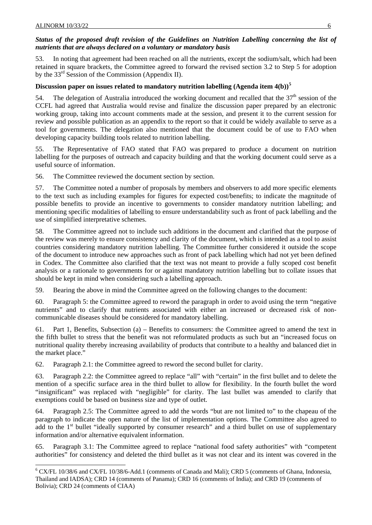### *Status of the proposed draft revision of the Guidelines on Nutrition Labelling concerning the list of nutrients that are always declared on a voluntary or mandatory basis*

53. In noting that agreement had been reached on all the nutrients, except the sodium/salt, which had been retained in square brackets, the Committee agreed to forward the revised section 3.2 to Step 5 for adoption by the 33rd Session of the Commission (Appendix II).

### **Discussion paper on issues related to mandatory nutrition labelling (Agenda item 4(b))[5](#page-10-0)**

54. The delegation of Australia introduced the working document and recalled that the  $37<sup>th</sup>$  session of the CCFL had agreed that Australia would revise and finalize the discussion paper prepared by an electronic working group, taking into account comments made at the session, and present it to the current session for review and possible publication as an appendix to the report so that it could be widely available to serve as a tool for governments. The delegation also mentioned that the document could be of use to FAO when developing capacity building tools related to nutrition labelling.

55. The Representative of FAO stated that FAO was prepared to produce a document on nutrition labelling for the purposes of outreach and capacity building and that the working document could serve as a useful source of information.

56. The Committee reviewed the document section by section.

57. The Committee noted a number of proposals by members and observers to add more specific elements to the text such as including examples for figures for expected cost/benefits; to indicate the magnitude of possible benefits to provide an incentive to governments to consider mandatory nutrition labelling; and mentioning specific modalities of labelling to ensure understandability such as front of pack labelling and the use of simplified interpretative schemes.

58. The Committee agreed not to include such additions in the document and clarified that the purpose of the review was merely to ensure consistency and clarity of the document, which is intended as a tool to assist countries considering mandatory nutrition labelling. The Committee further considered it outside the scope of the document to introduce new approaches such as front of pack labelling which had not yet been defined in Codex. The Committee also clarified that the text was not meant to provide a fully scoped cost benefit analysis or a rationale to governments for or against mandatory nutrition labelling but to collate issues that should be kept in mind when considering such a labelling approach.

59. Bearing the above in mind the Committee agreed on the following changes to the document:

60. Paragraph 5: the Committee agreed to reword the paragraph in order to avoid using the term "negative nutrients" and to clarify that nutrients associated with either an increased or decreased risk of noncommunicable diseases should be considered for mandatory labelling.

61. Part 1, Benefits, Subsection (a) – Benefits to consumers: the Committee agreed to amend the text in the fifth bullet to stress that the benefit was not reformulated products as such but an "increased focus on nutritional quality thereby increasing availability of products that contribute to a healthy and balanced diet in the market place."

62. Paragraph 2.1: the Committee agreed to reword the second bullet for clarity.

63. Paragraph 2.2: the Committee agreed to replace "all" with "certain" in the first bullet and to delete the mention of a specific surface area in the third bullet to allow for flexibility. In the fourth bullet the word "insignificant" was replaced with "negligible" for clarity. The last bullet was amended to clarify that exemptions could be based on business size and type of outlet.

64. Paragraph 2.5: The Committee agreed to add the words "but are not limited to" to the chapeau of the paragraph to indicate the open nature of the list of implementation options. The Committee also agreed to add to the 1<sup>st</sup> bullet "ideally supported by consumer research" and a third bullet on use of supplementary information and/or alternative equivalent information.

65. Paragraph 3.1: The Committee agreed to replace "national food safety authorities" with "competent authorities" for consistency and deleted the third bullet as it was not clear and its intent was covered in the

<span id="page-10-0"></span> 6 CX/FL 10/38/6 and CX/FL 10/38/6-Add.1 (comments of Canada and Mali); CRD 5 (comments of Ghana, Indonesia, Thailand and IADSA); CRD 14 (comments of Panama); CRD 16 (comments of India); and CRD 19 (comments of Bolivia); CRD 24 (comments of CIAA)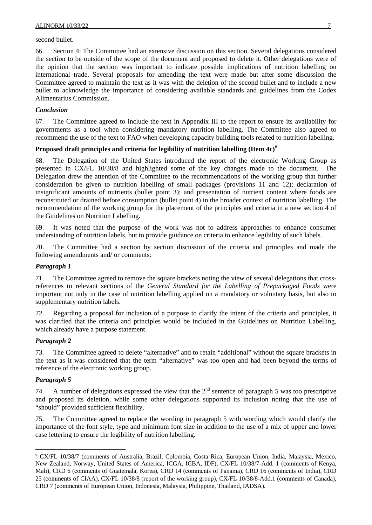second bullet.

66. Section 4: The Committee had an extensive discussion on this section. Several delegations considered the section to be outside of the scope of the document and proposed to delete it. Other delegations were of the opinion that the section was important to indicate possible implications of nutrition labelling on international trade. Several proposals for amending the text were made but after some discussion the Committee agreed to maintain the text as it was with the deletion of the second bullet and to include a new bullet to acknowledge the importance of considering available standards and guidelines from the Codex Alimentarius Commission.

### *Conclusion*

67. The Committee agreed to include the text in Appendix III to the report to ensure its availability for governments as a tool when considering mandatory nutrition labelling. The Committee also agreed to recommend the use of the text to FAO when developing capacity building tools related to nutrition labelling.

### **Proposed draft principles and criteria for legibility of nutrition labelling (Item 4c)[6](#page-11-0)**

68. The Delegation of the United States introduced the report of the electronic Working Group as presented in CX/FL 10/38/8 and highlighted some of the key changes made to the document. The Delegation drew the attention of the Committee to the recommendations of the working group that further consideration be given to nutrition labelling of small packages (provisions 11 and 12); declaration of insignificant amounts of nutrients (bullet point 3); and presentation of nutrient content where foods are reconstituted or drained before consumption (bullet point 4) in the broader context of nutrition labelling. The recommendation of the working group for the placement of the principles and criteria in a new section 4 of the Guidelines on Nutrition Labelling.

69. It was noted that the purpose of the work was not to address approaches to enhance consumer understanding of nutrition labels, but to provide guidance on criteria to enhance legibility of such labels.

The Committee had a section by section discussion of the criteria and principles and made the following amendments and/ or comments:

### *Paragraph 1*

71. The Committee agreed to remove the square brackets noting the view of several delegations that crossreferences to relevant sections of the *General Standard for the Labelling of Prepackaged Foods* were important not only in the case of nutrition labelling applied on a mandatory or voluntary basis, but also to supplementary nutrition labels.

72. Regarding a proposal for inclusion of a purpose to clarify the intent of the criteria and principles, it was clarified that the criteria and principles would be included in the Guidelines on Nutrition Labelling, which already have a purpose statement.

### *Paragraph 2*

73. The Committee agreed to delete "alternative" and to retain "additional" without the square brackets in the text as it was considered that the term "alternative" was too open and had been beyond the terms of reference of the electronic working group.

#### *Paragraph 5*

l

74. A number of delegations expressed the view that the  $2<sup>nd</sup>$  sentence of paragraph 5 was too prescriptive and proposed its deletion, while some other delegations supported its inclusion noting that the use of "should" provided sufficient flexibility.

75. The Committee agreed to replace the wording in paragraph 5 with wording which would clarify the importance of the font style, type and minimum font size in addition to the use of a mix of upper and lower case lettering to ensure the legibility of nutrition labelling.

<span id="page-11-0"></span><sup>6</sup> CX/FL 10/38/7 (comments of Australia, Brazil, Colombia, Costa Rica, European Union, India, Malaysia, Mexico, New Zealand, Norway, United States of America, ICGA, ICBA, IDF), CX/FL 10/38/7-Add. 1 (comments of Kenya, Mali), CRD 6 (comments of Guatemala, Korea), CRD 14 (comments of Panama), CRD 16 (comments of India), CRD 25 (comments of CIAA), CX/FL 10/38/8 (report of the working group), CX/FL 10/38/8-Add.1 (comments of Canada), CRD 7 (comments of European Union, Indonesia, Malaysia, Philippine, Thailand, IADSA).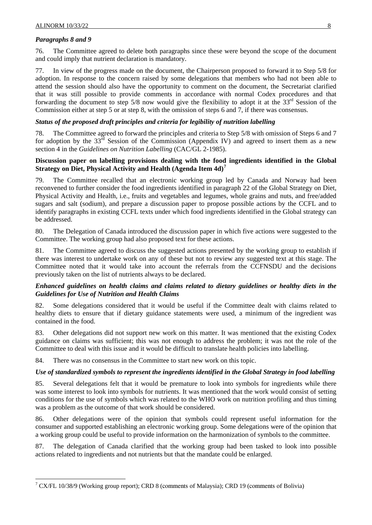### *Paragraphs 8 and 9*

l

76. The Committee agreed to delete both paragraphs since these were beyond the scope of the document and could imply that nutrient declaration is mandatory.

77. In view of the progress made on the document, the Chairperson proposed to forward it to Step 5/8 for adoption. In response to the concern raised by some delegations that members who had not been able to attend the session should also have the opportunity to comment on the document, the Secretariat clarified that it was still possible to provide comments in accordance with normal Codex procedures and that forwarding the document to step 5/8 now would give the flexibility to adopt it at the  $33<sup>rd</sup>$  Session of the Commission either at step 5 or at step 8, with the omission of steps 6 and 7, if there was consensus.

### *Status of the proposed draft principles and criteria for legibility of nutrition labelling*

78. The Committee agreed to forward the principles and criteria to Step 5/8 with omission of Steps 6 and 7 for adoption by the  $33<sup>rd</sup>$  Session of the Commission (Appendix IV) and agreed to insert them as a new section 4 in the *Guidelines on Nutrition Labelling* (CAC/GL 2-1985).

### **Discussion paper on labelling provisions dealing with the food ingredients identified in the Global Strategy on Diet, Physical Activity and Health (Agenda Item 4d)[7](#page-12-0)**

79. The Committee recalled that an electronic working group led by Canada and Norway had been reconvened to further consider the food ingredients identified in paragraph 22 of the Global Strategy on Diet, Physical Activity and Health, i.e., fruits and vegetables and legumes, whole grains and nuts, and free/added sugars and salt (sodium), and prepare a discussion paper to propose possible actions by the CCFL and to identify paragraphs in existing CCFL texts under which food ingredients identified in the Global strategy can be addressed.

80. The Delegation of Canada introduced the discussion paper in which five actions were suggested to the Committee. The working group had also proposed text for these actions.

81. The Committee agreed to discuss the suggested actions presented by the working group to establish if there was interest to undertake work on any of these but not to review any suggested text at this stage. The Committee noted that it would take into account the referrals from the CCFNSDU and the decisions previously taken on the list of nutrients always to be declared.

### *Enhanced guidelines on health claims and claims related to dietary guidelines or healthy diets in the Guidelines for Use of Nutrition and Health Claims*

82. Some delegations considered that it would be useful if the Committee dealt with claims related to healthy diets to ensure that if dietary guidance statements were used, a minimum of the ingredient was contained in the food.

83. Other delegations did not support new work on this matter. It was mentioned that the existing Codex guidance on claims was sufficient; this was not enough to address the problem; it was not the role of the Committee to deal with this issue and it would be difficult to translate health policies into labelling.

84. There was no consensus in the Committee to start new work on this topic.

### *Use of standardized symbols to represent the ingredients identified in the Global Strategy in food labelling*

85. Several delegations felt that it would be premature to look into symbols for ingredients while there was some interest to look into symbols for nutrients. It was mentioned that the work would consist of setting conditions for the use of symbols which was related to the WHO work on nutrition profiling and thus timing was a problem as the outcome of that work should be considered.

86. Other delegations were of the opinion that symbols could represent useful information for the consumer and supported establishing an electronic working group. Some delegations were of the opinion that a working group could be useful to provide information on the harmonization of symbols to the committee.

87. The delegation of Canada clarified that the working group had been tasked to look into possible actions related to ingredients and not nutrients but that the mandate could be enlarged.

<span id="page-12-0"></span> $7$  CX/FL 10/38/9 (Working group report); CRD 8 (comments of Malaysia); CRD 19 (comments of Bolivia)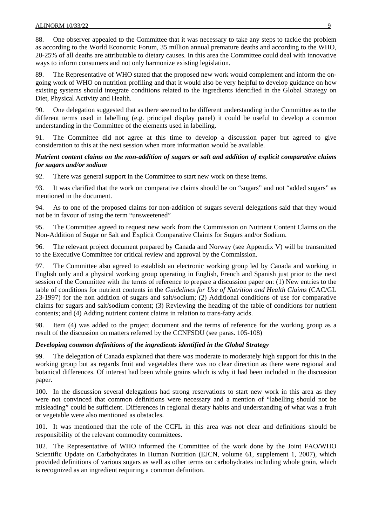88. One observer appealed to the Committee that it was necessary to take any steps to tackle the problem as according to the World Economic Forum, 35 million annual premature deaths and according to the WHO, 20-25% of all deaths are attributable to dietary causes. In this area the Committee could deal with innovative ways to inform consumers and not only harmonize existing legislation.

89. The Representative of WHO stated that the proposed new work would complement and inform the ongoing work of WHO on nutrition profiling and that it would also be very helpful to develop guidance on how existing systems should integrate conditions related to the ingredients identified in the Global Strategy on Diet, Physical Activity and Health.

90. One delegation suggested that as there seemed to be different understanding in the Committee as to the different terms used in labelling (e.g. principal display panel) it could be useful to develop a common understanding in the Committee of the elements used in labelling.

91. The Committee did not agree at this time to develop a discussion paper but agreed to give consideration to this at the next session when more information would be available.

### *Nutrient content claims on the non-addition of sugars or salt and addition of explicit comparative claims for sugars and/or sodium*

92. There was general support in the Committee to start new work on these items.

93. It was clarified that the work on comparative claims should be on "sugars" and not "added sugars" as mentioned in the document.

94. As to one of the proposed claims for non-addition of sugars several delegations said that they would not be in favour of using the term "unsweetened"

95. The Committee agreed to request new work from the Commission on Nutrient Content Claims on the Non-Addition of Sugar or Salt and Explicit Comparative Claims for Sugars and/or Sodium.

96. The relevant project document prepared by Canada and Norway (see Appendix V) will be transmitted to the Executive Committee for critical review and approval by the Commission.

97. The Committee also agreed to establish an electronic working group led by Canada and working in English only and a physical working group operating in English, French and Spanish just prior to the next session of the Committee with the terms of reference to prepare a discussion paper on: (1) New entries to the table of conditions for nutrient contents in the *Guidelines for Use of Nutrition and Health Claims* (CAC/GL 23-1997) for the non addition of sugars and salt/sodium; (2) Additional conditions of use for comparative claims for sugars and salt/sodium content; (3) Reviewing the heading of the table of conditions for nutrient contents; and (4) Adding nutrient content claims in relation to trans-fatty acids.

98. Item (4) was added to the project document and the terms of reference for the working group as a result of the discussion on matters referred by the CCNFSDU (see paras. 105-108)

### *Developing common definitions of the ingredients identified in the Global Strategy*

99. The delegation of Canada explained that there was moderate to moderately high support for this in the working group but as regards fruit and vegetables there was no clear direction as there were regional and botanical differences. Of interest had been whole grains which is why it had been included in the discussion paper.

100. In the discussion several delegations had strong reservations to start new work in this area as they were not convinced that common definitions were necessary and a mention of "labelling should not be misleading" could be sufficient. Differences in regional dietary habits and understanding of what was a fruit or vegetable were also mentioned as obstacles.

101. It was mentioned that the role of the CCFL in this area was not clear and definitions should be responsibility of the relevant commodity committees.

102. The Representative of WHO informed the Committee of the work done by the Joint FAO/WHO Scientific Update on Carbohydrates in Human Nutrition (EJCN, volume 61, supplement 1, 2007), which provided definitions of various sugars as well as other terms on carbohydrates including whole grain, which is recognized as an ingredient requiring a common definition.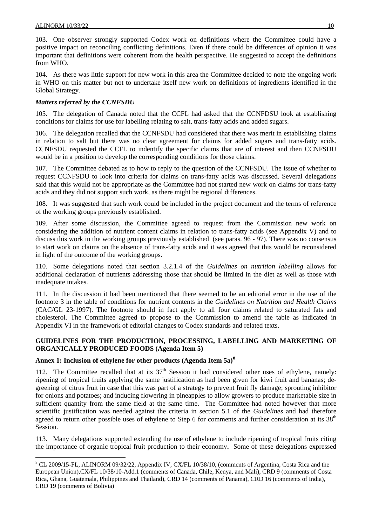l

103. One observer strongly supported Codex work on definitions where the Committee could have a positive impact on reconciling conflicting definitions. Even if there could be differences of opinion it was important that definitions were coherent from the health perspective. He suggested to accept the definitions from WHO.

104. As there was little support for new work in this area the Committee decided to note the ongoing work in WHO on this matter but not to undertake itself new work on definitions of ingredients identified in the Global Strategy.

### *Matters referred by the CCNFSDU*

105. The delegation of Canada noted that the CCFL had asked that the CCNFDSU look at establishing conditions for claims for use for labelling relating to salt, trans-fatty acids and added sugars.

106. The delegation recalled that the CCNFSDU had considered that there was merit in establishing claims in relation to salt but there was no clear agreement for claims for added sugars and trans-fatty acids. CCNFSDU requested the CCFL to indentify the specific claims that are of interest and then CCNFSDU would be in a position to develop the corresponding conditions for those claims.

107. The Committee debated as to how to reply to the question of the CCNFSDU. The issue of whether to request CCNFSDU to look into criteria for claims on trans-fatty acids was discussed. Several delegations said that this would not be appropriate as the Committee had not started new work on claims for trans-fatty acids and they did not support such work, as there might be regional differences.

108. It was suggested that such work could be included in the project document and the terms of reference of the working groups previously established.

109. After some discussion, the Committee agreed to request from the Commission new work on considering the addition of nutrient content claims in relation to trans-fatty acids (see Appendix V) and to discuss this work in the working groups previously established (see paras. 96 - 97). There was no consensus to start work on claims on the absence of trans-fatty acids and it was agreed that this would be reconsidered in light of the outcome of the working groups.

110. Some delegations noted that section 3.2.1.4 of the *Guidelines on nutrition labelling* allows for additional declaration of nutrients addressing those that should be limited in the diet as well as those with inadequate intakes.

111. In the discussion it had been mentioned that there seemed to be an editorial error in the use of the footnote 3 in the table of conditions for nutrient contents in the *Guidelines on Nutrition and Health Claims* (CAC/GL 23-1997). The footnote should in fact apply to all four claims related to saturated fats and cholesterol. The Committee agreed to propose to the Commission to amend the table as indicated in Appendix VI in the framework of editorial changes to Codex standards and related texts.

### **GUIDELINES FOR THE PRODUCTION, PROCESSING, LABELLING AND MARKETING OF ORGANICALLY PRODUCED FOODS (Agenda Item 5)**

### **Annex 1: Inclusion of ethylene for other products (Agenda Item 5a)[8](#page-14-0)**

112. The Committee recalled that at its  $37<sup>th</sup>$  Session it had considered other uses of ethylene, namely: ripening of tropical fruits applying the same justification as had been given for kiwi fruit and bananas; degreening of citrus fruit in case that this was part of a strategy to prevent fruit fly damage; sprouting inhibitor for onions and potatoes; and inducing flowering in pineapples to allow growers to produce marketable size in sufficient quantity from the same field at the same time. The Committee had noted however that more scientific justification was needed against the criteria in section 5.1 of the *Guidelines* and had therefore agreed to return other possible uses of ethylene to Step 6 for comments and further consideration at its 38<sup>th</sup> Session.

113. Many delegations supported extending the use of ethylene to include ripening of tropical fruits citing the importance of organic tropical fruit production to their economy**.** Some of these delegations expressed

<span id="page-14-0"></span><sup>&</sup>lt;sup>8</sup> CL 2009/15-FL, ALINORM 09/32/22, Appendix IV, CX/FL 10/38/10, (comments of Argentina, Costa Rica and the European Union),CX/FL 10/38/10-Add.1 (comments of Canada, Chile, Kenya, and Mali), CRD 9 (comments of Costa Rica, Ghana, Guatemala, Philippines and Thailand), CRD 14 (comments of Panama), CRD 16 (comments of India), CRD 19 (comments of Bolivia)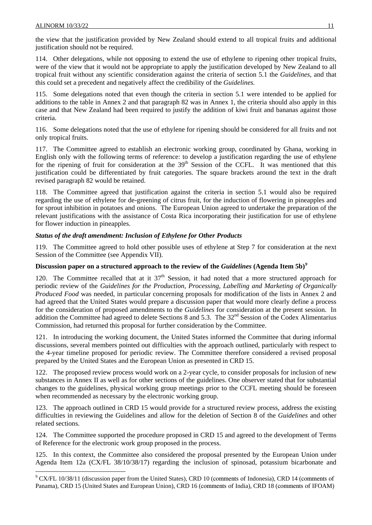l

the view that the justification provided by New Zealand should extend to all tropical fruits and additional justification should not be required.

114. Other delegations, while not opposing to extend the use of ethylene to ripening other tropical fruits, were of the view that it would not be appropriate to apply the justification developed by New Zealand to all tropical fruit without any scientific consideration against the criteria of section 5.1 the *Guidelines*, and that this could set a precedent and negatively affect the credibility of the *Guidelines.*

115. Some delegations noted that even though the criteria in section 5.1 were intended to be applied for additions to the table in Annex 2 and that paragraph 82 was in Annex 1, the criteria should also apply in this case and that New Zealand had been required to justify the addition of kiwi fruit and bananas against those criteria.

116. Some delegations noted that the use of ethylene for ripening should be considered for all fruits and not only tropical fruits.

117. The Committee agreed to establish an electronic working group, coordinated by Ghana, working in English only with the following terms of reference: to develop a justification regarding the use of ethylene for the ripening of fruit for consideration at the  $39<sup>th</sup>$  Session of the CCFL. It was mentioned that this justification could be differentiated by fruit categories. The square brackets around the text in the draft revised paragraph 82 would be retained.

118. The Committee agreed that justification against the criteria in section 5.1 would also be required regarding the use of ethylene for de-greening of citrus fruit, for the induction of flowering in pineapples and for sprout inhibition in potatoes and onions. The European Union agreed to undertake the preparation of the relevant justifications with the assistance of Costa Rica incorporating their justification for use of ethylene for flower induction in pineapples.

### *Status of the draft amendment: Inclusion of Ethylene for Other Products*

119. The Committee agreed to hold other possible uses of ethylene at Step 7 for consideration at the next Session of the Committee (see Appendix VII).

### **Discussion paper on a structured approach to the review of the** *Guidelines* **(Agenda Item 5b)***[9](#page-15-0)*

120. The Committee recalled that at it  $37<sup>th</sup>$  Session, it had noted that a more structured approach for periodic review of the *Guidelines for the Production, Processing, Labelling and Marketing of Organically Produced Food* was needed, in particular concerning proposals for modification of the lists in Annex 2 and had agreed that the United States would prepare a discussion paper that would more clearly define a process for the consideration of proposed amendments to the *Guidelines* for consideration at the present session. In addition the Committee had agreed to delete Sections 8 and 5.3. The 32<sup>nd</sup> Session of the Codex Alimentarius Commission, had returned this proposal for further consideration by the Committee.

121. In introducing the working document, the United States informed the Committee that during informal discussions, several members pointed out difficulties with the approach outlined, particularly with respect to the 4-year timeline proposed for periodic review. The Committee therefore considered a revised proposal prepared by the United States and the European Union as presented in CRD 15.

122. The proposed review process would work on a 2-year cycle, to consider proposals for inclusion of new substances in Annex II as well as for other sections of the guidelines. One observer stated that for substantial changes to the guidelines, physical working group meetings prior to the CCFL meeting should be foreseen when recommended as necessary by the electronic working group.

123. The approach outlined in CRD 15 would provide for a structured review process, address the existing difficulties in reviewing the Guidelines and allow for the deletion of Section 8 of the *Guidelines* and other related sections.

124. The Committee supported the procedure proposed in CRD 15 and agreed to the development of Terms of Reference for the electronic work group proposed in the process.

125. In this context, the Committee also considered the proposal presented by the European Union under Agenda Item 12a (CX/FL 38/10/38/17) regarding the inclusion of spinosad, potassium bicarbonate and

<span id="page-15-0"></span> $9$  CX/FL 10/38/11 (discussion paper from the United States), CRD 10 (comments of Indonesia), CRD 14 (comments of Panama), CRD 15 (United States and European Union), CRD 16 (comments of India), CRD 18 (comments of IFOAM)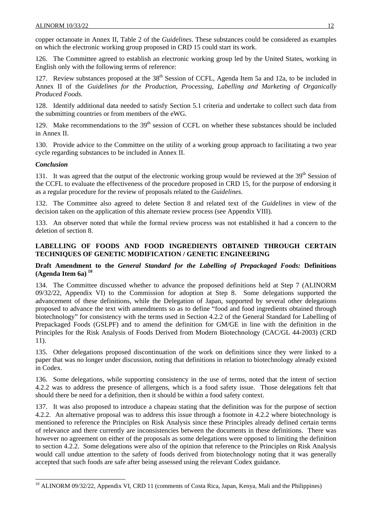copper octanoate in Annex II, Table 2 of the *Guidelines*. These substances could be considered as examples on which the electronic working group proposed in CRD 15 could start its work.

126. The Committee agreed to establish an electronic working group led by the United States, working in English only with the following terms of reference:

127. Review substances proposed at the 38<sup>th</sup> Session of CCFL, Agenda Item 5a and 12a, to be included in Annex II of the *Guidelines for the Production, Processing, Labelling and Marketing of Organically Produced Foods.*

128. Identify additional data needed to satisfy Section 5.1 criteria and undertake to collect such data from the submitting countries or from members of the eWG.

129. Make recommendations to the 39<sup>th</sup> session of CCFL on whether these substances should be included in Annex II.

130. Provide advice to the Committee on the utility of a working group approach to facilitating a two year cycle regarding substances to be included in Annex II.

### *Conclusion*

l

131. It was agreed that the output of the electronic working group would be reviewed at the  $39<sup>th</sup>$  Session of the CCFL to evaluate the effectiveness of the procedure proposed in CRD 15, for the purpose of endorsing it as a regular procedure for the review of proposals related to the *Guidelines*.

132. The Committee also agreed to delete Section 8 and related text of the *Guidelines* in view of the decision taken on the application of this alternate review process (see Appendix VIII).

133. An observer noted that while the formal review process was not established it had a concern to the deletion of section 8.

### **LABELLING OF FOODS AND FOOD INGREDIENTS OBTAINED THROUGH CERTAIN TECHNIQUES OF GENETIC MODIFICATION / GENETIC ENGINEERING**

### **Draft Amendment to the** *General Standard for the Labelling of Prepackaged Foods:* **Definitions (Agenda Item 6a) [10](#page-16-0)**

134. The Committee discussed whether to advance the proposed definitions held at Step 7 (ALINORM 09/32/22, Appendix VI) to the Commission for adoption at Step 8. Some delegations supported the advancement of these definitions, while the Delegation of Japan, supported by several other delegations proposed to advance the text with amendments so as to define "food and food ingredients obtained through biotechnology" for consistency with the terms used in Section 4.2.2 of the General Standard for Labelling of Prepackaged Foods (GSLPF) and to amend the definition for GM/GE in line with the definition in the Principles for the Risk Analysis of Foods Derived from Modern Biotechnology (CAC/GL 44-2003) (CRD 11).

135. Other delegations proposed discontinuation of the work on definitions since they were linked to a paper that was no longer under discussion, noting that definitions in relation to biotechnology already existed in Codex.

136. Some delegations, while supporting consistency in the use of terms, noted that the intent of section 4.2.2 was to address the presence of allergens, which is a food safety issue. Those delegations felt that should there be need for a definition, then it should be within a food safety context.

137. It was also proposed to introduce a chapeau stating that the definition was for the purpose of section 4.2.2. An alternative proposal was to address this issue through a footnote in 4.2.2 where biotechnology is mentioned to reference the Principles on Risk Analysis since these Principles already defined certain terms of relevance and there currently are inconsistencies between the documents in these definitions. There was however no agreement on either of the proposals as some delegations were opposed to limiting the definition to section 4.2.2. Some delegations were also of the opinion that reference to the Principles on Risk Analysis would call undue attention to the safety of foods derived from biotechnology noting that it was generally accepted that such foods are safe after being assessed using the relevant Codex guidance.

<span id="page-16-0"></span><sup>&</sup>lt;sup>10</sup> ALINORM 09/32/22, Appendix VI, CRD 11 (comments of Costa Rica, Japan, Kenya, Mali and the Philippines)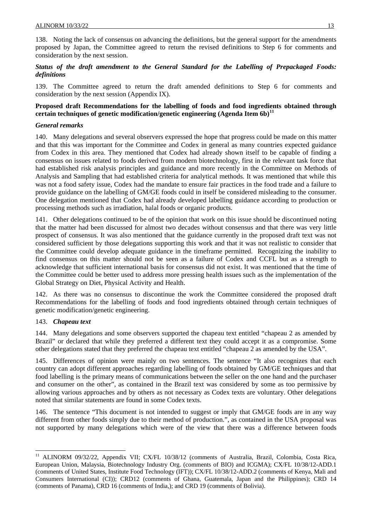138. Noting the lack of consensus on advancing the definitions, but the general support for the amendments proposed by Japan, the Committee agreed to return the revised definitions to Step 6 for comments and consideration by the next session.

### *Status of the draft amendment to the General Standard for the Labelling of Prepackaged Foods: definitions*

139. The Committee agreed to return the draft amended definitions to Step 6 for comments and consideration by the next session (Appendix IX).

### **Proposed draft Recommendations for the labelling of foods and food ingredients obtained through certain techniques of genetic modification/genetic engineering (Agenda Item 6b)[11](#page-17-0)**

### *General remarks*

140. Many delegations and several observers expressed the hope that progress could be made on this matter and that this was important for the Committee and Codex in general as many countries expected guidance from Codex in this area. They mentioned that Codex had already shown itself to be capable of finding a consensus on issues related to foods derived from modern biotechnology, first in the relevant task force that had established risk analysis principles and guidance and more recently in the Committee on Methods of Analysis and Sampling that had established criteria for analytical methods. It was mentioned that while this was not a food safety issue, Codex had the mandate to ensure fair practices in the food trade and a failure to provide guidance on the labelling of GM/GE foods could in itself be considered misleading to the consumer. One delegation mentioned that Codex had already developed labelling guidance according to production or processing methods such as irradiation, halal foods or organic products.

141. Other delegations continued to be of the opinion that work on this issue should be discontinued noting that the matter had been discussed for almost two decades without consensus and that there was very little prospect of consensus. It was also mentioned that the guidance currently in the proposed draft text was not considered sufficient by those delegations supporting this work and that it was not realistic to consider that the Committee could develop adequate guidance in the timeframe permitted. Recognizing the inability to find consensus on this matter should not be seen as a failure of Codex and CCFL but as a strength to acknowledge that sufficient international basis for consensus did not exist. It was mentioned that the time of the Committee could be better used to address more pressing health issues such as the implementation of the Global Strategy on Diet, Physical Activity and Health.

142. As there was no consensus to discontinue the work the Committee considered the proposed draft Recommendations for the labelling of foods and food ingredients obtained through certain techniques of genetic modification/genetic engineering.

### 143. *Chapeau text*

l

144. Many delegations and some observers supported the chapeau text entitled "chapeau 2 as amended by Brazil" or declared that while they preferred a different text they could accept it as a compromise. Some other delegations stated that they preferred the chapeau text entitled "chapeau 2 as amended by the USA".

145. Differences of opinion were mainly on two sentences. The sentence "It also recognizes that each country can adopt different approaches regarding labelling of foods obtained by GM/GE techniques and that food labelling is the primary means of communications between the seller on the one hand and the purchaser and consumer on the other", as contained in the Brazil text was considered by some as too permissive by allowing various approaches and by others as not necessary as Codex texts are voluntary. Other delegations noted that similar statements are found in some Codex texts.

146. The sentence "This document is not intended to suggest or imply that GM/GE foods are in any way different from other foods simply due to their method of production.", as contained in the USA proposal was not supported by many delegations which were of the view that there was a difference between foods

<span id="page-17-0"></span><sup>&</sup>lt;sup>11</sup> ALINORM 09/32/22, Appendix VII; CX/FL 10/38/12 (comments of Australia, Brazil, Colombia, Costa Rica, European Union, Malaysia, Biotechnology Industry Org. (comments of BIO) and ICGMA); CX/FL 10/38/12-ADD.1 (comments of United States, Institute Food Technology (IFT)); CX/FL 10/38/12-ADD.2 (comments of Kenya, Mali and Consumers International (CI)); CRD12 (comments of Ghana, Guatemala, Japan and the Philippines); CRD 14 (comments of Panama), CRD 16 (comments of India,); and CRD 19 (comments of Bolivia).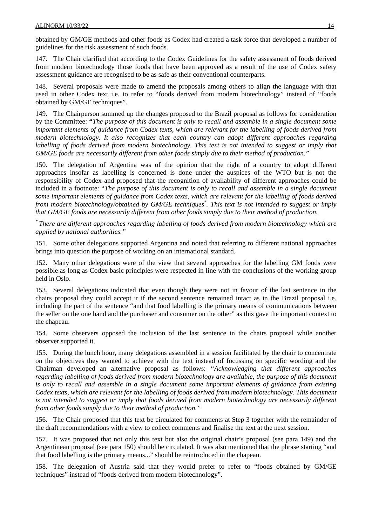obtained by GM/GE methods and other foods as Codex had created a task force that developed a number of guidelines for the risk assessment of such foods.

147. The Chair clarified that according to the Codex Guidelines for the safety assessment of foods derived from modern biotechnology those foods that have been approved as a result of the use of Codex safety assessment guidance are recognised to be as safe as their conventional counterparts.

148. Several proposals were made to amend the proposals among others to align the language with that used in other Codex text i.e. to refer to "foods derived from modern biotechnology" instead of "foods obtained by GM/GE techniques".

149. The Chairperson summed up the changes proposed to the Brazil proposal as follows for consideration by the Committee: **"***The purpose of this document is only to recall and assemble in a single document some important elements of guidance from Codex texts, which are relevant for the labelling of foods derived from modern biotechnology. It also recognizes that each country can adopt different approaches regarding labelling of foods derived from modern biotechnology. This text is not intended to suggest or imply that GM/GE foods are necessarily different from other foods simply due to their method of production."*

150. The delegation of Argentina was of the opinion that the right of a country to adopt different approaches insofar as labelling is concerned is done under the auspices of the WTO but is not the responsibility of Codex and proposed that the recognition of availability of different approaches could be included in a footnote: "*The purpose of this document is only to recall and assemble in a single document some important elements of guidance from Codex texts, which are relevant for the labelling of foods derived from modern biotechnology/obtained by GM/GE techniques\* . This text is not intended to suggest or imply that GM/GE foods are necessarily different from other foods simply due to their method of production.*

*\* There are different approaches regarding labelling of foods derived from modern biotechnology which are applied by national authorities."* 

151. Some other delegations supported Argentina and noted that referring to different national approaches brings into question the purpose of working on an international standard.

152. Many other delegations were of the view that several approaches for the labelling GM foods were possible as long as Codex basic principles were respected in line with the conclusions of the working group held in Oslo.

153. Several delegations indicated that even though they were not in favour of the last sentence in the chairs proposal they could accept it if the second sentence remained intact as in the Brazil proposal i.e. including the part of the sentence "and that food labelling is the primary means of communications between the seller on the one hand and the purchaser and consumer on the other" as this gave the important context to the chapeau.

154. Some observers opposed the inclusion of the last sentence in the chairs proposal while another observer supported it.

155. During the lunch hour, many delegations assembled in a session facilitated by the chair to concentrate on the objectives they wanted to achieve with the text instead of focussing on specific wording and the Chairman developed an alternative proposal as follows: *"Acknowledging that different approaches regarding labelling of foods derived from modern biotechnology are available, the purpose of this document is only to recall and assemble in a single document some important elements of guidance from existing Codex texts, which are relevant for the labelling of foods derived from modern biotechnology. This document is not intended to suggest or imply that foods derived from modern biotechnology are necessarily different from other foods simply due to their method of production."* 

156. The Chair proposed that this text be circulated for comments at Step 3 together with the remainder of the draft recommendations with a view to collect comments and finalise the text at the next session.

157. It was proposed that not only this text but also the original chair's proposal (see para 149) and the Argentinean proposal (see para 150) should be circulated. It was also mentioned that the phrase starting "and that food labelling is the primary means..." should be reintroduced in the chapeau.

158. The delegation of Austria said that they would prefer to refer to "foods obtained by GM/GE techniques" instead of "foods derived from modern biotechnology".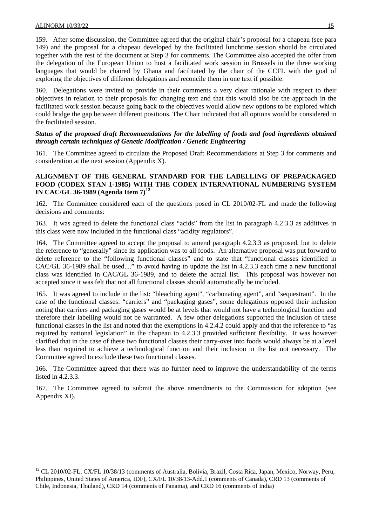l

159. After some discussion, the Committee agreed that the original chair's proposal for a chapeau (see para 149) and the proposal for a chapeau developed by the facilitated lunchtime session should be circulated together with the rest of the document at Step 3 for comments. The Committee also accepted the offer from the delegation of the European Union to host a facilitated work session in Brussels in the three working languages that would be chaired by Ghana and facilitated by the chair of the CCFL with the goal of exploring the objectives of different delegations and reconcile them in one text if possible.

160. Delegations were invited to provide in their comments a very clear rationale with respect to their objectives in relation to their proposals for changing text and that this would also be the approach in the facilitated work session because going back to the objectives would allow new options to be explored which could bridge the gap between different positions. The Chair indicated that all options would be considered in the facilitated session.

### *Status of the proposed draft Recommendations for the labelling of foods and food ingredients obtained through certain techniques of Genetic Modification / Genetic Engineering*

161. The Committee agreed to circulate the Proposed Draft Recommendations at Step 3 for comments and consideration at the next session (Appendix X).

### **ALIGNMENT OF THE GENERAL STANDARD FOR THE LABELLING OF PREPACKAGED FOOD (CODEX STAN 1-1985) WITH THE CODEX INTERNATIONAL NUMBERING SYSTEM IN CAC/GL 36-1989 (Agenda Item 7)[12](#page-19-0)**

162. The Committee considered each of the questions posed in CL 2010/02-FL and made the following decisions and comments:

163. It was agreed to delete the functional class "acids" from the list in paragraph 4.2.3.3 as additives in this class were now included in the functional class "acidity regulators".

164. The Committee agreed to accept the proposal to amend paragraph 4.2.3.3 as proposed, but to delete the reference to "generally" since its application was to all foods. An alternative proposal was put forward to delete reference to the "following functional classes" and to state that "functional classes identified in CAC/GL 36-1989 shall be used...." to avoid having to update the list in 4.2.3.3 each time a new functional class was identified in CAC/GL 36-1989, and to delete the actual list. This proposal was however not accepted since it was felt that not all functional classes should automatically be included.

165. It was agreed to include in the list: "bleaching agent", "carbonating agent", and "sequestrant". In the case of the functional classes: "carriers" and "packaging gases", some delegations opposed their inclusion noting that carriers and packaging gases would be at levels that would not have a technological function and therefore their labelling would not be warranted. A few other delegations supported the inclusion of these functional classes in the list and noted that the exemptions in 4.2.4.2 could apply and that the reference to "as required by national legislation" in the chapeau to 4.2.3.3 provided sufficient flexibility. It was however clarified that in the case of these two functional classes their carry-over into foods would always be at a level less than required to achieve a technological function and their inclusion in the list not necessary. The Committee agreed to exclude these two functional classes.

166. The Committee agreed that there was no further need to improve the understandability of the terms listed in 4.2.3.3.

167. The Committee agreed to submit the above amendments to the Commission for adoption (see Appendix XI).

<span id="page-19-0"></span><sup>&</sup>lt;sup>12</sup> CL 2010/02-FL, CX/FL 10/38/13 (comments of Australia, Bolivia, Brazil, Costa Rica, Japan, Mexico, Norway, Peru, Philippines, United States of America, IDF), CX/FL 10/38/13-Add.1 (comments of Canada), CRD 13 (comments of Chile, Indonesia, Thailand), CRD 14 (comments of Panama), and CRD 16 (comments of India)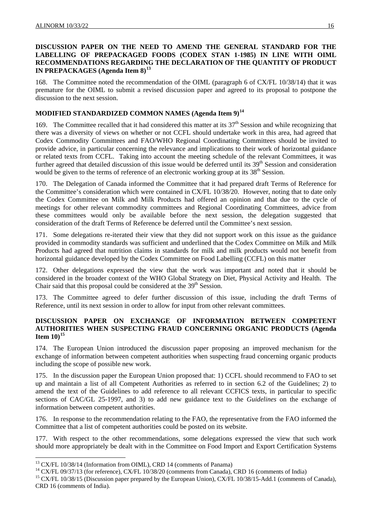### **DISCUSSION PAPER ON THE NEED TO AMEND THE GENERAL STANDARD FOR THE LABELLING OF PREPACKAGED FOODS (CODEX STAN 1-1985) IN LINE WITH OIML RECOMMENDATIONS REGARDING THE DECLARATION OF THE QUANTITY OF PRODUCT IN PREPACKAGES (Agenda Item 8)[13](#page-20-0)**

168. The Committee noted the recommendation of the OIML (paragraph 6 of CX/FL 10/38/14) that it was premature for the OIML to submit a revised discussion paper and agreed to its proposal to postpone the discussion to the next session.

### **MODIFIED STANDARDIZED COMMON NAMES (Agenda Item 9)[14](#page-20-1)**

169. The Committee recalled that it had considered this matter at its 37th Session and while recognizing that there was a diversity of views on whether or not CCFL should undertake work in this area, had agreed that Codex Commodity Committees and FAO/WHO Regional Coordinating Committees should be invited to provide advice, in particular concerning the relevance and implications to their work of horizontal guidance or related texts from CCFL. Taking into account the meeting schedule of the relevant Committees, it was further agreed that detailed discussion of this issue would be deferred until its 39<sup>th</sup> Session and consideration would be given to the terms of reference of an electronic working group at its  $38<sup>th</sup>$  Session.

170. The Delegation of Canada informed the Committee that it had prepared draft Terms of Reference for the Committee's consideration which were contained in CX/FL 10/38/20. However, noting that to date only the Codex Committee on Milk and Milk Products had offered an opinion and that due to the cycle of meetings for other relevant commodity committees and Regional Coordinating Committees, advice from these committees would only be available before the next session, the delegation suggested that consideration of the draft Terms of Reference be deferred until the Committee's next session.

171. Some delegations re-iterated their view that they did not support work on this issue as the guidance provided in commodity standards was sufficient and underlined that the Codex Committee on Milk and Milk Products had agreed that nutrition claims in standards for milk and milk products would not benefit from horizontal guidance developed by the Codex Committee on Food Labelling (CCFL) on this matter

172. Other delegations expressed the view that the work was important and noted that it should be considered in the broader context of the WHO Global Strategy on Diet, Physical Activity and Health. The Chair said that this proposal could be considered at the  $39<sup>th</sup>$  Session.

173. The Committee agreed to defer further discussion of this issue, including the draft Terms of Reference, until its next session in order to allow for input from other relevant committees.

### **DISCUSSION PAPER ON EXCHANGE OF INFORMATION BETWEEN COMPETENT AUTHORITIES WHEN SUSPECTING FRAUD CONCERNING ORGANIC PRODUCTS (Agenda Item 10)[15](#page-20-2)**

174. The European Union introduced the discussion paper proposing an improved mechanism for the exchange of information between competent authorities when suspecting fraud concerning organic products including the scope of possible new work.

175. In the discussion paper the European Union proposed that: 1) CCFL should recommend to FAO to set up and maintain a list of all Competent Authorities as referred to in section 6.2 of the Guidelines; 2) to amend the text of the Guidelines to add reference to all relevant CCFICS texts, in particular to specific sections of CAC/GL 25-1997, and 3) to add new guidance text to the *Guidelines* on the exchange of information between competent authorities.

176. In response to the recommendation relating to the FAO, the representative from the FAO informed the Committee that a list of competent authorities could be posted on its website.

177. With respect to the other recommendations, some delegations expressed the view that such work should more appropriately be dealt with in the Committee on Food Import and Export Certification Systems

l

<span id="page-20-0"></span><sup>&</sup>lt;sup>13</sup> CX/FL 10/38/14 (Information from OIML), CRD 14 (comments of Panama)

<span id="page-20-1"></span><sup>&</sup>lt;sup>14</sup> CX/FL 09/37/13 (for reference), CX/FL 10/38/20 (comments from Canada), CRD 16 (comments of India)

<span id="page-20-2"></span><sup>&</sup>lt;sup>15</sup> CX/FL 10/38/15 (Discussion paper prepared by the European Union), CX/FL 10/38/15-Add.1 (comments of Canada), CRD 16 (comments of India).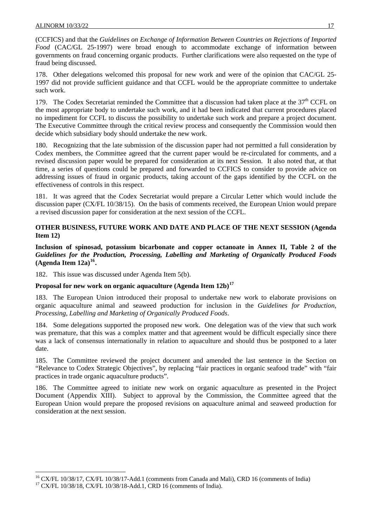(CCFICS) and that the *Guidelines on Exchange of Information Between Countries on Rejections of Imported Food* (CAC/GL 25-1997) were broad enough to accommodate exchange of information between governments on fraud concerning organic products. Further clarifications were also requested on the type of fraud being discussed.

178. Other delegations welcomed this proposal for new work and were of the opinion that CAC/GL 25- 1997 did not provide sufficient guidance and that CCFL would be the appropriate committee to undertake such work.

179. The Codex Secretariat reminded the Committee that a discussion had taken place at the  $37<sup>th</sup>$  CCFL on the most appropriate body to undertake such work, and it had been indicated that current procedures placed no impediment for CCFL to discuss the possibility to undertake such work and prepare a project document. The Executive Committee through the critical review process and consequently the Commission would then decide which subsidiary body should undertake the new work.

180. Recognizing that the late submission of the discussion paper had not permitted a full consideration by Codex members, the Committee agreed that the current paper would be re-circulated for comments, and a revised discussion paper would be prepared for consideration at its next Session. It also noted that, at that time, a series of questions could be prepared and forwarded to CCFICS to consider to provide advice on addressing issues of fraud in organic products, taking account of the gaps identified by the CCFL on the effectiveness of controls in this respect.

181. It was agreed that the Codex Secretariat would prepare a Circular Letter which would include the discussion paper (CX/FL 10/38/15). On the basis of comments received, the European Union would prepare a revised discussion paper for consideration at the next session of the CCFL.

### **OTHER BUSINESS, FUTURE WORK AND DATE AND PLACE OF THE NEXT SESSION (Agenda Item 12)**

**Inclusion of spinosad, potassium bicarbonate and copper octanoate in Annex II, Table 2 of the**  *Guidelines for the Production, Processing, Labelling and Marketing of Organically Produced Foods* **(Agenda Item 12a)[16](#page-21-0).** 

182. This issue was discussed under Agenda Item 5(b).

### **Proposal for new work on organic aquaculture (Agenda Item 12b)[17](#page-21-1)**

183. The European Union introduced their proposal to undertake new work to elaborate provisions on organic aquaculture animal and seaweed production for inclusion in the *Guidelines for Production, Processing, Labelling and Marketing of Organically Produced Foods*.

184. Some delegations supported the proposed new work. One delegation was of the view that such work was premature, that this was a complex matter and that agreement would be difficult especially since there was a lack of consensus internationally in relation to aquaculture and should thus be postponed to a later date.

185. The Committee reviewed the project document and amended the last sentence in the Section on "Relevance to Codex Strategic Objectives", by replacing "fair practices in organic seafood trade" with "fair practices in trade organic aquaculture products".

186. The Committee agreed to initiate new work on organic aquaculture as presented in the Project Document (Appendix XIII). Subject to approval by the Commission, the Committee agreed that the European Union would prepare the proposed revisions on aquaculture animal and seaweed production for consideration at the next session.

 $\overline{\phantom{a}}$ 

<span id="page-21-0"></span><sup>&</sup>lt;sup>16</sup> CX/FL 10/38/17, CX/FL 10/38/17-Add.1 (comments from Canada and Mali), CRD 16 (comments of India)

<span id="page-21-1"></span><sup>&</sup>lt;sup>17</sup> CX/FL 10/38/18, CX/FL 10/38/18-Add.1, CRD 16 (comments of India).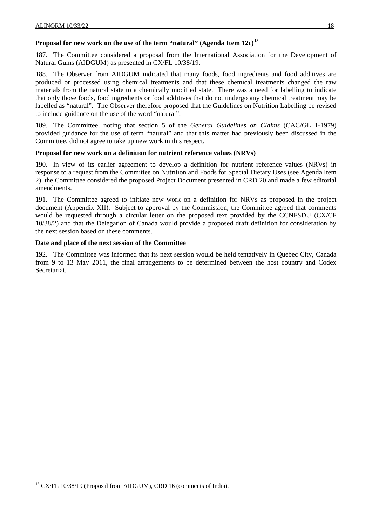### **Proposal for new work on the use of the term "natural" (Agenda Item 12c)[18](#page-22-0)**

187. The Committee considered a proposal from the International Association for the Development of Natural Gums (AIDGUM) as presented in CX/FL 10/38/19.

188. The Observer from AIDGUM indicated that many foods, food ingredients and food additives are produced or processed using chemical treatments and that these chemical treatments changed the raw materials from the natural state to a chemically modified state. There was a need for labelling to indicate that only those foods, food ingredients or food additives that do not undergo any chemical treatment may be labelled as "natural". The Observer therefore proposed that the Guidelines on Nutrition Labelling be revised to include guidance on the use of the word "natural".

189. The Committee, noting that section 5 of the *General Guidelines on Claims* (CAC/GL 1-1979) provided guidance for the use of term "natural" and that this matter had previously been discussed in the Committee, did not agree to take up new work in this respect.

### **Proposal for new work on a definition for nutrient reference values (NRVs)**

190. In view of its earlier agreement to develop a definition for nutrient reference values (NRVs) in response to a request from the Committee on Nutrition and Foods for Special Dietary Uses (see Agenda Item 2), the Committee considered the proposed Project Document presented in CRD 20 and made a few editorial amendments.

191. The Committee agreed to initiate new work on a definition for NRVs as proposed in the project document (Appendix XII). Subject to approval by the Commission, the Committee agreed that comments would be requested through a circular letter on the proposed text provided by the CCNFSDU (CX/CF 10/38/2) and that the Delegation of Canada would provide a proposed draft definition for consideration by the next session based on these comments.

### **Date and place of the next session of the Committee**

192. The Committee was informed that its next session would be held tentatively in Quebec City, Canada from 9 to 13 May 2011, the final arrangements to be determined between the host country and Codex Secretariat.

l

<span id="page-22-0"></span><sup>&</sup>lt;sup>18</sup> CX/FL 10/38/19 (Proposal from AIDGUM), CRD 16 (comments of India).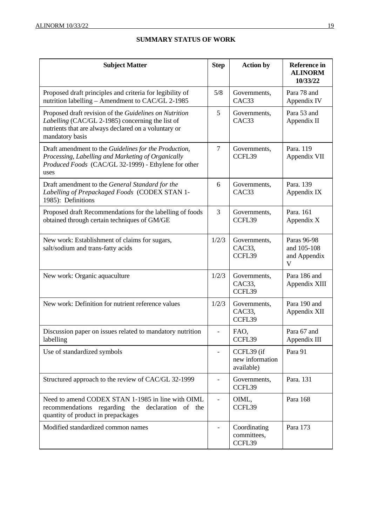| <b>Subject Matter</b>                                                                                                                                                                 | <b>Step</b>                  | <b>Action by</b>                            | <b>Reference</b> in<br><b>ALINORM</b><br>10/33/22 |
|---------------------------------------------------------------------------------------------------------------------------------------------------------------------------------------|------------------------------|---------------------------------------------|---------------------------------------------------|
| Proposed draft principles and criteria for legibility of<br>nutrition labelling – Amendment to CAC/GL 2-1985                                                                          | 5/8                          | Governments,<br>CAC33                       | Para 78 and<br>Appendix IV                        |
| Proposed draft revision of the Guidelines on Nutrition<br>Labelling (CAC/GL 2-1985) concerning the list of<br>nutrients that are always declared on a voluntary or<br>mandatory basis | 5                            | Governments,<br>CAC <sub>33</sub>           | Para 53 and<br>Appendix II                        |
| Draft amendment to the Guidelines for the Production,<br>Processing, Labelling and Marketing of Organically<br>Produced Foods (CAC/GL 32-1999) - Ethylene for other<br>uses           | $\overline{7}$               | Governments,<br>CCFL39                      | Para. 119<br>Appendix VII                         |
| Draft amendment to the General Standard for the<br>Labelling of Prepackaged Foods (CODEX STAN 1-<br>1985): Definitions                                                                | 6                            | Governments,<br>CAC33                       | Para. 139<br>Appendix IX                          |
| Proposed draft Recommendations for the labelling of foods<br>obtained through certain techniques of GM/GE                                                                             | 3                            | Governments,<br>CCFL39                      | Para. 161<br>Appendix X                           |
| New work: Establishment of claims for sugars,<br>salt/sodium and trans-fatty acids                                                                                                    | 1/2/3                        | Governments,<br>CAC33,<br>CCFL39            | Paras 96-98<br>and 105-108<br>and Appendix<br>V   |
| New work: Organic aquaculture                                                                                                                                                         | 1/2/3                        | Governments,<br>CAC33,<br>CCFL39            | Para 186 and<br>Appendix XIII                     |
| New work: Definition for nutrient reference values                                                                                                                                    | 1/2/3                        | Governments,<br>CAC33,<br>CCFL39            | Para 190 and<br>Appendix XII                      |
| Discussion paper on issues related to mandatory nutrition<br>labelling                                                                                                                | $\frac{1}{2}$                | FAO,<br>CCFL39                              | Para 67 and<br>Appendix III                       |
| Use of standardized symbols                                                                                                                                                           |                              | CCFL39 (if<br>new information<br>available) | Para 91                                           |
| Structured approach to the review of CAC/GL 32-1999                                                                                                                                   | $\qquad \qquad \blacksquare$ | Governments,<br>CCFL39                      | Para. 131                                         |
| Need to amend CODEX STAN 1-1985 in line with OIML<br>recommendations regarding the declaration of the<br>quantity of product in prepackages                                           | $\frac{1}{2}$                | OIML,<br>CCFL39                             | Para 168                                          |
| Modified standardized common names                                                                                                                                                    |                              | Coordinating<br>committees,<br>CCFL39       | Para 173                                          |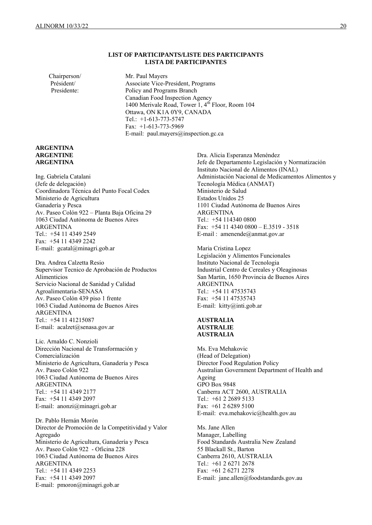#### **LIST OF PARTICIPANTS/LISTE DES PARTICIPANTS LISTA DE PARTICIPANTES**

Chairperson/ Mr. Paul Mayers

 Président/ Associate Vice-President, Programs Presidente: Policy and Programs Branch Canadian Food Inspection Agency 1400 Merivale Road, Tower 1, 4<sup>th</sup> Floor, Room 104 Ottawa, ON K1A 0Y9, CANADA Tel.: +1-613-773-5747 Fax: +1-613-773-5969 E-mail: paul.mayers@inspection.gc.ca

#### **ARGENTINA ARGENTINE ARGENTINA**

Ing. Gabriela Catalani (Jefe de delegación) Coordinadora Técnica del Punto Focal Codex Ministerio de Agricultura Ganadería y Pesca Av. Paseo Colón 922 – Planta Baja Oficina 29 1063 Ciudad Autónoma de Buenos Aires ARGENTINA Tel.: +54 11 4349 2549 Fax: +54 11 4349 2242 E-mail: gcatal@minagri.gob.ar

Dra. Andrea Calzetta Resio Supervisor Tecnico de Aprobación de Productos Alimenticios Servicio Nacional de Sanidad y Calidad Agroalimentaria-SENASA Av. Paseo Colón 439 piso 1 frente 1063 Ciudad Autónoma de Buenos Aires ARGENTINA Tel.: +54 11 41215087 E-mail: acalzet@senasa.gov.ar

Lic. Arnaldo C. Nonzioli Dirección Nacional de Transformación y Comercialización Ministerio de Agricultura, Ganadería y Pesca Av. Paseo Colón 922 1063 Ciudad Autónoma de Buenos Aires ARGENTINA Tel.: +54 11 4349 2177 Fax: +54 11 4349 2097 E-mail: anonzi@minagri.gob.ar

Dr. Pablo Hernán Morón Director de Promoción de la Competitividad y Valor Agregado Ministerio de Agricultura, Ganadería y Pesca Av. Paseo Colón 922 - Oficina 228 1063 Ciudad Autónoma de Buenos Aires ARGENTINA Tel.: +54 11 4349 2253 Fax: +54 11 4349 2097 E-mail: pmoron@minagri.gob.ar

Dra. Alicia Esperanza Menéndez Jefe de Departamento Legislación y Normatización Instituto Nacional de Alimentos (INAL) Administación Nacional de Medicamentos Alimentos y Tecnología Médica (ANMAT) Ministerio de Salud Estados Unidos 25 1101 Ciudad Autónoma de Buenos Aires ARGENTINA Tel.: +54 114340 0800 Fax: +54 11 4340 0800 – E.3519 - 3518 E-mail : amenende@anmat.gov.ar

Maria Cristina Lopez Legislación y Alimentos Funcionales Instituto Nacional de Tecnologia Industrial Centro de Cereales y Oleaginosas San Martin, 1650 Provincia de Buenos Aires ARGENTINA Tel.: +54 11 47535743 Fax: +54 11 47535743 E-mail: kitty@inti.gob.ar

#### **AUSTRALIA AUSTRALIE AUSTRALIA**

Ms. Eva Mehakovic (Head of Delegation) Director Food Regulation Policy Australian Government Department of Health and Ageing GPO Box 9848 Canberra ACT 2600, AUSTRALIA Tel.: +61 2 2689 5133 Fax: +61 2 6289 5100 E-mail: eva.mehakovic@health.gov.au

Ms. Jane Allen Manager, Labelling Food Standards Australia New Zealand 55 Blackall St., Barton Canberra 2610, AUSTRALIA Tel.: +61 2 6271 2678 Fax: +61 2 6271 2278 E-mail: jane.allen@foodstandards.gov.au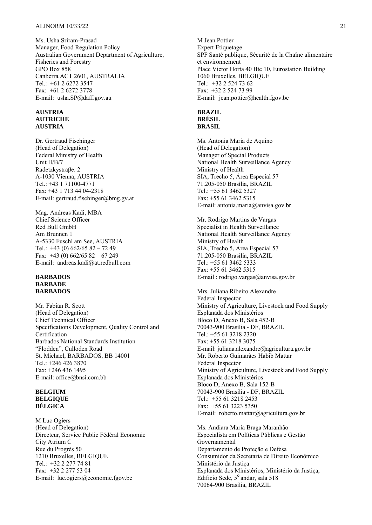Ms. Usha Sriram-Prasad Manager, Food Regulation Policy Australian Government Department of Agriculture, Fisheries and Forestry GPO Box 858 Canberra ACT 2601, AUSTRALIA Tel.: +61 2 6272 3547 Fax: +61 2 6272 3778 E-mail: usha.SP@daff.gov.au

#### **AUSTRIA AUTRICHE AUSTRIA**

Dr. Gertraud Fischinger (Head of Delegation) Federal Ministry of Health Unit II/B/7 Radetzkystraβe. 2 A-1030 Vienna, AUSTRIA Tel.: +43 1 71100-4771 Fax: +43 1 713 44 04-2318 E-mail: gertraud.fischinger@bmg.gv.at

Mag. Andreas Kadi, MBA Chief Science Officer Red Bull GmbH Am Brunnen 1 A-5330 Fuschl am See, AUSTRIA Tel.:  $+43$  (0) 662/65 82 - 72 49 Fax:  $+43$  (0) 662/65 82 - 67 249 E-mail: andreas.kadi@at.redbull.com

#### **BARBADOS BARBADE BARBADOS**

Mr. Fabian R. Scott (Head of Delegation) Chief Technical Officer Specifications Development, Quality Control and Certification Barbados National Standards Institution "Flodden", Culloden Road St. Michael, BARBADOS, BB 14001 Tel.: +246 426 3870 Fax: +246 436 1495 E-mail: office@bnsi.com.bb

#### **BELGIUM BELGIQUE BÉLGICA**

M Luc Ogiers (Head of Delegation) Directeur, Service Public Fédéral Economie City Atrium C Rue du Progrès 50 1210 Bruxelles, BELGIQUE Tel.: +32 2 277 74 81 Fax: +32 2 277 53 04 E-mail: luc.ogiers@economie.fgov.be

M Jean Pottier Expert Etiquetage SPF Santé publique, Sécurité de la Chaîne alimentaire et environnement Place Victor Horta 40 Bte 10, Eurostation Building 1060 Bruxelles, BELGIQUE Tel.: +32 2 524 73 62 Fax: +32 2 524 73 99 E-mail: jean.pottier@health.fgov.be

#### **BRAZIL BRÉSIL BRASIL**

Ms. Antonia Maria de Aquino (Head of Delegation) Manager of Special Products National Health Surveillance Agency Ministry of Health SIA, Trecho 5, Área Especial 57 71.205-050 Brasília, BRAZIL Tel.: +55 61 3462 5327 Fax: +55 61 3462 5315 E-mail: antonia.maria@anvisa.gov.br

Mr. Rodrigo Martins de Vargas Specialist in Health Surveillance National Health Surveillance Agency Ministry of Health SIA, Trecho 5, Área Especial 57 71.205-050 Brasília, BRAZIL Tel.: +55 61 3462 5333 Fax: +55 61 3462 5315 E-mail : rodrigo.vargas@anvisa.gov.br

Mrs. Juliana Ribeiro Alexandre Federal Inspector Ministry of Agriculture, Livestock and Food Supply Esplanada dos Ministérios Bloco D, Anexo B, Sala 452-B 70043-900 Brasília - DF, BRAZIL Tel.: +55 61 3218 2320 Fax: +55 61 3218 3075 E-mail: juliana.alexandre@agricultura.gov.br Mr. Roberto Guimarães Habib Mattar Federal Inspector Ministry of Agriculture, Livestock and Food Supply Esplanada dos Ministérios Bloco D, Anexo B, Sala 152-B 70043-900 Brasília - DF, BRAZIL Tel.: +55 61 3218 2453 Fax: +55 61 3223 5350 E-mail: roberto.mattar@agricultura.gov.br

Ms. Andiara Maria Braga Maranhão Especialista em Políticas Públicas e Gestão Governamental Departamento de Proteção e Defesa Consumidor da Secretaria de Direito Econômico Ministério da Justiça Esplanada dos Ministérios, Ministério da Justiça, Edificio Sede,  $5^{\circ}$  andar, sala 518 70064-900 Brasília, BRAZIL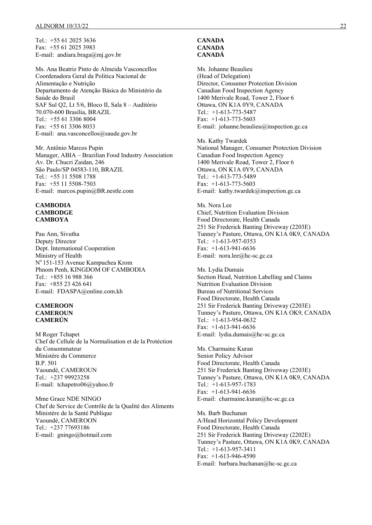Tel.: +55 61 2025 3636 Fax: +55 61 2025 3983 E-mail: andiara.braga@mj.gov.br

Ms. Ana Beatriz Pinto de Almeida Vasconcellos Coordenadora Geral da Politica Nacional de Alimentação e Nutrição Departamento de Atenção Básica do Ministério da Saúde do Brasil SAF Sul Q2, Lt 5/6, Bloco II, Sala 8 – Auditório 70.070-600 Brasília, BRAZIL Tel.: +55 61 3306 8004 Fax: +55 61 3306 8033 E-mail: ana.vasconcellos@saude.gov.br

Mr. Antônio Marcos Pupin Manager, ABIA – Brazilian Food Industry Association Av. Dr. Chucri Zaidan, 246 São Paulo/SP 04583-110, BRAZIL Tel.: +55 11 5508 1788 Fax: +55 11 5508-7503 E-mail: marcos.pupin@BR.nestle.com

#### **CAMBODIA CAMBODGE CAMBOYA**

Pau Ann, Sivutha Deputy Director Dept. International Cooperation Ministry of Health No 151-153 Avenue Kampuchea Krom Phnom Penh, KINGDOM OF CAMBODIA Tel.: +855 16 988 366 Fax: +855 23 426 641 E-mail: FDASPA@online.com.kh

#### **CAMEROON CAMEROUN CAMERÚN**

M Roger Tchapet Chef de Cellule de la Normalisation et de la Protèction du Consommateur Ministère du Commerce B.P. 501 Yaoundé, CAMEROUN Tel.: +237 99923258 E-mail: tchapetro06@yahoo.fr

Mme Grace NDE NINGO Chef de Service de Contrôle de la Qualité des Aliments Ministère de la Santé Publique Yaoundé, CAMEROON Tel.: +237 77693186 E-mail: gningo@hotmail.com

### **CANADA CANADA CANADÁ**

Ms. Johanne Beaulieu (Head of Delegation) Director, Consumer Protection Division Canadian Food Inspection Agency 1400 Merivale Road, Tower 2, Floor 6 Ottawa, ON K1A 0Y9, CANADA Tel.: +1-613-773-5487 Fax: +1-613-773-5603 E-mail: johanne.beaulieu@inspection.gc.ca

Ms. Kathy Twardek National Manager, Consumer Protection Division Canadian Food Inspection Agency 1400 Merivale Road, Tower 2, Floor 6 Ottawa, ON K1A 0Y9, CANADA Tel.: +1-613-773-5489 Fax:  $+1-613-773-5603$ E-mail: kathy.twardek@inspection.gc.ca

Ms. Nora Lee Chief, Nutrition Evaluation Division Food Directorate, Health Canada 251 Sir Frederick Banting Driveway (2203E) Tunney's Pasture, Ottawa, ON K1A 0K9, CANADA Tel.: +1-613-957-0353 Fax: +1-613-941-6636 E-mail: nora.lee@hc-sc.gc.ca

Ms. Lydia Dumais Section Head, Nutrition Labelling and Claims Nutrition Evaluation Division Bureau of Nutritional Services Food Directorate, Health Canada 251 Sir Frederick Banting Driveway (2203E) Tunney's Pasture, Ottawa, ON K1A OK9, CANADA Tel.: +1-613-954-0632 Fax: +1-613-941-6636 E-mail: lydia.dumais@hc-sc.gc.ca

Ms. Charmaine Kuran Senior Policy Advisor Food Directorate, Health Canada 251 Sir Frederick Banting Driveway (2203E) Tunney's Pasture, Ottawa, ON K1A 0K9, CANADA Tel.: +1-613-957-1783 Fax: +1-613-941-6636 E-mail: charmaine.kuran@hc-sc.gc.ca

Ms. Barb Buchanan A/Head Horizontal Policy Development Food Directorate, Health Canada 251 Sir Frederick Banting Driveway (2202E) Tunney's Pasture, Ottawa, ON K1A 0K9, CANADA Tel.: +1-613-957-3411 Fax: +1-613-946-4590 E-mail: barbara.buchanan@hc-sc.gc.ca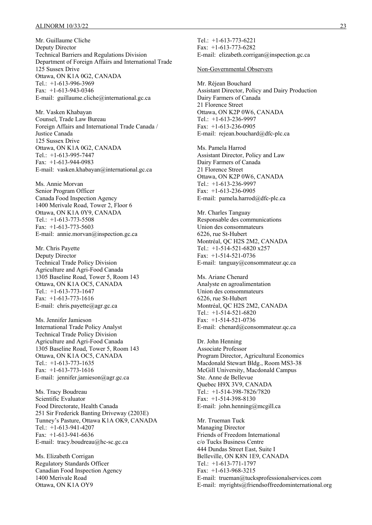#### ALINORM 10/33/22 23

Mr. Guillaume Cliche Deputy Director Technical Barriers and Regulations Division Department of Foreign Affairs and International Trade 125 Sussex Drive Ottawa, ON K1A 0G2, CANADA Tel.: +1-613-996-3969 Fax: +1-613-943-0346 E-mail: guillaume.cliche@international.gc.ca

Mr. Vasken Khabayan Counsel, Trade Law Bureau Foreign Affairs and International Trade Canada / Justice Canada 125 Sussex Drive Ottawa, ON K1A 0G2, CANADA Tel.: +1-613-995-7447 Fax: +1-613-944-0983 E-mail: vasken.khabayan@international.gc.ca

Ms. Annie Morvan Senior Program Officer Canada Food Inspection Agency 1400 Merivale Road, Tower 2, Floor 6 Ottawa, ON K1A 0Y9, CANADA Tel.: +1-613-773-5508 Fax: +1-613-773-5603 E-mail: annie.morvan@inspection.gc.ca

Mr. Chris Payette Deputy Director Technical Trade Policy Division Agriculture and Agri-Food Canada 1305 Baseline Road, Tower 5, Room 143 Ottawa, ON K1A OC5, CANADA Tel.: +1-613-773-1647 Fax: +1-613-773-1616 E-mail: chris.payette@agr.gc.ca

Ms. Jennifer Jamieson International Trade Policy Analyst Technical Trade Policy Division Agriculture and Agri-Food Canada 1305 Baseline Road, Tower 5, Room 143 Ottawa, ON K1A OC5, CANADA Tel.: +1-613-773-1635 Fax: +1-613-773-1616 E-mail: jennifer.jamieson@agr.gc.ca

Ms. Tracy Boudreau Scientific Evaluator Food Directorate, Health Canada 251 Sir Frederick Banting Driveway (2203E) Tunney's Pasture, Ottawa K1A OK9, CANADA Tel.: +1-613-941-4207 Fax: +1-613-941-6636 E-mail: tracy.boudreau@hc-sc.gc.ca

Ms. Elizabeth Corrigan Regulatory Standards Officer Canadian Food Inspection Agency 1400 Merivale Road Ottawa, ON K1A OY9

Tel.: +1-613-773-6221  $Fax: +1-613-773-6282$ E-mail: elizabeth.corrigan@inspection.gc.ca

#### Non-Governmental Observers

Mr. Réjean Bouchard Assistant Director, Policy and Dairy Production Dairy Farmers of Canada 21 Florence Street Ottawa, ON K2P 0W6, CANADA Tel.: +1-613-236-9997 Fax: +1-613-236-0905 E-mail: rejean.bouchard@dfc-plc.ca

Ms. Pamela Harrod Assistant Director, Policy and Law Dairy Farmers of Canada 21 Florence Street Ottawa, ON K2P 0W6, CANADA Tel.: +1-613-236-9997 Fax: +1-613-236-0905 E-mail: pamela.harrod@dfc-plc.ca

Mr. Charles Tanguay Responsable des communications Union des consommateurs 6226, rue St-Hubert Montréal, QC H2S 2M2, CANADA Tel.: +1-514-521-6820 x257 Fax: +1-514-521-0736 E-mail: tanguay@consommateur.qc.ca

Ms. Ariane Chenard Analyste en agroalimentation Union des consommateurs 6226, rue St-Hubert Montréal, QC H2S 2M2, CANADA Tel.: +1-514-521-6820 Fax: +1-514-521-0736 E-mail: chenard@consommateur.qc.ca

Dr. John Henning Associate Professor Program Director, Agricultural Economics Macdonald Stewart Bldg., Room MS3-38 McGill University, Macdonald Campus Ste. Anne de Bellevue Quebec H9X 3V9, CANADA Tel.: +1-514-398-7826/7820 Fax: +1-514-398-8130 E-mail: john.henning@mcgill.ca

Mr. Trueman Tuck Managing Director Friends of Freedom International c/o Tucks Business Centre 444 Dundas Street East, Suite I Belleville, ON K8N 1E9, CANADA Tel.: +1-613-771-1797 Fax: +1-613-968-3215 E-mail: trueman@tucksprofessionalservices.com E-mail: myrights@friendsoffreedominternational.org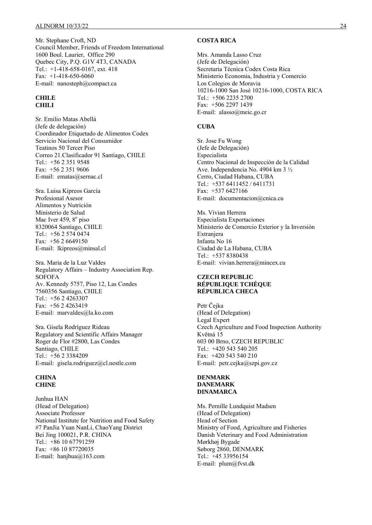Mr. Stephane Croft, ND Council Member, Friends of Freedom International 1600 Boul. Laurier, Office 290 Quebec City, P.Q. G1V 4T3, CANADA Tel.: +1-418-658-0167, ext. 418 Fax: +1-418-650-6060 E-mail: nanosteph@compact.ca

#### **CHILE CHILI**

Sr. Emilio Matas Abellá (Jefe de delegación) Coordinador Etiquetado de Alimentos Codex Servicio Nacional del Consumidor Teatinos 50 Tercer Piso Correo 21.Clasificador 91 Santiago, CHILE Tel.: +56 2 351 9548 Fax: +56 2 351 9606 E-mail: ematas@sernac.cl

Sra. Luisa Kipreos García Profesional Asesor Alimentos y Nutrición Ministerio de Salud Mac Iver 459, 8<sup>°</sup> piso 8320064 Santiago, CHILE Tel.: +56 2 574 0474 Fax: +56 2 6649150 E-mail: lkipreos@minsal.cl

Sra. Maria de la Luz Valdes Regulatory Affairs – Industry Association Rep. **SOFOFA** Av. Kennedy 5757, Piso 12, Las Condes 7560356 Santiago, CHILE Tel.: +56 2 4263307 Fax: +56 2 4263419 E-mail: marvaldes@la.ko.com

Sra. Gisela Rodríguez Rideau Regulatory and Scientific Affairs Manager Roger de Flor #2800, Las Condes Santiago, CHILE Tel.: +56 2 3384209 E-mail: gisela.rodriguez@cl.nestle.com

#### **CHINA CHINE**

Junhua HAN (Head of Delegation) Associate Professor National Institute for Nutrition and Food Safety #7 PanJia Yuan NanLi, ChaoYang District Bei Jing 100021, P.R. CHINA Tel.: +86 10 67791259 Fax: +86 10 87720035 E-mail: hanjhua@163.com

#### **COSTA RICA**

Mrs. Amanda Lasso Cruz (Jefe de Delegación) Secretaria Técnica Codex Costa Rica Ministerio Economia, Industria y Comercio Los Colegios de Moravia 10216-1000 San José 10216-1000, COSTA RICA Tel.: +506 2235 2700 Fax: +506 2297 1439 E-mail: alasso@meic.go.cr

### **CUBA**

Sr. Jose Fu Wong (Jefe de Delegación) Especialista Centro Nacional de Inspección de la Calidad Ave. Independencia No. 4904 km 3 ½ Cerro, Ciudad Habana, CUBA Tel.: +537 6411452 / 6411731 Fax: +537 6427166 E-mail: documentacion@cnica.cu

Ms. Vivian Herrera Especialista Exportaciones Ministerio de Comercio Exterior y la Inversión Extranjera Infanta No 16 Ciudad de La Habana, CUBA Tel.: +537 8380438 E-mail: vivian.herrera@mincex.cu

### **CZECH REPUBLIC RÉPUBLIQUE TCHÈQUE RÉPUBLICA CHECA**

Petr Čejka (Head of Delegation) Legal Expert Czech Agriculture and Food Inspection Authority Kvĕtná 15 603 00 Brno, CZECH REPUBLIC Tel.:  $+420$  543 540 205 Fax: +420 543 540 210 E-mail: petr.cejka@szpi.gov.cz

#### **DENMARK DANEMARK DINAMARCA**

Ms. Pernille Lundquist Madsen (Head of Delegation) Head of Section Ministry of Food, Agriculture and Fisheries Danish Veterinary and Food Administration Mørkhøj Bygade Søborg 2860, DENMARK Tel.: +45 33956154 E-mail: plum@fvst.dk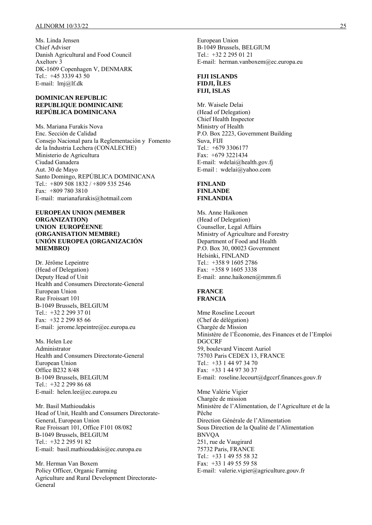Ms. Linda Jensen Chief Adviser Danish Agricultural and Food Council Axeltorv 3 DK-1609 Copenhagen V, DENMARK Tel.: +45 3339 43 50 E-mail: lmj@lf.dk

#### **DOMINICAN REPUBLIC REPUBLIQUE DOMINICAINE REPÚBLICA DOMINICANA**

Ms. Mariana Furakis Nova Enc. Sección de Calidad Consejo Nacional para la Reglementación y Fomento de la Industria Lechera (CONALECHE) Ministerio de Agricultura Ciudad Ganadera Aut. 30 de Mayo Santo Domingo, REPÚBLICA DOMINICANA Tel.: +809 508 1832 / +809 535 2546 Fax: +809 780 3810 E-mail: marianafurakis@hotmail.com

#### **EUROPEAN UNION (MEMBER ORGANIZATION) UNION EUROPÉENNE (ORGANISATION MEMBRE) UNIÓN EUROPEA (ORGANIZACIÓN MIEMBRO)**

Dr. Jérôme Lepeintre (Head of Delegation) Deputy Head of Unit Health and Consumers Directorate-General European Union Rue Froissart 101 B-1049 Brussels, BELGIUM Tel.: +32 2 299 37 01 Fax: +32 2 299 85 66 E-mail: jerome.lepeintre@ec.europa.eu

Ms. Helen Lee Administrator Health and Consumers Directorate-General European Union Office B232 8/48 B-1049 Brussels, BELGIUM Tel.: +32 2 299 86 68 E-mail: helen.lee@ec.europa.eu

Mr. Basil Mathioudakis Head of Unit, Health and Consumers Directorate-General, European Union Rue Froissart 101, Office F101 08/082 B-1049 Brussels, BELGIUM Tel.: +32 2 295 91 82 E-mail: basil.mathioudakis@ec.europa.eu

Mr. Herman Van Boxem Policy Officer, Organic Farming Agriculture and Rural Development Directorate-General

European Union B-1049 Brussels, BELGIUM Tel.: +32 2 295 01 21 E-mail: herman.vanboxem@ec.europa.eu

#### **FIJI ISLANDS FIDJI, ÎLES FIJI, ISLAS**

Mr. Waisele Delai (Head of Delegation) Chief Health Inspector Ministry of Health P.O. Box 2223, Government Building Suva, FIJI Tel.: +679 3306177 Fax: +679 3221434 E-mail: wdelai@health.gov.fj E-mail : wdelai@yahoo.com

#### **FINLAND FINLANDE FINLANDIA**

Ms. Anne Haikonen (Head of Delegation) Counsellor, Legal Affairs Ministry of Agriculture and Forestry Department of Food and Health P.O. Box 30, 00023 Government Helsinki, FINLAND Tel.: +358 9 1605 2786 Fax: +358 9 1605 3338 E-mail: anne.haikonen@mmm.fi

#### **FRANCE FRANCIA**

Mme Roseline Lecourt (Chef de délégation) Chargée de Mission Ministère de l'Économie, des Finances et de l'Emploi DGCCRF 59, boulevard Vincent Auriol 75703 Paris CEDEX 13, FRANCE Tel.: +33 1 44 97 34 70 Fax: +33 1 44 97 30 37 E-mail: roseline.lecourt@dgccrf.finances.gouv.fr

Mme Valérie Vigier Chargée de mission Ministère de l'Alimentation, de l'Agriculture et de la Pêche Direction Générale de l'Alimentation Sous Direction de la Qualité de l'Alimentation BNVQA 251, rue de Vaugirard 75732 Paris, FRANCE Tel.: +33 1 49 55 58 32 Fax: +33 1 49 55 59 58 E-mail: valerie.vigier@agriculture.gouv.fr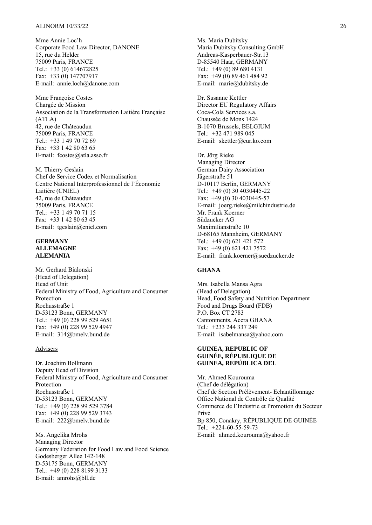Mme Annie Loc'h Corporate Food Law Director, DANONE 15, rue du Helder 75009 Paris, FRANCE Tel.: +33 (0) 614672825 Fax: +33 (0) 147707917 E-mail: annie.loch@danone.com

Mme Françoise Costes Chargée de Mission Association de la Transformation Laitière Française (ATLA) 42, rue de Châteaudun 75009 Paris, FRANCE Tel.: +33 1 49 70 72 69 Fax: +33 1 42 80 63 65 E-mail: fcostes@atla.asso.fr

M. Thierry Geslain Chef de Service Codex et Normalisation Centre National Interprofessionnel de l'Économie Laitière (CNIEL) 42, rue de Châteaudun 75009 Paris, FRANCE Tel.: +33 1 49 70 71 15 Fax: +33 1 42 80 63 45 E-mail: tgeslain@cniel.com

#### **GERMANY ALLEMAGNE ALEMANIA**

Mr. Gerhard Bialonski (Head of Delegation) Head of Unit Federal Ministry of Food, Agriculture and Consumer Protection Rochusstraße 1 D-53123 Bonn, GERMANY Tel.: +49 (0) 228 99 529 4651 Fax: +49 (0) 228 99 529 4947 E-mail: 314@bmelv.bund.de

#### Advisers

Dr. Joachim Bollmann Deputy Head of Division Federal Ministry of Food, Agriculture and Consumer Protection Rochusstraße 1 D-53123 Bonn, GERMANY Tel.: +49 (0) 228 99 529 3784 Fax: +49 (0) 228 99 529 3743 E-mail: 222@bmelv.bund.de

Ms. Angelika Mrohs Managing Director Germany Federation for Food Law and Food Science Godesberger Allee 142-148 D-53175 Bonn, GERMANY Tel.: +49 (0) 228 8199 3133 E-mail: amrohs@bll.de

Ms. Maria Dubitsky Maria Dubitsky Consulting GmbH Andreas-Kasperbauer-Str.13 D-85540 Haar, GERMANY Tel.: +49 (0) 89 680 4131 Fax: +49 (0) 89 461 484 92 E-mail: marie@dubitsky.de

Dr. Susanne Kettler Director EU Regulatory Affairs Coca-Cola Services s.a. Chaussée de Mons 1424 B-1070 Brussels, BELGIUM Tel.: +32 471 989 045 E-mail: skettler@eur.ko.com

Dr. Jörg Rieke Managing Director German Dairy Association Jägerstraße 51 D-10117 Berlin, GERMANY Tel.: +49 (0) 30 4030445-22 Fax: +49 (0) 30 4030445-57 E-mail: joerg.rieke@milchindustrie.de Mr. Frank Koerner Südzucker AG Maximilianstraße 10 D-68165 Mannheim, GERMANY Tel.: +49 (0) 621 421 572 Fax: +49 (0) 621 421 7572 E-mail: frank.koerner@suedzucker.de

#### **GHANA**

Mrs. Isabella Mansa Agra (Head of Delegation) Head, Food Safety and Nutrition Department Food and Drugs Board (FDB) P.O. Box CT 2783 Cantonments, Accra GHANA Tel.: +233 244 337 249 E-mail: isabelmansa@yahoo.com

#### **GUINEA, REPUBLIC OF GUINÉE, RÉPUBLIQUE DE GUINEA, REPÚBLICA DEL**

Mr. Ahmed Kourouma (Chef de délégation) Chef de Section Prélèvement- Echantillonnage Office National de Contrôle de Qualité Commerce de l'Industrie et Promotion du Secteur Privé Bp 850, Conakry, RÉPUBLIQUE DE GUINÉE Tel.: +224-60-55-59-73 E-mail: ahmed.kourouma@yahoo.fr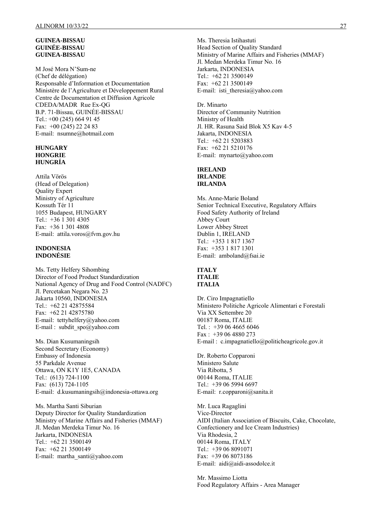#### **GUINEA-BISSAU GUINÉE-BISSAU GUINEA-BISSAU**

M José Mora N'Sum-ne (Chef de délégation) Responsable d'Information et Documentation Ministère de l'Agriculture et Développement Rural Centre de Documentation et Diffusion Agricole CDEDA/MADR Rue Ex-QG B.P. 71-Bissau, GUINÉE-BISSAU Tel.: +00 (245) 664 91 45 Fax: +00 (245) 22 24 83 E-mail: nsumne@hotmail.com

### **HUNGARY HONGRIE HUNGRÍA**

Attila Vörös (Head of Delegation) Quality Expert Ministry of Agriculture Kossuth Tér 11 1055 Budapest, HUNGARY Tel.: +36 1 301 4305 Fax: +36 1 301 4808 E-mail: attila.voros@fvm.gov.hu

#### **INDONESIA INDONÉSIE**

Ms. Tetty Helfery Sihombing Director of Food Product Standardization National Agency of Drug and Food Control (NADFC) Jl. Percetakan Negara No. 23 Jakarta 10560, INDONESIA Tel.: +62 21 42875584 Fax: +62 21 42875780 E-mail: tettyhelfery@yahoo.com E-mail : subdit\_spo@yahoo.com

Ms. Dian Kusumaningsih Second Secretary (Economy) Embassy of Indonesia 55 Parkdale Avenue Ottawa, ON K1Y 1E5, CANADA Tel.: (613) 724-1100 Fax: (613) 724-1105 E-mail: d.kusumaningsih@indonesia-ottawa.org

Ms. Martha Santi Siburian Deputy Director for Quality Standardization Ministry of Marine Affairs and Fisheries (MMAF) Jl. Medan Merdeka Timur No. 16 Jarkarta, INDONESIA Tel.: +62 21 3500149 Fax: +62 21 3500149 E-mail: martha\_santi@yahoo.com

Ms. Theresia Istihastuti Head Section of Quality Standard Ministry of Marine Affairs and Fisheries (MMAF) Jl. Medan Merdeka Timur No. 16 Jarkarta, INDONESIA

Tel.: +62 21 3500149 Fax: +62 21 3500149 E-mail: isti\_theresia@yahoo.com

Dr. Minarto Director of Community Nutrition Ministry of Health Jl. HR. Rasuna Said Blok X5 Kav 4-5 Jakarta, INDONESIA Tel.: +62 21 5203883 Fax: +62 21 5210176 E-mail: mynarto@yahoo.com

#### **IRELAND IRLANDE**

**IRLANDA** 

Ms. Anne-Marie Boland Senior Technical Executive, Regulatory Affairs Food Safety Authority of Ireland Abbey Court Lower Abbey Street Dublin 1, IRELAND Tel.: +353 1 817 1367 Fax: +353 1 817 1301 E-mail: amboland@fsai.ie

#### **ITALY ITALIE ITALIA**

Dr. Ciro Impagnatiello Ministero Politiche Agricole Alimentari e Forestali Via XX Settembre 20 00187 Roma, ITALIE Tel. : +39 06 4665 6046 Fax : +39 06 4880 273 E-mail : c.impagnatiello@politicheagricole.gov.it

Dr. Roberto Copparoni Ministero Salute Via Ribotta, 5 00144 Roma, ITALIE Tel.: +39 06 5994 6697 E-mail: r.copparoni@sanita.it

Mr. Luca Ragaglini Vice-Director AIDI (Italian Association of Biscuits, Cake, Chocolate, Confectionery and Ice Cream Industries) Via Rhodesia, 2 00144 Roma, ITALY Tel.: +39 06 8091071 Fax: +39 06 8073186 E-mail: aidi@aidi-assodolce.it

Mr. Massimo Liotta Food Regulatory Affairs - Area Manager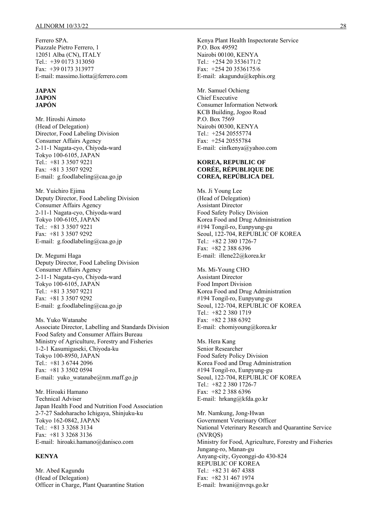Ferrero SPA. Piazzale Pietro Ferrero, 1 12051 Alba (CN), ITALY Tel.: +39 0173 313050 Fax: +39 0173 313977 E-mail: massimo.liotta@ferrero.com

#### **JAPAN JAPON JAPÓN**

Mr. Hiroshi Aimoto (Head of Delegation) Director, Food Labeling Division Consumer Affairs Agency 2-11-1 Nagata-cyo, Chiyoda-ward Tokyo 100-6105, JAPAN Tel.: +81 3 3507 9221 Fax: +81 3 3507 9292 E-mail: g.foodlabeling@caa.go.jp

Mr. Yuichiro Ejima Deputy Director, Food Labeling Division Consumer Affairs Agency 2-11-1 Nagata-cyo, Chiyoda-ward Tokyo 100-6105, JAPAN Tel.: +81 3 3507 9221 Fax: +81 3 3507 9292 E-mail: g.foodlabeling@caa.go.jp

Dr. Megumi Haga Deputy Director, Food Labeling Division Consumer Affairs Agency 2-11-1 Nagata-cyo, Chiyoda-ward Tokyo 100-6105, JAPAN Tel.: +81 3 3507 9221 Fax: +81 3 3507 9292 E-mail: g.foodlabeling@caa.go.jp

Ms. Yuko Watanabe Associate Director, Labelling and Standards Division Food Safety and Consumer Affairs Bureau Ministry of Agriculture, Forestry and Fisheries 1-2-1 Kasumigaseki, Chiyoda-ku Tokyo 100-8950, JAPAN Tel.: +81 3 6744 2096 Fax: +81 3 3502 0594 E-mail: yuko\_watanabe@nm.maff.go.jp

Mr. Hiroaki Hamano Technical Adviser Japan Health Food and Nutrition Food Association 2-7-27 Sadoharacho Ichigaya, Shinjuku-ku Tokyo 162-0842, JAPAN Tel.: +81 3 3268 3134 Fax: +81 3 3268 3136 E-mail: hiroaki.hamano@danisco.com

#### **KENYA**

Mr. Abed Kagundu (Head of Delegation) Officer in Charge, Plant Quarantine Station Kenya Plant Health Inspectorate Service P.O. Box 49592 Nairobi 00100, KENYA Tel.: +254 20 3536171/2 Fax: +254 20 3536175/6 E-mail: akagundu@kephis.org

Mr. Samuel Ochieng Chief Executive Consumer Information Network KCB Building, Jogoo Road P.O. Box 7569 Nairobi 00300, KENYA Tel.: +254 20555774 Fax: +254 20555784 E-mail: cinfkenya@yahoo.com

#### **KOREA, REPUBLIC OF CORÉE, RÉPUBLIQUE DE COREA, REPÚBLICA DEL**

Ms. Ji Young Lee (Head of Delegation) Assistant Director Food Safety Policy Division Korea Food and Drug Administration #194 Tongil-ro, Eunpyung-gu Seoul, 122-704, REPUBLIC OF KOREA Tel.: +82 2 380 1726-7 Fax: +82 2 388 6396 E-mail: illene22@korea.kr

Ms. Mi-Young CHO Assistant Director Food Import Division Korea Food and Drug Administration #194 Tongil-ro, Eunpyung-gu Seoul, 122-704, REPUBLIC OF KOREA Tel.: +82 2 380 1719 Fax: +82 2 388 6392 E-mail: chomiyoung@korea.kr

Ms. Hera Kang Senior Researcher Food Safety Policy Division Korea Food and Drug Administration #194 Tongil-ro, Eunpyung-gu Seoul, 122-704, REPUBLIC OF KOREA Tel.: +82 2 380 1726-7 Fax: +82 2 388 6396 E-mail: hrkang@kfda.go.kr

Mr. Namkung, Jong-Hwan Government Veterinary Officer National Veterinary Research and Quarantine Service (NVRQS) Ministry for Food, Agriculture, Forestry and Fisheries Jungang-ro, Manan-gu Anyang-city, Gyeonggi-do 430-824 REPUBLIC OF KOREA Tel.: +82 31 467 4388 Fax: +82 31 467 1974 E-mail: hwani@nvrqs.go.kr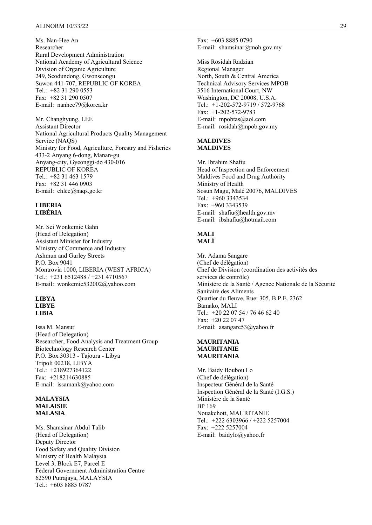Ms. Nan-Hee An Researcher Rural Development Administration National Academy of Agricultural Science Division of Organic Agriculture 249, Seodundong, Gwonseongu Suwon 441-707, REPUBLIC OF KOREA Tel.: +82 31 290 0553 Fax: +82 31 290 0507 E-mail: nanhee79@korea.kr

Mr. Changhyung, LEE Assistant Director National Agricultural Products Quality Management Service (NAQS) Ministry for Food, Agriculture, Forestry and Fisheries 433-2 Anyang 6-dong, Manan-gu Anyang-city, Gyeonggi-do 430-016 REPUBLIC OF KOREA Tel.:  $+82$  31 463 1579 Fax: +82 31 446 0903 E-mail: chlee@naqs.go.kr

#### **LIBERIA LIBÉRIA**

Mr. Sei Wonkemie Gahn (Head of Delegation) Assistant Minister for Industry Ministry of Commerce and Industry Ashmun and Gurley Streets P.O. Box 9041 Montrovia 1000, LIBERIA (WEST AFRICA) Tel.: +231 6512488 / +231 4710567 E-mail: wonkemie532002@yahoo.com

#### **LIBYA LIBYE LIBIA**

Issa M. Mansur (Head of Delegation) Researcher, Food Analysis and Treatment Group Biotechnology Research Center P.O. Box 30313 - Tajoura - Libya Tripoli 00218, LIBYA Tel.: +218927364122 Fax: +218214630885 E-mail: issamank@yahoo.com

#### **MALAYSIA MALAISIE MALASIA**

Ms. Shamsinar Abdul Talib (Head of Delegation) Deputy Director Food Safety and Quality Division Ministry of Health Malaysia Level 3, Block E7, Parcel E Federal Government Administration Centre 62590 Putrajaya, MALAYSIA Tel.: +603 8885 0787

Fax: +603 8885 0790 E-mail: shamsinar@moh.gov.my

Miss Rosidah Radzian Regional Manager North, South & Central America Technical Advisory Services MPOB 3516 International Court, NW Washington, DC 20008, U.S.A. Tel.: +1-202-572-9719 / 572-9768 Fax: +1-202-572-9783 E-mail: mpobtas@aol.com E-mail: rosidah@mpob.gov.my

#### **MALDIVES MALDIVES**

Mr. Ibrahim Shafiu Head of Inspection and Enforcement Maldives Food and Drug Authority Ministry of Health Sosun Magu, Malé 20076, MALDIVES Tel.:  $+960$  3343534 Fax: +960 3343539 E-mail: shafiu@health.gov.mv E-mail: ibshafiu@hotmail.com

#### **MALI MALÍ**

Mr. Adama Sangare (Chef de délégation) Chef de Division (coordination des activités des services de contrôle) Ministère de la Santé / Agence Nationale de la Sécurité Sanitaire des Aliments Quartier du fleuve, Rue: 305, B.P.E. 2362 Bamako, MALI Tel.: +20 22 07 54 / 76 46 62 40 Fax: +20 22 07 47 E-mail: asangare53@yahoo.fr

#### **MAURITANIA MAURITANIE MAURITANIA**

Mr. Baidy Boubou Lo (Chef de délégation) Inspecteur Général de la Santé Inspection Général de la Santé (I.G.S.) Ministère de la Santé BP 169 Nouakchott, MAURITANIE Tel.: +222 6303966 / +222 5257004 Fax: +222 5257004 E-mail: baidylo@yahoo.fr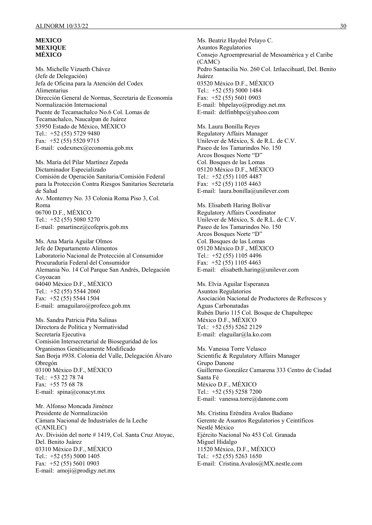#### **MEXICO MEXIQUE MÉXICO**

Ms. Michelle Vizueth Chávez (Jefe de Delegación) Jefa de Oficina para la Atención del Codex Alimentarius Dirección General de Normas, Secretaria de Economía Normalización Internacional Puente de Tecamachalco No.6 Col. Lomas de Tecamachalco, Naucalpan de Juárez 53950 Estado de México, MÉXICO Tel.: +52 (55) 5729 9480 Fax: +52 (55) 5520 9715 E-mail: codexmex@economia.gob.mx

Ms. María del Pilar Martínez Zepeda Dictaminador Especializado Comisión de Operación Sanitaria/Comisión Federal para la Protección Contra Riesgos Sanitarios Secretaría de Salud Av. Monterrey No. 33 Colonia Roma Piso 3, Col. Roma 06700 D.F., MÉXICO Tel.: +52 (55) 5080 5270 E-mail: pmartinez@cofepris.gob.mx

Ms. Ana María Aguilar Olmos Jefe de Departamento Alimentos Laboratorio Nacional de Protección al Consumidor Procuraduría Federal del Consumidor Alemania No. 14 Col Parque San Andrés, Delegación Coyoacan 04040 México D.F., MÉXICO Tel.: +52 (55) 5544 2060 Fax: +52 (55) 5544 1504 E-mail: amaguilaro@profeco.gob.mx

Ms. Sandra Patricia Piňa Salinas Directora de Política y Normatividad Secretaría Ejecutiva Comisión Intersecretarial de Bioseguridad de los Organismos Genéticamente Modificado San Borja #938. Colonia del Valle, Delegación Álvaro Obregón 03100 México D.F., MÉXICO Tel.: +53 22 78 74 Fax: +55 75 68 78 E-mail: spina@conacyt.mx

Mr. Alfonso Moncada Jiménez Presidente de Normalización Cámara Nacional de Industriales de la Leche (CANILEC) Av. División del norte # 1419, Col. Santa Cruz Atoyac, Del. Benito Juárez 03310 México D.F., MÉXICO Tel.: +52 (55) 5000 1405 Fax: +52 (55) 5601 0903 E-mail: amoji@prodigy.net.mx

Ms. Beatriz Haydeé Pelayo C. Asuntos Regulatorios Consejo Agroempresarial de Mesoamérica y el Caribe (CAMC) Pedro Santacilia No. 260 Col. Iztlaccihuatl, Del. Benito Juárez 03520 México D.F., MÉXICO Tel.: +52 (55) 5000 1484 Fax: +52 (55) 5601 0903 E-mail: bhpelayo@prodigy.net.mx E-mail: delfinbhpc@yahoo.com

Ms. Laura Bonilla Reyes Regulatory Affairs Manager Unilever de México, S. de R.L. de C.V. Paseo de los Tamarindos No. 150 Arcos Bosques Norte "D" Col. Bosques de las Lomas 05120 México D.F., MÉXICO Tel.: +52 (55) 1105 4487 Fax: +52 (55) 1105 4463 E-mail: laura.bonilla@unilever.com

Ms. Elisabeth Haring Bolívar Regulatory Affairs Coordinator Unilever de México, S. de R.L. de C.V. Paseo de los Tamarindos No. 150 Arcos Bosques Norte "D" Col. Bosques de las Lomas 05120 México D.F., MÉXICO Tel.: +52 (55) 1105 4496 Fax: +52 (55) 1105 4463 E-mail: elisabeth.haring@unilever.com

Ms. Elvia Aguilar Esperanza Asuntos Regulatorios Asociación Nacional de Productores de Refrescos y Aguas Carbonatadas Rubén Dario 115 Col. Bosque de Chapultepec México D.F., MÉXICO Tel.: +52 (55) 5262 2129 E-mail: elaguilar@la.ko.com

Ms. Vanessa Torre Velasco Scientific & Regulatory Affairs Manager Grupo Danone Guillermo González Camarena 333 Centro de Ciudad Santa Fé México D.F., MÉXICO Tel.: +52 (55) 5258 7200 E-mail: vanessa.torre@danone.com

Ms. Cristina Eréndira Avalos Badiano Gerente de Asuntos Regulatorios y Ceintíficos Nestlé México Ejército Nacional No 453 Col. Granada Miguel Hidalgo 11520 México, D.F., MÉXICO Tel.: +52 (55) 5263 1650 E-mail: Cristina.Avalos@MX.nestle.com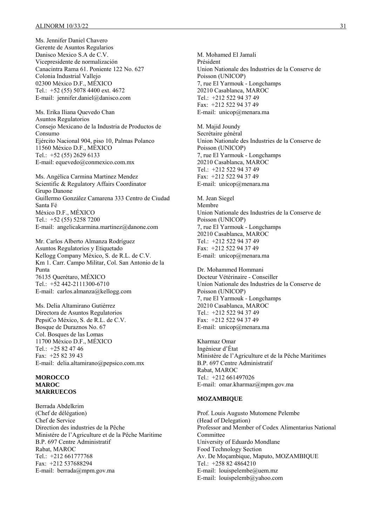Ms. Jennifer Daniel Chavero Gerente de Asuntos Regularios Danisco Mexico S.A de C.V. Vicepresidente de normalización Canacintra Rama 61. Poniente 122 No. 627 Colonia Industrial Vallejo 02300 México D.F., MÉXICO Tel.: +52 (55) 5078 4400 ext. 4672 E-mail: jennifer.daniel@danisco.com

Ms. Erika Iliana Quevedo Chan Asuntos Regulatorios Consejo Mexicano de la Industria de Productos de Consumo Ejército Nacional 904, piso 10, Palmas Polanco 11560 México D.F., MÉXICO Tel.: +52 (55) 2629 6133 E-mail: equevedo@conmexico.com.mx

Ms. Angélica Carmina Martinez Mendez Scientific & Regulatory Affairs Coordinator Grupo Danone Guillermo González Camarena 333 Centro de Ciudad Santa Fé México D.F., MÉXICO Tel.: +52 (55) 5258 7200 E-mail: angelicakarmina.martinez@danone.com

Mr. Carlos Alberto Almanza Rodríguez Asuntos Regulatorios y Etiquetado Kellogg Company México, S. de R.L. de C.V. Km 1. Carr. Campo Militar, Col. San Antonio de la Punta 76135 Querétaro, MÉXICO Tel.: +52 442-2111300-6710 E-mail: carlos.almanza@kellogg.com

Ms. Delia Altamirano Gutiérrez Directora de Asuntos Regulatorios PepsiCo México, S. de R.L. de C.V. Bosque de Duraznos No. 67 Col. Bosques de las Lomas 11700 México D.F., MÉXICO Tel.:  $+25824746$ Fax: +25 82 39 43 E-mail: delia.altamirano@pepsico.com.mx

#### **MOROCCO MAROC MARRUECOS**

Berrada Abdelkrim (Chef de délégation) Chef de Service Direction des industries de la Pêche Ministére de l'Agriculture et de la Pêche Maritime B.P. 697 Centre Administratif Rabat, MAROC Tel.: +212 661777768 Fax: +212 537688294 E-mail: berrada@mpm.gov.ma

M. Mohamed El Jamali Président Union Nationale des Industries de la Conserve de Poisson (UNICOP) 7, rue El Yarmouk - Longchamps 20210 Casablanca, MAROC Tel.: +212 522 94 37 49 Fax: +212 522 94 37 49 E-mail: unicop@menara.ma

M. Majid Joundy Secrétaire général Union Nationale des Industries de la Conserve de Poisson (UNICOP) 7, rue El Yarmouk - Longchamps 20210 Casablanca, MAROC Tel.: +212 522 94 37 49 Fax: +212 522 94 37 49 E-mail: unicop@menara.ma

M. Jean Siegel Membre Union Nationale des Industries de la Conserve de Poisson (UNICOP) 7, rue El Yarmouk - Longchamps 20210 Casablanca, MAROC Tel.: +212 522 94 37 49 Fax: +212 522 94 37 49 E-mail: unicop@menara.ma

Dr. Mohammed Hommani Docteur Vétérinaire - Conseiller Union Nationale des Industries de la Conserve de Poisson (UNICOP) 7, rue El Yarmouk - Longchamps 20210 Casablanca, MAROC Tel.: +212 522 94 37 49 Fax: +212 522 94 37 49 E-mail: unicop@menara.ma

Kharmaz Omar Ingénieur d'État Ministère de l'Agriculture et de la Pêche Maritimes B.P. 697 Centre Administratif Rabat, MAROC Tel.: +212 661497026 E-mail: omar.kharmaz@mpm.gov.ma

#### **MOZAMBIQUE**

Prof. Louis Augusto Mutomene Pelembe (Head of Delegation) Professor and Member of Codex Alimentarius National **Committee** University of Eduardo Mondlane Food Technology Section Av. De Moçambique, Maputo, MOZAMBIQUE Tel.: +258 82 4864210 E-mail: louispelembe@uem.mz E-mail: louispelemb@yahoo.com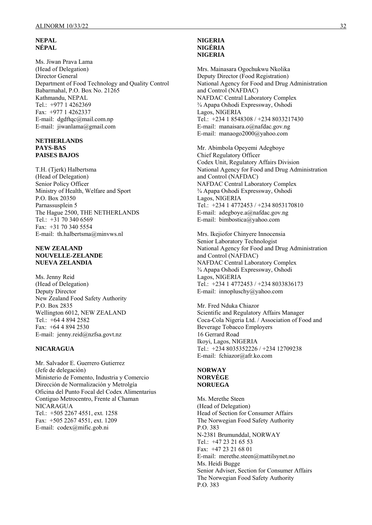#### **NEPAL NÉPAL**

Ms. Jiwan Prava Lama (Head of Delegation) Director General Department of Food Technology and Quality Control Babarmahal, P.O. Box No. 21265 Kathmandu, NEPAL Tel.: +977 1 4262369 Fax: +977 1 4262337 E-mail: dgdftqc@mail.com.np E-mail: jiwanlama@gmail.com

#### **NETHERLANDS PAYS-BAS PAISES BAJOS**

T.H. (Tjerk) Halbertsma (Head of Delegation) Senior Policy Officer Ministry of Health, Welfare and Sport P.O. Box 20350 Parnassusplein 5 The Hague 2500, THE NETHERLANDS Tel.: +31 70 340 6569 Fax: +31 70 340 5554 E-mail: th.halbertsma@minvws.nl

#### **NEW ZEALAND NOUVELLE-ZELANDE NUEVA ZELANDIA**

Ms. Jenny Reid (Head of Delegation) Deputy Director New Zealand Food Safety Authority P.O. Box 2835 Wellington 6012, NEW ZEALAND Tel.: +64 4 894 2582 Fax: +64 4 894 2530 E-mail: jenny.reid@nzfsa.govt.nz

### **NICARAGUA**

Mr. Salvador E. Guerrero Gutierrez (Jefe de delegación) Ministerio de Fomento, Industria y Comercio Dirección de Normalización y Metrolgía Oficina del Punto Focal del Codex Alimentarius Contiguo Metrocentro, Frente al Chaman NICARAGUA Tel.: +505 2267 4551, ext. 1258 Fax: +505 2267 4551, ext. 1209 E-mail: codex@mific.gob.ni

#### **NIGERIA NIGÉRIA NIGERIA**

Mrs. Mainasara Ogochukwu Nkolika Deputy Director (Food Registration) National Agency for Food and Drug Administration and Control (NAFDAC) NAFDAC Central Laboratory Complex ¾ Apapa Oshodi Expressway, Oshodi Lagos, NIGERIA Tel.: +234 1 8548308 / +234 8033217430 E-mail: manaisara.o@nafdac.gov.ng E-mail: manaogo2000@yahoo.com

Mr. Abimbola Opeyemi Adegboye Chief Regulatory Officer Codex Unit, Regulatory Affairs Division National Agency for Food and Drug Administration and Control (NAFDAC) NAFDAC Central Laboratory Complex ¾ Apapa Oshodi Expressway, Oshodi Lagos, NIGERIA Tel.: +234 1 4772453 / +234 8053170810 E-mail: adegboye.a@nafdac.gov.ng E-mail: bimbostica@yahoo.com

Mrs. Ikejiofor Chinyere Innocensia Senior Laboratory Technologist National Agency for Food and Drug Administration and Control (NAFDAC) NAFDAC Central Laboratory Complex ¾ Apapa Oshodi Expressway, Oshodi Lagos, NIGERIA Tel.: +234 1 4772453 / +234 8033836173 E-mail: innopluschy@yahoo.com

Mr. Fred Nduka Chiazor Scientific and Regulatory Affairs Manager Coca-Cola Nigeria Ltd. / Association of Food and Beverage Tobacco Employers 16 Gerrard Road Ikoyi, Lagos, NIGERIA Tel.: +234 8035352226 / +234 12709238 E-mail: fchiazor@afr.ko.com

#### **NORWAY NORVÈGE NORUEGA**

Ms. Merethe Steen (Head of Delegation) Head of Section for Consumer Affairs The Norwegian Food Safety Authority P.O. 383 N-2381 Brumunddal, NORWAY Tel.:  $+4723216553$ Fax: +47 23 21 68 01 E-mail: merethe.steen@mattilsynet.no Ms. Heidi Bugge Senior Adviser, Section for Consumer Affairs The Norwegian Food Safety Authority P.O. 383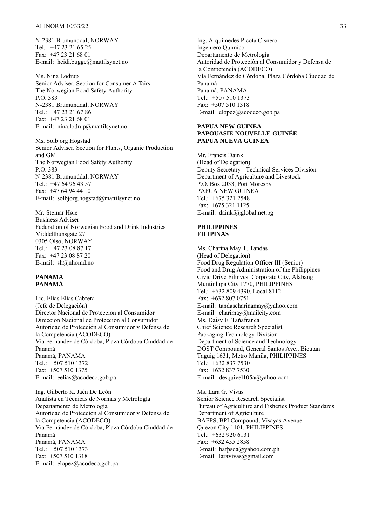N-2381 Brumunddal, NORWAY Tel.:  $+47$  23 21 65 25 Fax: +47 23 21 68 01 E-mail: heidi.bugge@mattilsynet.no

Ms. Nina Lødrup Senior Adviser, Section for Consumer Affairs The Norwegian Food Safety Authority P.O. 383 N-2381 Brumunddal, NORWAY Tel.: +47 23 21 67 86 Fax: +47 23 21 68 01 E-mail: nina.lodrup@mattilsynet.no

Ms. Solbjørg Hogstad Senior Adviser, Section for Plants, Organic Production and GM The Norwegian Food Safety Authority P.O. 383 N-2381 Brumunddal, NORWAY Tel.: +47 64 96 43 57 Fax: +47 64 94 44 10 E-mail: solbjorg.hogstad@mattilsynet.no

Mr. Steinar Høie Business Adviser Federation of Norwegian Food and Drink Industries Middelthunsgate 27 0305 Olso, NORWAY Tel.: +47 23 08 87 17 Fax: +47 23 08 87 20 E-mail: sh@nhomd.no

#### **PANAMA PANAMÁ**

Lic. Elías Elías Cabrera (Jefe de Delegación) Director Nacional de Proteccion al Consumidor Direccion Nacional de Proteccion al Consumidor Autoridad de Protección al Consumidor y Defensa de la Competencia (ACODECO) Vía Fernández de Córdoba, Plaza Córdoba Ciuddad de Panamá Panamá, PANAMA Tel.: +507 510 1372 Fax: +507 510 1375 E-mail: eelias@acodeco.gob.pa

Ing. Gilberto K. Jaén De León Analista en Técnicas de Normas y Metrología Departamento de Metrología Autoridad de Protección al Consumidor y Defensa de la Competencia (ACODECO) Vía Fernández de Córdoba, Plaza Córdoba Ciuddad de Panamá Panamá, PANAMA Tel.: +507 510 1373 Fax: +507 510 1318 E-mail: elopez@acodeco.gob.pa

Ing. Arquímedes Picota Cisnero Ingeniero Químico Departamento de Metrología Autoridad de Protección al Consumidor y Defensa de la Competencia (ACODECO) Vía Fernández de Córdoba, Plaza Córdoba Ciuddad de Panamá Panamá, PANAMA Tel.: +507 510 1373 Fax: +507 510 1318 E-mail: elopez@acodeco.gob.pa

#### **PAPUA NEW GUINEA PAPOUASIE-NOUVELLE-GUINÉE PAPUA NUEVA GUINEA**

Mr. Francis Daink (Head of Delegation) Deputy Secretary - Technical Services Division Department of Agriculture and Livestock P.O. Box 2033, Port Moresby PAPUA NEW GUINEA Tel.:  $+6753212548$ Fax: +675 321 1125 E-mail: dainkf@global.net.pg

#### **PHILIPPINES FILIPINAS**

Ms. Charina May T. Tandas (Head of Delegation) Food Drug Regulation Officer III (Senior) Food and Drug Administration of the Philippines Civic Drive Filinvest Corporate City, Alabang Muntinlupa City 1770, PHILIPPINES Tel.: +632 809 4390, Local 8112 Fax: +632 807 0751 E-mail: tandascharinamay@yahoo.com E-mail: charimay@mailcity.com Ms. Daisy E. Taňafranca Chief Science Research Specialist Packaging Technology Division Department of Science and Technology DOST Compound, General Santos Ave., Bicutan Taguig 1631, Metro Manila, PHILIPPINES Tel.: +632 837 7530 Fax: +632 837 7530 E-mail: desquivel105a@yahoo.com

Ms. Lara G. Vivas Senior Science Research Specialist Bureau of Agriculture and Fisheries Product Standards Department of Agriculture BAFPS, BPI Compound, Visayas Avenue Quezon City 1101, PHILIPPINES Tel.: +632 920 6131 Fax: +632 455 2858 E-mail: bafpsda@yahoo.com.ph E-mail: laravivas@gmail.com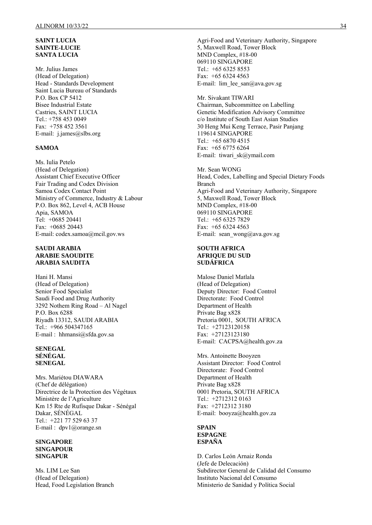#### **SAINT LUCIA SAINTE-LUCIE SANTA LUCIA**

Mr. Julius James (Head of Delegation) Head - Standards Development Saint Lucia Bureau of Standards P.O. Box CP 5412 Bisee Industrial Estate Castries, SAINT LUCIA Tel.: +758 453 0049 Fax: +758 452 3561 E-mail: j.james@slbs.org

#### **SAMOA**

Ms. Iulia Petelo (Head of Delegation) Assistant Chief Executive Officer Fair Trading and Codex Division Samoa Codex Contact Point Ministry of Commerce, Industry & Labour P.O. Box 862, Level 4, ACB House Apia, SAMOA Tel: +0685 20441 Fax: +0685 20443 E-mail: codex.samoa@mcil.gov.ws

#### **SAUDI ARABIA ARABIE SAOUDITE ARABIA SAUDITA**

Hani H. Mansi (Head of Delegation) Senior Food Specialist Saudi Food and Drug Authority 3292 Nothem Ring Road – Al Nagel P.O. Box 6288 Riyadh 13312, SAUDI ARABIA Tel.: +966 504347165 E-mail : hhmansi@sfda.gov.sa

#### **SENEGAL SÉNÉGAL SENEGAL**

Mrs. Mariétou DIAWARA (Chef de délégation) Directrice de la Protection des Végétaux Ministère de l'Agriculture Km 15 Rte de Rufisque Dakar - Sénégal Dakar, SÉNÉGAL Tel.: +221 77 529 63 37 E-mail : dpv1@orange.sn

#### **SINGAPORE SINGAPOUR SINGAPUR**

Ms. LIM Lee San (Head of Delegation) Head, Food Legislation Branch Agri-Food and Veterinary Authority, Singapore 5, Maxwell Road, Tower Block MND Complex, #18-00 069110 SINGAPORE Tel.: +65 6325 8553 Fax: +65 6324 4563 E-mail: lim lee  $san@awa.gov.sg$ 

Mr. Sivakant TIWARI Chairman, Subcommittee on Labelling Genetic Modification Advisory Committee c/o Institute of South East Asian Studies 30 Heng Mui Keng Terrace, Pasir Panjang 119614 SINGAPORE Tel.: +65 6870 4515 Fax: +65 6775 6264 E-mail: tiwari\_sk@ymail.com

Mr. Sean WONG Head, Codex, Labelling and Special Dietary Foods Branch Agri-Food and Veterinary Authority, Singapore 5, Maxwell Road, Tower Block MND Complex, #18-00 069110 SINGAPORE Tel.: +65 6325 7829 Fax: +65 6324 4563 E-mail: sean\_wong@ava.gov.sg

#### **SOUTH AFRICA AFRIQUE DU SUD SUDÁFRICA**

Malose Daniel Matlala (Head of Delegation) Deputy Director: Food Control Directorate: Food Control Department of Health Private Bag x828 Pretoria 0001, SOUTH AFRICA Tel.: +27123120158 Fax: +27123123180 E-mail: CACPSA@health.gov.za

Mrs. Antoinette Booyzen Assistant Director: Food Control Directorate: Food Control Department of Health Private Bag x828 0001 Pretoria, SOUTH AFRICA Tel.: +2712312 0163 Fax: +2712312 3180 E-mail: booyza@health.gov.za

#### **SPAIN ESPAGNE ESPAÑA**

D. Carlos León Arnaiz Ronda (Jefe de Delecación) Subdirector General de Calidad del Consumo Instituto Nacional del Consumo Ministerio de Sanidad y Política Social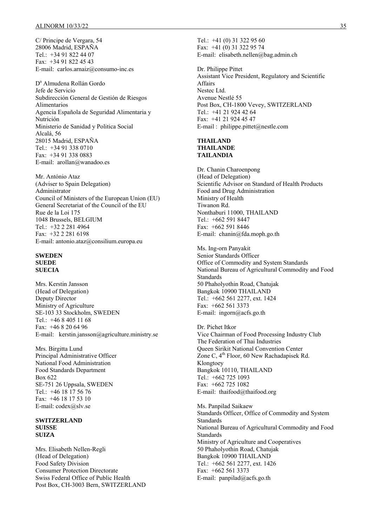C/ Principe de Vergara, 54 28006 Madrid, ESPAÑA Tel.: +34 91 822 44 07 Fax: +34 91 822 45 43 E-mail: carlos.arnaiz@consumo-inc.es

D<sup>a</sup> Almudena Rollán Gordo Jefe de Servicio Subdirección General de Gestión de Riesgos Alimentarios Agencia Española de Seguridad Alimentaria y Nutrición Ministerio de Sanidad y Politica Social Alcalá, 56 28015 Madrid, ESPAÑA Tel.: +34 91 338 0710 Fax: +34 91 338 0883 E-mail: arollan@wanadoo.es

Mr. António Ataz (Adviser to Spain Delegation) Administrator Council of Ministers of the European Union (EU) General Secretariat of the Council of the EU Rue de la Loi 175 1048 Brussels, BELGIUM Tel.: +32 2 281 4964 Fax: +32 2 281 6198 E-mail: antonio.ataz@consilium.europa.eu

#### **SWEDEN SUEDE SUECIA**

Mrs. Kerstin Jansson (Head of Delegation) Deputy Director Ministry of Agriculture SE-103 33 Stockholm, SWEDEN Tel.: +46 8 405 11 68 Fax: +46 8 20 64 96 E-mail: kerstin.jansson@agriculture.ministry.se

Mrs. Birgitta Lund Principal Administrative Officer National Food Administration Food Standards Department Box 622 SE-751 26 Uppsala, SWEDEN Tel.: +46 18 17 56 76 Fax: +46 18 17 53 10 E-mail: codex@slv.se

#### **SWITZERLAND SUISSE SUIZA**

Mrs. Elisabeth Nellen-Regli (Head of Delegation) Food Safety Division Consumer Protection Directorate Swiss Federal Office of Public Health Post Box, CH-3003 Bern, SWITZERLAND Tel.: +41 (0) 31 322 95 60 Fax: +41 (0) 31 322 95 74 E-mail: elisabeth.nellen@bag.admin.ch

Dr. Philippe Pittet Assistant Vice President, Regulatory and Scientific Affairs Nestec Ltd. Avenue Nestlé 55 Post Box, CH-1800 Vevey, SWITZERLAND Tel.: +41 21 924 42 64 Fax: +41 21 924 45 47 E-mail : philippe.pittet@nestle.com

#### **THAILAND THAILANDE TAILANDIA**

Dr. Chanin Charoenpong (Head of Delegation) Scientific Advisor on Standard of Health Products Food and Drug Administration Ministry of Health Tiwanon Rd. Nonthaburi 11000, THAILAND Tel.: +662 591 8447 Fax: +662 591 8446 E-mail: chanin@fda.moph.go.th

Ms. Ing-orn Panyakit Senior Standards Officer Office of Commodity and System Standards National Bureau of Agricultural Commodity and Food Standards 50 Phaholyothin Road, Chatujak Bangkok 10900 THAILAND Tel.: +662 561 2277, ext. 1424 Fax: +662 561 3373 E-mail: ingorn@acfs.go.th

Dr. Pichet Itkor Vice Chairman of Food Processing Industry Club The Federation of Thai Industries Queen Sirikit National Convention Center Zone C,  $4^{th}$  Floor, 60 New Rachadapisek Rd. Klongtoey Bangkok 10110, THAILAND Tel.: +662 725 1093 Fax: +662 725 1082 E-mail:thaifood@thaifood.org

Ms. Panpilad Saikaew Standards Officer, Office of Commodity and System **Standards** National Bureau of Agricultural Commodity and Food Standards Ministry of Agriculture and Cooperatives 50 Phaholyothin Road, Chatujak Bangkok 10900 THAILAND Tel.: +662 561 2277, ext. 1426 Fax: +662 561 3373 E-mail:  $p$ anpilad@acfs.go.th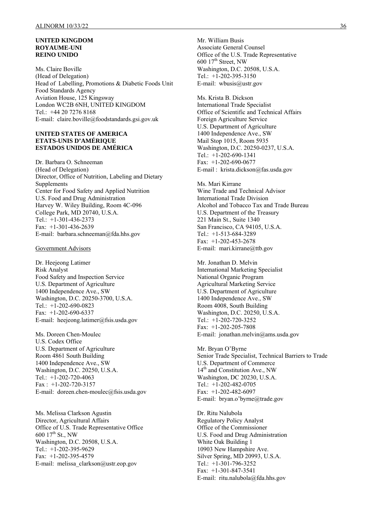#### **UNITED KINGDOM ROYAUME-UNI REINO UNIDO**

Ms. Claire Boville (Head of Delegation) Head of Labelling, Promotions & Diabetic Foods Unit Food Standards Agency Aviation House, 125 Kingsway London WC2B 6NH, UNITED KINGDOM Tel.: +44 20 7276 8168 E-mail: claire.boville@foodstandards.gsi.gov.uk

#### **UNITED STATES OF AMERICA ETATS-UNIS D'AMÉRIQUE ESTADOS UNIDOS DE AMÉRICA**

Dr. Barbara O. Schneeman (Head of Delegation) Director, Office of Nutrition, Labeling and Dietary Supplements Center for Food Safety and Applied Nutrition U.S. Food and Drug Administration Harvey W. Wiley Building, Room 4C-096 College Park, MD 20740, U.S.A. Tel.: +1-301-436-2373 Fax: +1-301-436-2639 E-mail: barbara.schneeman@fda.hhs.gov

#### Government Advisors

Dr. Heejeong Latimer Risk Analyst Food Safety and Inspection Service U.S. Department of Agriculture 1400 Independence Ave., SW Washington, D.C. 20250-3700, U.S.A. Tel.: +1-202-690-0823 Fax: +1-202-690-6337 E-mail: heejeong.latimer@fsis.usda.gov

Ms. Doreen Chen-Moulec U.S. Codex Office U.S. Department of Agriculture Room 4861 South Building 1400 Independence Ave., SW Washington, D.C. 20250, U.S.A. Tel.: +1-202-720-4063 Fax : +1-202-720-3157 E-mail: doreen.chen-moulec@fsis.usda.gov

Ms. Melissa Clarkson Agustin Director, Agricultural Affairs Office of U.S. Trade Representative Office 600  $17^{th}$  St., NW Washington, D.C. 20508, U.S.A. Tel.: +1-202-395-9629 Fax: +1-202-395-4579 E-mail: melissa\_clarkson@ustr.eop.gov

Mr. William Busis Associate General Counsel Office of the U.S. Trade Representative  $600$   $17<sup>th</sup>$  Street, NW Washington, D.C. 20508, U.S.A. Tel.: +1-202-395-3150 E-mail: wbusis@ustr.gov

Ms. Krista B. Dickson International Trade Specialist Office of Scientific and Technical Affairs Foreign Agriculture Service U.S. Department of Agriculture 1400 Independence Ave., SW Mail Stop 1015, Room 5935 Washington, D.C. 20250-0237, U.S.A. Tel.: +1-202-690-1341 Fax: +1-202-690-0677 E-mail : krista.dickson@fas.usda.gov

Ms. Mari Kirrane Wine Trade and Technical Advisor International Trade Division Alcohol and Tobacco Tax and Trade Bureau U.S. Department of the Treasury 221 Main St., Suite 1340 San Francisco, CA 94105, U.S.A. Tel.: +1-513-684-3289 Fax: +1-202-453-2678 E-mail: mari.kirrane@ttb.gov

Mr. Jonathan D. Melvin International Marketing Specialist National Organic Program Agricultural Marketing Service U.S. Department of Agriculture 1400 Independence Ave., SW Room 4008, South Building Washington, D.C. 20250, U.S.A. Tel.: +1-202-720-3252 Fax: +1-202-205-7808 E-mail: jonathan.melvin@ams.usda.gov

Mr. Bryan O'Byrne Senior Trade Specialist, Technical Barriers to Trade U.S. Department of Commerce 14<sup>th</sup> and Constitution Ave., NW Washington, DC 20230, U.S.A. Tel.: +1-202-482-0705 Fax: +1-202-482-6097 E-mail: bryan.o'byrne@trade.gov

Dr. Ritu Nalubola Regulatory Policy Analyst Office of the Commissioner U.S. Food and Drug Administration White Oak Building 1 10903 New Hampshire Ave. Silver Spring, MD 20993, U.S.A. Tel.: +1-301-796-3252 Fax: +1-301-847-3541 E-mail: ritu.nalubola@fda.hhs.gov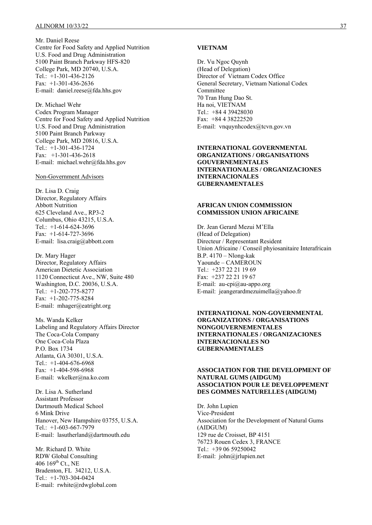Mr. Daniel Reese Centre for Food Safety and Applied Nutrition U.S. Food and Drug Administration 5100 Paint Branch Parkway HFS-820 College Park, MD 20740, U.S.A. Tel.: +1-301-436-2126 Fax: +1-301-436-2636 E-mail: daniel.reese@fda.hhs.gov

Dr. Michael Wehr Codex Program Manager Centre for Food Safety and Applied Nutrition U.S. Food and Drug Administration 5100 Paint Branch Parkway College Park, MD 20816, U.S.A. Tel.: +1-301-436-1724 Fax: +1-301-436-2618 E-mail: michael.wehr@fda.hhs.gov

#### Non-Government Advisors

Dr. Lisa D. Craig Director, Regulatory Affairs Abbott Nutrition 625 Cleveland Ave., RP3-2 Columbus, Ohio 43215, U.S.A. Tel.: +1-614-624-3696 Fax: +1-614-727-3696 E-mail: lisa.craig@abbott.com

Dr. Mary Hager Director, Regulatory Affairs American Dietetic Association 1120 Connecticut Ave., NW, Suite 480 Washington, D.C. 20036, U.S.A. Tel.: +1-202-775-8277 Fax: +1-202-775-8284 E-mail: mhager@eatright.org

Ms. Wanda Kelker Labeling and Regulatory Affairs Director The Coca-Cola Company One Coca-Cola Plaza P.O. Box 1734 Atlanta, GA 30301, U.S.A. Tel.: +1-404-676-6968 Fax: +1-404-598-6968 E-mail: wkelker@na.ko.com

Dr. Lisa A. Sutherland Assistant Professor Dartmouth Medical School 6 Mink Drive Hanover, New Hampshire 03755, U.S.A. Tel.: +1-603-667-7979 E-mail: lasutherland@dartmouth.edu

Mr. Richard D. White RDW Global Consulting 406 169<sup>th</sup> Ct., NE Bradenton, FL 34212, U.S.A. Tel.: +1-703-304-0424 E-mail: rwhite@rdwglobal.com

#### **VIETNAM**

Dr. Vu Ngoc Quynh (Head of Delegation) Director of Vietnam Codex Office General Secretary, Vietnam National Codex Committee 70 Tran Hung Dao St. Ha noi, VIETNAM Tel.: +84 4 39428030 Fax: +84 4 38222520 E-mail: vnquynhcodex@tcvn.gov.vn

#### **INTERNATIONAL GOVERNMENTAL ORGANIZATIONS / ORGANISATIONS GOUVERNEMENTALES INTERNATIONALES / ORGANIZACIONES INTERNACIONALES GUBERNAMENTALES**

#### **AFRICAN UNION COMMISSION COMMISSION UNION AFRICAINE**

Dr. Jean Gerard Mezui M'Ella (Head of Delegation) Directeur / Representant Resident Union Africaine / Conseil phyiosanitaire Interafricain B.P. 4170 – Nlong-kak Yaounde – CAMEROUN Tel.: +237 22 21 19 69 Fax: +237 22 21 19 67 E-mail:  $au\text{-}epi@au\text{-}appo.org$ E-mail: jeangerardmezuimella@yahoo.fr

**INTERNATIONAL NON-GOVERNMENTAL ORGANIZATIONS / ORGANISATIONS NONGOUVERNEMENTALES INTERNATIONALES / ORGANIZACIONES INTERNACIONALES NO GUBERNAMENTALES** 

#### **ASSOCIATION FOR THE DEVELOPMENT OF NATURAL GUMS (AIDGUM) ASSOCIATION POUR LE DEVELOPPEMENT DES GOMMES NATURELLES (AIDGUM)**

Dr. John Lupien Vice-President Association for the Development of Natural Gums (AIDGUM) 129 rue de Croisset, BP 4151 76723 Rouen Cedex 3, FRANCE Tel.: +39 06 59250042 E-mail: john@jrlupien.net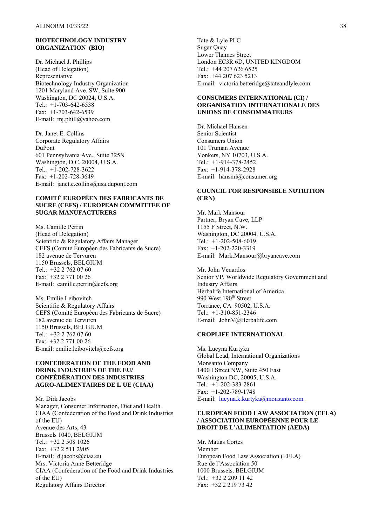#### **BIOTECHNOLOGY INDUSTRY ORGANIZATION (BIO)**

Dr. Michael J. Phillips (Head of Delegation) Representative Biotechnology Industry Organization 1201 Maryland Ave. SW, Suite 900 Washington, DC 20024, U.S.A. Tel.: +1-703-642-6538 Fax: +1-703-642-6539 E-mail: mj.phill@yahoo.com

Dr. Janet E. Collins Corporate Regulatory Affairs DuPont 601 Pennsylvania Ave., Suite 325N Washington, D.C. 20004, U.S.A. Tel.: +1-202-728-3622 Fax: +1-202-728-3649 E-mail: janet.e.collins@usa.dupont.com

#### **COMITÉ EUROPÉEN DES FABRICANTS DE SUCRE (CEFS) / EUROPEAN COMMITTEE OF SUGAR MANUFACTURERS**

Ms. Camille Perrin (Head of Delegation) Scientific & Regulatory Affairs Manager CEFS (Comité Européen des Fabricants de Sucre) 182 avenue de Tervuren 1150 Brussels, BELGIUM Tel.: +32 2 762 07 60 Fax: +32 2 771 00 26 E-mail: camille.perrin@cefs.org

Ms. Emilie Leibovitch Scientific & Regulatory Affairs CEFS (Comité Européen des Fabricants de Sucre) 182 avenue du Tervuren 1150 Brussels, BELGIUM Tel.: +32 2 762 07 60 Fax: +32 2 771 00 26 E-mail: emilie.leibovitch@cefs.org

#### **CONFEDERATION OF THE FOOD AND DRINK INDUSTRIES OF THE EU/ CONFÉDÉRATION DES INDUSTRIES AGRO-ALIMENTAIRES DE L'UE (CIAA)**

Mr. Dirk Jacobs Manager, Consumer Information, Diet and Health CIAA (Confederation of the Food and Drink Industries of the EU) Avenue des Arts, 43 Brussels 1040, BELGIUM Tel.: +32 2 508 1026 Fax: +32 2 511 2905 E-mail: d.jacobs@ciaa.eu Mrs. Victoria Anne Betteridge CIAA (Confederation of the Food and Drink Industries of the EU) Regulatory Affairs Director

Tate & Lyle PLC Sugar Quay Lower Thames Street London EC3R 6D, UNITED KINGDOM Tel.: +44 207 626 6525 Fax: +44 207 623 5213 E-mail: victoria.betteridge@tateandlyle.com

#### **CONSUMERS INTERNATIONAL (CI) / ORGANISATION INTERNATIONALE DES UNIONS DE CONSOMMATEURS**

Dr. Michael Hansen Senior Scientist Consumers Union 101 Truman Avenue Yonkers, NY 10703, U.S.A. Tel.: +1-914-378-2452 Fax: +1-914-378-2928 E-mail: hansmi@consumer.org

### **COUNCIL FOR RESPONSIBLE NUTRITION (CRN)**

Mr. Mark Mansour Partner, Bryan Cave, LLP 1155 F Street, N.W. Washington, DC 20004, U.S.A. Tel.: +1-202-508-6019 Fax: +1-202-220-3319 E-mail: Mark.Mansour@bryancave.com

Mr. John Venardos Senior VP, Worldwide Regulatory Government and Industry Affairs Herbalife International of America 990 West 190<sup>th</sup> Street Torrance, CA 90502, U.S.A. Tel.: +1-310-851-2346 E-mail: JohnV@Herbalife.com

#### **CROPLIFE INTERNATIONAL**

Ms. Lucyna Kurtyka Global Lead, International Organizations Monsanto Company 1400 I Street NW, Suite 450 East Washington DC, 20005, U.S.A. Tel.: +1-202-383-2861 Fax: +1-202-789-1748 E-mail: [lucyna.k.kurtyka@monsanto.com](mailto:lucyna.k.kurtyka@monsanto.com)

#### **EUROPEAN FOOD LAW ASSOCIATION (EFLA) / ASSOCIATION EUROPÉENNE POUR LE DROIT DE L'ALIMENTATION (AEDA)**

Mr. Matias Cortes Member European Food Law Association (EFLA) Rue de l'Association 50 1000 Brussels, BELGIUM Tel.: +32 2 209 11 42 Fax: +32 2 219 73 42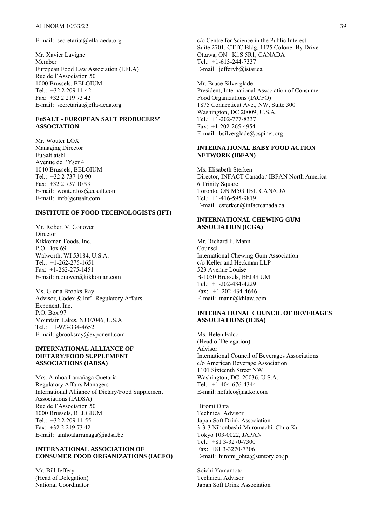E-mail: secretariat@efla-aeda.org

Mr. Xavier Lavigne Member European Food Law Association (EFLA) Rue de l'Association 50 1000 Brussels, BELGIUM Tel.: +32 2 209 11 42 Fax: +32 2 219 73 42 E-mail: secretariat@efla-aeda.org

#### **EuSALT - EUROPEAN SALT PRODUCERS' ASSOCIATION**

Mr. Wouter LOX Managing Director EuSalt aisbl Avenue de l'Yser 4 1040 Brussels, BELGIUM Tel.: +32 2 737 10 90 Fax: +32 2 737 10 99 E-mail: wouter.lox@eusalt.com E-mail: info@eusalt.com

#### **INSTITUTE OF FOOD TECHNOLOGISTS (IFT)**

Mr. Robert V. Conover Director Kikkoman Foods, Inc. P.O. Box 69 Walworth, WI 53184, U.S.A. Tel.: +1-262-275-1651 Fax: +1-262-275-1451 E-mail: rconover@kikkoman.com

Ms. Gloria Brooks-Ray Advisor, Codex & Int'l Regulatory Affairs Exponent, Inc. P.O. Box 97 Mountain Lakes, NJ 07046, U.S.A Tel.: +1-973-334-4652 E-mail: gbrooksray@exponent.com

#### **INTERNATIONAL ALLIANCE OF DIETARY/FOOD SUPPLEMENT ASSOCIATIONS (IADSA)**

Mrs. Ainhoa Larrañaga Guetaria Regulatory Affairs Managers International Alliance of Dietary/Food Supplement Associations (IADSA) Rue de l'Association 50 1000 Brussels, BELGIUM Tel.: +32 2 209 11 55 Fax: +32 2 219 73 42 E-mail: ainhoalarranaga@iadsa.be

#### **INTERNATIONAL ASSOCIATION OF CONSUMER FOOD ORGANIZATIONS (IACFO)**

Mr. Bill Jeffery (Head of Delegation) National Coordinator c/o Centre for Science in the Public Interest Suite 2701, CTTC Bldg, 1125 Colonel By Drive Ottawa, ON K1S 5R1, CANADA Tel.: +1-613-244-7337 E-mail: jefferyb@istar.ca

Mr. Bruce Silverglade President, International Association of Consumer Food Organizations (IACFO) 1875 Connecticut Ave., NW, Suite 300 Washington, DC 20009, U.S.A. Tel.: +1-202-777-8337 Fax: +1-202-265-4954 E-mail: bsilverglade@cspinet.org

#### **INTERNATIONAL BABY FOOD ACTION NETWORK (IBFAN)**

Ms. Elisabeth Sterken Director, INFACT Canada / IBFAN North America 6 Trinity Square Toronto, ON M5G 1B1, CANADA Tel.:  $+1-416-595-9819$ E-mail: esterken@infactcanada.ca

#### **INTERNATIONAL CHEWING GUM ASSOCIATION (ICGA)**

Mr. Richard F. Mann Counsel International Chewing Gum Association c/o Keller and Heckman LLP 523 Avenue Louise B-1050 Brussels, BELGIUM Tel.: +1-202-434-4229 Fax: +1-202-434-4646 E-mail: mann@khlaw.com

#### **INTERNATIONAL COUNCIL OF BEVERAGES ASSOCIATIONS (ICBA)**

Ms. Helen Falco (Head of Delegation) Advisor International Council of Beverages Associations c/o American Beverage Association 1101 Sixteenth Street NW Washington, DC 20036, U.S.A. Tel.: +1-404-676-4344 E-mail: hefalco@na.ko.com

Hiromi Ohta Technical Advisor Japan Soft Drink Association 3-3-3 Nihonbashi-Muromachi, Chuo-Ku Tokyo 103-0022, JAPAN Tel.: +81 3-3270-7300 Fax: +81 3-3270-7306 E-mail: hiromi\_ohta@suntory.co.jp

Soichi Yamamoto Technical Advisor Japan Soft Drink Association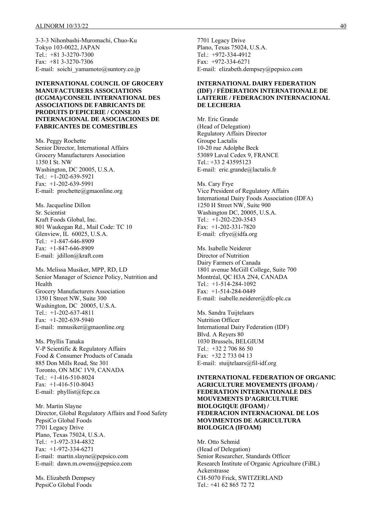3-3-3 Nihonbashi-Muromachi, Chuo-Ku Tokyo 103-0022, JAPAN Tel.: +81 3-3270-7300 Fax: +81 3-3270-7306 E-mail: soichi\_yamamoto@suntory.co.jp

**INTERNATIONAL COUNCIL OF GROCERY MANUFACTURERS ASSOCIATIONS (ICGMA)/CONSEIL INTERNATIONAL DES ASSOCIATIONS DE FABRICANTS DE PRODUITS D'EPICERIE / CONSEJO INTERNACIONAL DE ASOCIACIONES DE FABRICANTES DE COMESTIBLES** 

Ms. Peggy Rochette Senior Director, International Affairs Grocery Manufacturers Association 1350 I St. NW Washington, DC 20005, U.S.A. Tel.: +1-202-639-5921 Fax: +1-202-639-5991 E-mail: prochette@gmaonline.org

Ms. Jacqueline Dillon Sr. Scientist Kraft Foods Global, Inc. 801 Waukegan Rd., Mail Code: TC 10 Glenview, IL 60025, U.S.A. Tel.: +1-847-646-8909 Fax: +1-847-646-8909 E-mail: jdillon@kraft.com

Ms. Melissa Musiker, MPP, RD, LD Senior Manager of Science Policy, Nutrition and Health Grocery Manufacturers Association 1350 I Street NW, Suite 300 Washington, DC 20005, U.S.A. Tel.: +1-202-637-4811 Fax: +1-202-639-5940 E-mail: mmusiker@gmaonline.org

Ms. Phyllis Tanaka V-P Scientific & Regulatory Affairs Food & Consumer Products of Canada 885 Don Mills Road, Ste 301 Toronto, ON M3C 1V9, CANADA Tel.: +1-416-510-8024 Fax: +1-416-510-8043 E-mail: phyllist@fcpc.ca

Mr. Martin Slayne Director, Global Regulatory Affairs and Food Safety PepsiCo Global Foods 7701 Legacy Drive Plano, Texas 75024, U.S.A. Tel.: +1-972-334-4832 Fax: +1-972-334-6271 E-mail: martin.slayne@pepsico.com E-mail: dawn.m.owens@pepsico.com

Ms. Elizabeth Dempsey PepsiCo Global Foods

7701 Legacy Drive Plano, Texas 75024, U.S.A. Tel.: +972-334-4912 Fax: +972-334-6271 E-mail: elizabeth.dempsey@pepsico.com

#### **INTERNATIONAL DAIRY FEDERATION (IDF) / FÉDERATION INTERNATIONALE DE LAITERIE / FEDERACION INTERNACIONAL DE LECHERIA**

Mr. Eric Grande (Head of Delegation) Regulatory Affairs Director Groupe Lactalis 10-20 rue Adolphe Beck 53089 Laval Cedex 9, FRANCE Tel.: +33 2 43595123 E-mail: eric.grande@lactalis.fr

Ms. Cary Frye Vice President of Regulatory Affairs International Dairy Foods Association (IDFA) 1250 H Street NW, Suite 900 Washington DC, 20005, U.S.A. Tel.: +1-202-220-3543 Fax: +1-202-331-7820 E-mail: cfrye@idfa.org

Ms. Isabelle Neiderer Director of Nutrition Dairy Farmers of Canada 1801 avenue McGill College, Suite 700 Montréal, QC H3A 2N4, CANADA Tel.: +1-514-284-1092 Fax: +1-514-284-0449 E-mail: isabelle.neiderer@dfc-plc.ca

Ms. Sandra Tuijtelaars Nutrition Officer International Dairy Federation (IDF) Blvd. A Reyers 80 1030 Brussels, BELGIUM Tel:  $+32$  2 706 86 50 Fax: +32 2 733 04 13 E-mail: stuijtelaars@fil-idf.org

**INTERNATIONAL FEDERATION OF ORGANIC AGRICULTURE MOVEMENTS (IFOAM) / FEDERATION INTERNATIONALE DES MOUVEMENTS D'AGRICULTURE BIOLOGIQUE (IFOAM) / FEDERACION INTERNACIONAL DE LOS MOVIMENTOS DE AGRICULTURA BIOLOGICA (IFOAM)**

Mr. Otto Schmid (Head of Delegation) Senior Researcher, Standards Officer Research Institute of Organic Agriculture (FiBL) Ackerstrasse CH-5070 Frick, SWITZERLAND Tel.: +41 62 865 72 72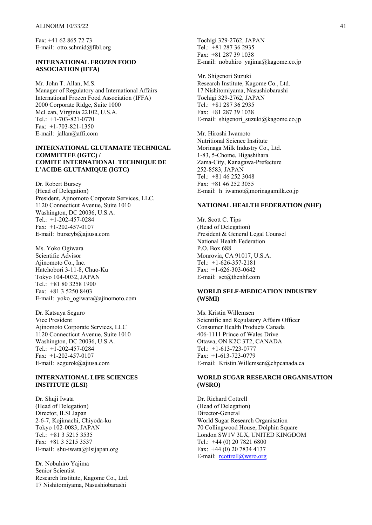Fax: +41 62 865 72 73 E-mail: otto.schmid@fibl.org

#### **INTERNATIONAL FROZEN FOOD ASSOCIATION (IFFA)**

Mr. John T. Allan, M.S. Manager of Regulatory and International Affairs International Frozen Food Association (IFFA) 2000 Corporate Ridge, Suite 1000 McLean, Virginia 22102, U.S.A. Tel.: +1-703-821-0770 Fax: +1-703-821-1350 E-mail: jallan@affi.com

#### **INTERNATIONAL GLUTAMATE TECHNICAL COMMITTEE (IGTC) / COMITE INTERNATIONAL TECHNIQUE DE L'ACIDE GLUTAMIQUE (IGTC)**

Dr. Robert Bursey (Head of Delegation) President, Ajinomoto Corporate Services, LLC. 1120 Connecticut Avenue, Suite 1010 Washington, DC 20036, U.S.A. Tel.: +1-202-457-0284 Fax: +1-202-457-0107 E-mail: burseyb@ajiusa.com

Ms. Yoko Ogiwara Scientific Advisor Ajinomoto Co., Inc. Hatchobori 3-11-8, Chuo-Ku Tokyo 104-0032, JAPAN Tel.: +81 80 3258 1900 Fax: +81 3 5250 8403 E-mail: yoko\_ogiwara@ajinomoto.com

Dr. Katsuya Seguro Vice President Ajinomoto Corporate Services, LLC 1120 Connecticut Avenue, Suite 1010 Washington, DC 20036, U.S.A. Tel.:  $+1-202-457-0284$ Fax: +1-202-457-0107 E-mail: segurok@ajiusa.com

#### **INTERNATIONAL LIFE SCIENCES INSTITUTE (ILSI)**

Dr. Shuji Iwata (Head of Delegation) Director, ILSI Japan 2-6-7, Kojimachi, Chiyoda-ku Tokyo 102-0083, JAPAN Tel.: +81 3 5215 3535 Fax: +81 3 5215 3537 E-mail: shu-iwata@ilsijapan.org

Dr. Nobuhiro Yajima Senior Scientist Research Institute, Kagome Co., Ltd. 17 Nishitomiyama, Nasushiobarashi

Tochigi 329-2762, JAPAN Tel.: +81 287 36 2935 Fax: +81 287 39 1038 E-mail: nobuhiro\_yajima@kagome.co.jp

Mr. Shigenori Suzuki Research Institute, Kagome Co., Ltd. 17 Nishitomiyama, Nasushiobarashi Tochigi 329-2762, JAPAN Tel.: +81 287 36 2935 Fax: +81 287 39 1038 E-mail: shigenori\_suzuki@kagome.co.jp

Mr. Hiroshi Iwamoto Nutritional Science Institute Morinaga Milk Industry Co., Ltd. 1-83, 5-Chome, Higashihara Zama-City, Kanagawa-Prefecture 252-8583, JAPAN Tel.: +81 46 252 3048 Fax: +81 46 252 3055 E-mail: h\_iwamot@morinagamilk.co.jp

#### **NATIONAL HEALTH FEDERATION (NHF)**

Mr. Scott C. Tips (Head of Delegation) President & General Legal Counsel National Health Federation P.O. Box 688 Monrovia, CA 91017, U.S.A. Tel.: +1-626-357-2181 Fax: +1-626-303-0642 E-mail: sct@thenhf.com

#### **WORLD SELF-MEDICATION INDUSTRY (WSMI)**

Ms. Kristin Willemsen Scientific and Regulatory Affairs Officer Consumer Health Products Canada 406-1111 Prince of Wales Drive Ottawa, ON K2C 3T2, CANADA Tel.: +1-613-723-0777 Fax: +1-613-723-0779 E-mail: Kristin.Willemsen@chpcanada.ca

#### **WORLD SUGAR RESEARCH ORGANISATION (WSRO)**

Dr. Richard Cottrell (Head of Delegation) Director-General World Sugar Research Organisation 70 Collingwood House, Dolphin Square London SW1V 3LX, UNITED KINGDOM Tel.: +44 (0) 20 7821 6800 Fax: +44 (0) 20 7834 4137 E-mail: [rcottrell@wsro.org](mailto:rcottrell@wsro.org)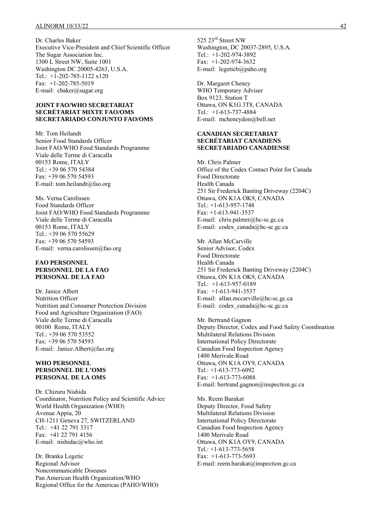Dr. Charles Baker Executive Vice-President and Chief Scientific Officer The Sugar Association Inc. 1300 L Street NW, Suite 1001 Washington DC 20005-4263, U.S.A. Tel.: +1-202-785-1122 x120 Fax: +1-202-785-5019 E-mail: cbaker@sugar.org

#### **JOINT FAO/WHO SECRETARIAT SECRÉTARIAT MIXTE FAO/OMS SECRETARIADO CONJUNTO FAO/OMS**

Mr. Tom Heilandt Senior Food Standards Officer Joint FAO/WHO Food Standards Programme Viale delle Terme di Caracalla 00153 Rome, ITALY Tel.: +39 06 570 54384 Fax: +39 06 570 54593 E-mail: tom.heilandt@fao.org

Ms. Verna Carolissen Food Standards Officer Joint FAO/WHO Food Standards Programme Viale delle Terme di Caracalla 00153 Rome, ITALY Tel.: +39 06 570 55629 Fax: +39 06 570 54593 E-mail: verna.carolissen@fao.org

#### **FAO PERSONNEL PERSONNEL DE LA FAO PERSONAL DE LA FAO**

Dr. Janice Albert Nutrition Officer Nutrition and Consumer Protection Division Food and Agriculture Organization (FAO) Viale delle Terme di Caracalla 00100 Rome, ITALY Tel.: +39 06 570 53552 Fax: +39 06 570 54593 E-mail: Janice.Albert@fao.org

#### **WHO PERSONNEL PERSONNEL DE L'OMS PERSONAL DE LA OMS**

Dr. Chizuru Nishida Coordinator, Nutrition Policy and Scientific Advice World Health Organization (WHO) Avenue Appia, 20 CH-1211 Geneva 27, SWITZERLAND Tel.: +41 22 791 3317 Fax: +41 22 791 4156 E-mail: nishidac@who.int

Dr. Branka Legetic Regional Advisor Noncommunicable Diseases Pan American Health Organization/WHO Regional Office for the Americas (PAHO/WHO) 525 23rd Street NW Washington, DC 20037-2895, U.S.A. Tel.: +1-202-974-3892 Fax: +1-202-974-3632 E-mail: legeticb@paho.org

Dr. Margaret Cheney WHO Temporary Adviser Box 9123, Station T Ottawa, ON K1G 3T8, CANADA Tel.: +1-613-737-4884 E-mail: mcheneydon@bell.net

#### **CANADIAN SECRETARIAT SECRÉTARIAT CANADIENS SECRETARIADO CANADIENSE**

Mr. Chris Palmer Office of the Codex Contact Point for Canada Food Directorate Health Canada 251 Sir Frederick Banting Driveway (2204C) Ottawa, ON K1A OK9, CANADA Tel.: +1-613-957-1748 Fax: +1-613-941-3537 E-mail: chris.palmer@hc-sc.gc.ca E-mail: codex canada@hc-sc.gc.ca

Mr. Allan McCarville Senior Advisor, Codex Food Directorate Health Canada 251 Sir Frederick Banting Driveway (2204C) Ottawa, ON K1A OK9, CANADA Tel.: +1-613-957-0189 Fax: +1-613-941-3537 E-mail: allan.mccarville@hc-sc.gc.ca E-mail: codex\_canada@hc-sc.gc.ca

Mr. Bertrand Gagnon Deputy Director, Codex and Food Safety Coordination Multilateral Relations Division International Policy Directorate Canadian Food Inspection Agency 1400 Merivale Road Ottawa, ON K1A OY9, CANADA Tel.: +1-613-773-6092 Fax: +1-613-773-6088 E-mail: bertrand.gagnon@inspection.gc.ca

Ms. Reem Barakat Deputy Director, Food Safety Multilateral Relations Division International Policy Directorate Canadian Food Inspection Agency 1400 Merivale Road Ottawa, ON K1A OY9, CANADA Tel.: +1-613-773-5658 Fax: +1-613-773-5693 E-mail: reem.barakat@inspection.gc.ca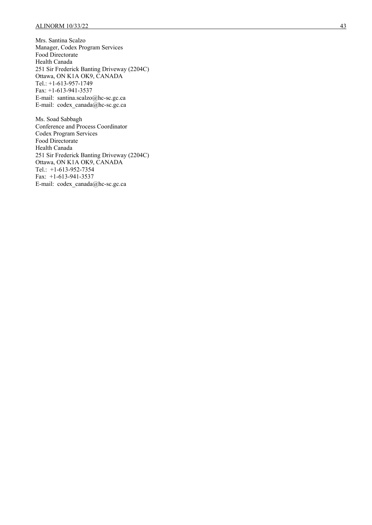Mrs. Santina Scalzo Manager, Codex Program Services Food Directorate Health Canada 251 Sir Frederick Banting Driveway (2204C) Ottawa, ON K1A OK9, CANADA Tel.: +1-613-957-1749 Fax: +1-613-941-3537 E-mail: santina.scalzo@hc-sc.gc.ca E-mail: codex\_canada@hc-sc.gc.ca

Ms. Soad Sabbagh Conference and Process Coordinator Codex Program Services Food Directorate Health Canada 251 Sir Frederick Banting Driveway (2204C) Ottawa, ON K1A OK9, CANADA Tel.: +1-613-952-7354 Fax: +1-613-941-3537 E-mail: codex\_canada@hc-sc.gc.ca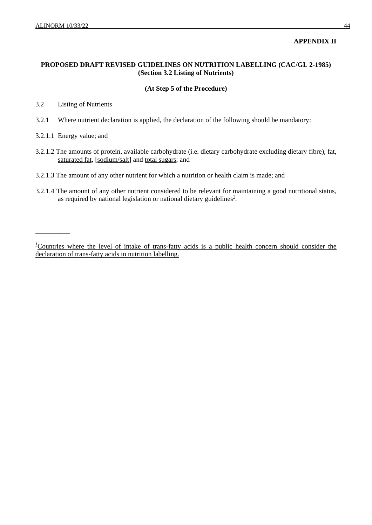### **APPENDIX II**

### **PROPOSED DRAFT REVISED GUIDELINES ON NUTRITION LABELLING (CAC/GL 2-1985) (Section 3.2 Listing of Nutrients)**

### **(At Step 5 of the Procedure)**

3.2 Listing of Nutrients

- 3.2.1 Where nutrient declaration is applied, the declaration of the following should be mandatory:
- 3.2.1.1 Energy value; and

\_\_\_\_\_\_\_\_\_\_

- 3.2.1.2 The amounts of protein, available carbohydrate (i.e. dietary carbohydrate excluding dietary fibre), fat, saturated fat, [sodium/salt] and total sugars; and
- 3.2.1.3 The amount of any other nutrient for which a nutrition or health claim is made; and
- 3.2.1.4 The amount of any other nutrient considered to be relevant for maintaining a good nutritional status, as required by national legislation or national dietary guidelines $<sup>1</sup>$ .</sup>

<sup>&</sup>lt;sup>1</sup>Countries where the level of intake of trans-fatty acids is a public health concern should consider the declaration of trans-fatty acids in nutrition labelling.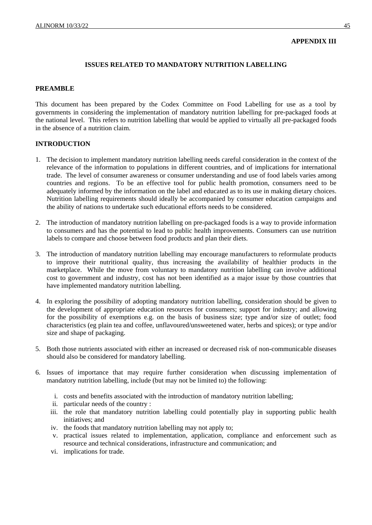### **APPENDIX III**

### **ISSUES RELATED TO MANDATORY NUTRITION LABELLING**

### **PREAMBLE**

This document has been prepared by the Codex Committee on Food Labelling for use as a tool by governments in considering the implementation of mandatory nutrition labelling for pre-packaged foods at the national level. This refers to nutrition labelling that would be applied to virtually all pre-packaged foods in the absence of a nutrition claim.

### **INTRODUCTION**

- 1. The decision to implement mandatory nutrition labelling needs careful consideration in the context of the relevance of the information to populations in different countries, and of implications for international trade. The level of consumer awareness or consumer understanding and use of food labels varies among countries and regions. To be an effective tool for public health promotion, consumers need to be adequately informed by the information on the label and educated as to its use in making dietary choices. Nutrition labelling requirements should ideally be accompanied by consumer education campaigns and the ability of nations to undertake such educational efforts needs to be considered.
- 2. The introduction of mandatory nutrition labelling on pre-packaged foods is a way to provide information to consumers and has the potential to lead to public health improvements. Consumers can use nutrition labels to compare and choose between food products and plan their diets.
- 3. The introduction of mandatory nutrition labelling may encourage manufacturers to reformulate products to improve their nutritional quality, thus increasing the availability of healthier products in the marketplace. While the move from voluntary to mandatory nutrition labelling can involve additional cost to government and industry, cost has not been identified as a major issue by those countries that have implemented mandatory nutrition labelling.
- 4. In exploring the possibility of adopting mandatory nutrition labelling, consideration should be given to the development of appropriate education resources for consumers; support for industry; and allowing for the possibility of exemptions e.g. on the basis of business size; type and/or size of outlet; food characteristics (eg plain tea and coffee, unflavoured/unsweetened water, herbs and spices); or type and/or size and shape of packaging.
- 5. Both those nutrients associated with either an increased or decreased risk of non-communicable diseases should also be considered for mandatory labelling.
- 6. Issues of importance that may require further consideration when discussing implementation of mandatory nutrition labelling, include (but may not be limited to) the following:
	- i. costs and benefits associated with the introduction of mandatory nutrition labelling;
	- ii. particular needs of the country :
	- iii. the role that mandatory nutrition labelling could potentially play in supporting public health initiatives; and
	- iv. the foods that mandatory nutrition labelling may not apply to;
	- v. practical issues related to implementation, application, compliance and enforcement such as resource and technical considerations, infrastructure and communication; and
	- vi. implications for trade.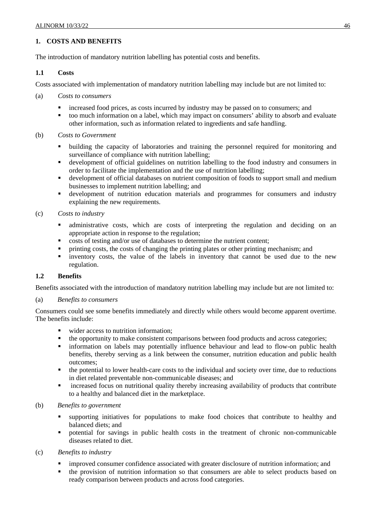### **1. COSTS AND BENEFITS**

The introduction of mandatory nutrition labelling has potential costs and benefits.

### **1.1 Costs**

Costs associated with implementation of mandatory nutrition labelling may include but are not limited to:

- (a) *Costs to consumers* 
	- increased food prices, as costs incurred by industry may be passed on to consumers; and
	- too much information on a label, which may impact on consumers' ability to absorb and evaluate other information, such as information related to ingredients and safe handling.
- (b) *Costs to Government* 
	- building the capacity of laboratories and training the personnel required for monitoring and surveillance of compliance with nutrition labelling;
	- development of official guidelines on nutrition labelling to the food industry and consumers in order to facilitate the implementation and the use of nutrition labelling;
	- development of official databases on nutrient composition of foods to support small and medium businesses to implement nutrition labelling; and
	- development of nutrition education materials and programmes for consumers and industry explaining the new requirements.
- (c) *Costs to industry* 
	- administrative costs, which are costs of interpreting the regulation and deciding on an appropriate action in response to the regulation;
	- costs of testing and/or use of databases to determine the nutrient content;
	- printing costs, the costs of changing the printing plates or other printing mechanism; and
	- inventory costs, the value of the labels in inventory that cannot be used due to the new regulation.

### **1.2 Benefits**

Benefits associated with the introduction of mandatory nutrition labelling may include but are not limited to:

### (a) *Benefits to consumers*

Consumers could see some benefits immediately and directly while others would become apparent overtime. The benefits include:

- wider access to nutrition information;
- the opportunity to make consistent comparisons between food products and across categories;
- information on labels may potentially influence behaviour and lead to flow-on public health benefits, thereby serving as a link between the consumer, nutrition education and public health outcomes;
- the potential to lower health-care costs to the individual and society over time, due to reductions in diet related preventable non-communicable diseases; and
- increased focus on nutritional quality thereby increasing availability of products that contribute to a healthy and balanced diet in the marketplace.

### (b) *Benefits to government*

- supporting initiatives for populations to make food choices that contribute to healthy and balanced diets; and
- potential for savings in public health costs in the treatment of chronic non-communicable diseases related to diet.
- (c) *Benefits to industry* 
	- improved consumer confidence associated with greater disclosure of nutrition information; and
	- **the provision of nutrition information so that consumers are able to select products based on** ready comparison between products and across food categories.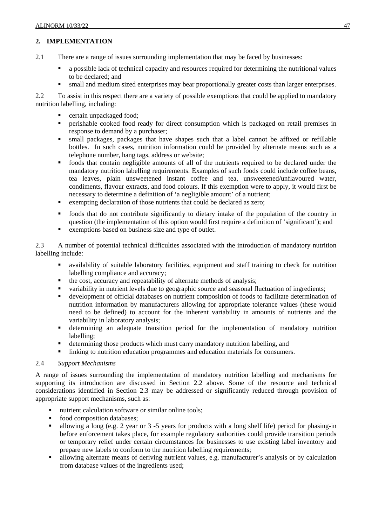### **2. IMPLEMENTATION**

- 2.1 There are a range of issues surrounding implementation that may be faced by businesses:
	- a possible lack of technical capacity and resources required for determining the nutritional values to be declared; and
	- small and medium sized enterprises may bear proportionally greater costs than larger enterprises.

2.2 To assist in this respect there are a variety of possible exemptions that could be applied to mandatory nutrition labelling, including:

- certain unpackaged food;
- perishable cooked food ready for direct consumption which is packaged on retail premises in response to demand by a purchaser;
- small packages, packages that have shapes such that a label cannot be affixed or refillable bottles. In such cases, nutrition information could be provided by alternate means such as a telephone number, hang tags, address or website;
- foods that contain negligible amounts of all of the nutrients required to be declared under the mandatory nutrition labelling requirements. Examples of such foods could include coffee beans, tea leaves, plain unsweetened instant coffee and tea, unsweetened/unflavoured water, condiments, flavour extracts, and food colours. If this exemption were to apply, it would first be necessary to determine a definition of 'a negligible amount' of a nutrient;
- Exempting declaration of those nutrients that could be declared as zero;
- foods that do not contribute significantly to dietary intake of the population of the country in question (the implementation of this option would first require a definition of 'significant'); and
- exemptions based on business size and type of outlet.

2.3 A number of potential technical difficulties associated with the introduction of mandatory nutrition labelling include:

- availability of suitable laboratory facilities, equipment and staff training to check for nutrition labelling compliance and accuracy;
- the cost, accuracy and repeatability of alternate methods of analysis;
- variability in nutrient levels due to geographic source and seasonal fluctuation of ingredients;
- development of official databases on nutrient composition of foods to facilitate determination of nutrition information by manufacturers allowing for appropriate tolerance values (these would need to be defined) to account for the inherent variability in amounts of nutrients and the variability in laboratory analysis;
- determining an adequate transition period for the implementation of mandatory nutrition labelling;
- determining those products which must carry mandatory nutrition labelling, and
- Inking to nutrition education programmes and education materials for consumers.

### 2.4 *Support Mechanisms*

A range of issues surrounding the implementation of mandatory nutrition labelling and mechanisms for supporting its introduction are discussed in Section 2.2 above. Some of the resource and technical considerations identified in Section 2.3 may be addressed or significantly reduced through provision of appropriate support mechanisms, such as:

- nutrient calculation software or similar online tools;
- food composition databases:
- allowing a long (e.g. 2 year or 3 -5 years for products with a long shelf life) period for phasing-in before enforcement takes place, for example regulatory authorities could provide transition periods or temporary relief under certain circumstances for businesses to use existing label inventory and prepare new labels to conform to the nutrition labelling requirements;
- allowing alternate means of deriving nutrient values, e.g. manufacturer's analysis or by calculation from database values of the ingredients used;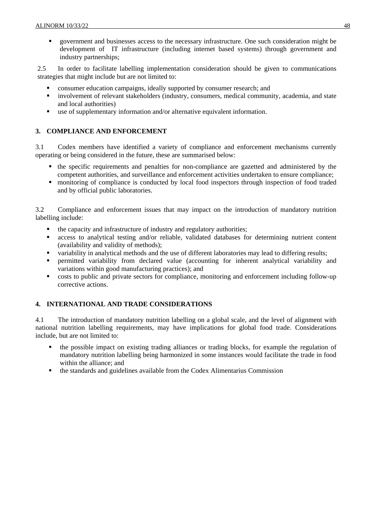government and businesses access to the necessary infrastructure. One such consideration might be development of IT infrastructure (including internet based systems) through government and industry partnerships;

2.5 In order to facilitate labelling implementation consideration should be given to communications strategies that might include but are not limited to:

- consumer education campaigns, ideally supported by consumer research; and
- involvement of relevant stakeholders (industry, consumers, medical community, academia, and state and local authorities)
- use of supplementary information and/or alternative equivalent information.

### **3. COMPLIANCE AND ENFORCEMENT**

3.1 Codex members have identified a variety of compliance and enforcement mechanisms currently operating or being considered in the future, these are summarised below:

- the specific requirements and penalties for non-compliance are gazetted and administered by the competent authorities, and surveillance and enforcement activities undertaken to ensure compliance;
- monitoring of compliance is conducted by local food inspectors through inspection of food traded and by official public laboratories.

3.2 Compliance and enforcement issues that may impact on the introduction of mandatory nutrition labelling include:

- the capacity and infrastructure of industry and regulatory authorities;
- access to analytical testing and/or reliable, validated databases for determining nutrient content (availability and validity of methods);
- variability in analytical methods and the use of different laboratories may lead to differing results;
- permitted variability from declared value (accounting for inherent analytical variability and variations within good manufacturing practices); and
- costs to public and private sectors for compliance, monitoring and enforcement including follow-up corrective actions.

### **4. INTERNATIONAL AND TRADE CONSIDERATIONS**

4.1 The introduction of mandatory nutrition labelling on a global scale, and the level of alignment with national nutrition labelling requirements, may have implications for global food trade. Considerations include, but are not limited to:

- the possible impact on existing trading alliances or trading blocks, for example the regulation of mandatory nutrition labelling being harmonized in some instances would facilitate the trade in food within the alliance; and
- the standards and guidelines available from the Codex Alimentarius Commission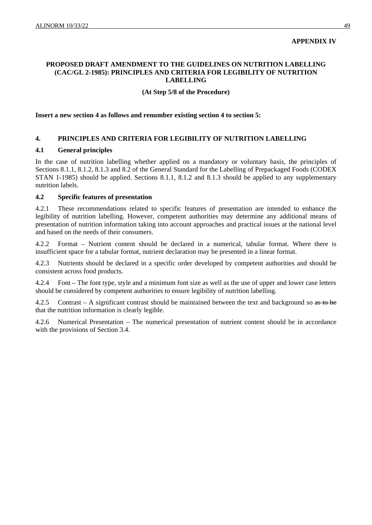### **APPENDIX IV**

### **PROPOSED DRAFT AMENDMENT TO THE GUIDELINES ON NUTRITION LABELLING (CAC/GL 2-1985): PRINCIPLES AND CRITERIA FOR LEGIBILITY OF NUTRITION LABELLING**

### **(At Step 5/8 of the Procedure)**

**Insert a new section 4 as follows and renumber existing section 4 to section 5:** 

### **4. PRINCIPLES AND CRITERIA FOR LEGIBILITY OF NUTRITION LABELLING**

### **4.1 General principles**

In the case of nutrition labelling whether applied on a mandatory or voluntary basis, the principles of Sections 8.1.1, 8.1.2, 8.1.3 and 8.2 of the General Standard for the Labelling of Prepackaged Foods (CODEX STAN 1-1985) should be applied. Sections 8.1.1, 8.1.2 and 8.1.3 should be applied to any supplementary nutrition labels.

#### **4.2 Specific features of presentation**

4.2.1 These recommendations related to specific features of presentation are intended to enhance the legibility of nutrition labelling. However, competent authorities may determine any additional means of presentation of nutrition information taking into account approaches and practical issues at the national level and based on the needs of their consumers.

Format – Nutrient content should be declared in a numerical, tabular format. Where there is insufficient space for a tabular format, nutrient declaration may be presented in a linear format.

4.2.3 Nutrients should be declared in a specific order developed by competent authorities and should be consistent across food products.

4.2.4 Font – The font type, style and a minimum font size as well as the use of upper and lower case letters should be considered by competent authorities to ensure legibility of nutrition labelling.

4.2.5 Contrast – A significant contrast should be maintained between the text and background so as to be that the nutrition information is clearly legible.

4.2.6 Numerical Presentation – The numerical presentation of nutrient content should be in accordance with the provisions of Section 3.4.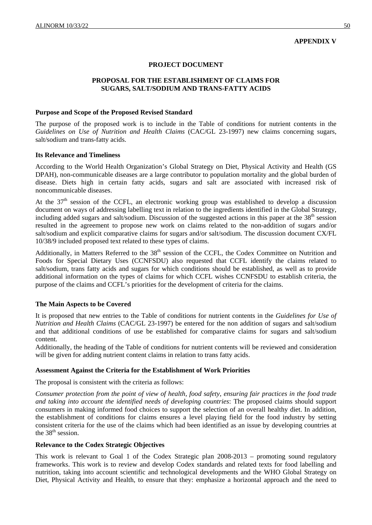#### **APPENDIX V**

#### **PROJECT DOCUMENT**

### **PROPOSAL FOR THE ESTABLISHMENT OF CLAIMS FOR SUGARS, SALT/SODIUM AND TRANS-FATTY ACIDS**

#### **Purpose and Scope of the Proposed Revised Standard**

The purpose of the proposed work is to include in the Table of conditions for nutrient contents in the *Guidelines on Use of Nutrition and Health Claims* (CAC/GL 23-1997) new claims concerning sugars, salt/sodium and trans-fatty acids.

#### **Its Relevance and Timeliness**

According to the World Health Organization's Global Strategy on Diet, Physical Activity and Health (GS DPAH), non-communicable diseases are a large contributor to population mortality and the global burden of disease. Diets high in certain fatty acids, sugars and salt are associated with increased risk of noncommunicable diseases.

At the 37<sup>th</sup> session of the CCFL, an electronic working group was established to develop a discussion document on ways of addressing labelling text in relation to the ingredients identified in the Global Strategy, including added sugars and salt/sodium. Discussion of the suggested actions in this paper at the 38<sup>th</sup> session resulted in the agreement to propose new work on claims related to the non-addition of sugars and/or salt/sodium and explicit comparative claims for sugars and/or salt/sodium. The discussion document CX/FL 10/38/9 included proposed text related to these types of claims.

Additionally, in Matters Referred to the 38<sup>th</sup> session of the CCFL, the Codex Committee on Nutrition and Foods for Special Dietary Uses (CCNFSDU) also requested that CCFL identify the claims related to salt/sodium, trans fatty acids and sugars for which conditions should be established, as well as to provide additional information on the types of claims for which CCFL wishes CCNFSDU to establish criteria, the purpose of the claims and CCFL's priorities for the development of criteria for the claims.

#### **The Main Aspects to be Covered**

It is proposed that new entries to the Table of conditions for nutrient contents in the *Guidelines for Use of Nutrition and Health Claims* (CAC/GL 23-1997) be entered for the non addition of sugars and salt/sodium and that additional conditions of use be established for comparative claims for sugars and salt/sodium content.

Additionally, the heading of the Table of conditions for nutrient contents will be reviewed and consideration will be given for adding nutrient content claims in relation to trans fatty acids.

#### **Assessment Against the Criteria for the Establishment of Work Priorities**

The proposal is consistent with the criteria as follows:

*Consumer protection from the point of view of health, food safety, ensuring fair practices in the food trade and taking into account the identified needs of developing countries*: The proposed claims should support consumers in making informed food choices to support the selection of an overall healthy diet. In addition, the establishment of conditions for claims ensures a level playing field for the food industry by setting consistent criteria for the use of the claims which had been identified as an issue by developing countries at the  $38<sup>th</sup>$  session.

#### **Relevance to the Codex Strategic Objectives**

This work is relevant to Goal 1 of the Codex Strategic plan 2008-2013 – promoting sound regulatory frameworks. This work is to review and develop Codex standards and related texts for food labelling and nutrition, taking into account scientific and technological developments and the WHO Global Strategy on Diet, Physical Activity and Health, to ensure that they: emphasize a horizontal approach and the need to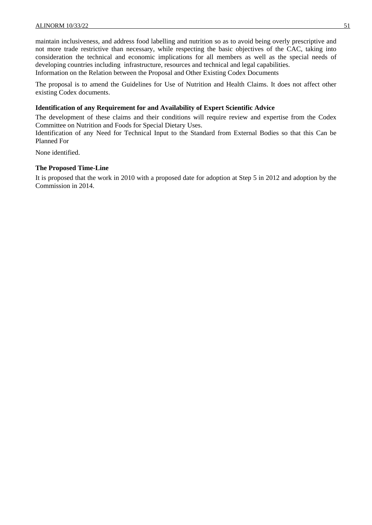maintain inclusiveness, and address food labelling and nutrition so as to avoid being overly prescriptive and not more trade restrictive than necessary, while respecting the basic objectives of the CAC, taking into consideration the technical and economic implications for all members as well as the special needs of developing countries including infrastructure, resources and technical and legal capabilities. Information on the Relation between the Proposal and Other Existing Codex Documents

The proposal is to amend the Guidelines for Use of Nutrition and Health Claims. It does not affect other existing Codex documents.

### **Identification of any Requirement for and Availability of Expert Scientific Advice**

The development of these claims and their conditions will require review and expertise from the Codex Committee on Nutrition and Foods for Special Dietary Uses.

Identification of any Need for Technical Input to the Standard from External Bodies so that this Can be Planned For

None identified.

### **The Proposed Time-Line**

It is proposed that the work in 2010 with a proposed date for adoption at Step 5 in 2012 and adoption by the Commission in 2014.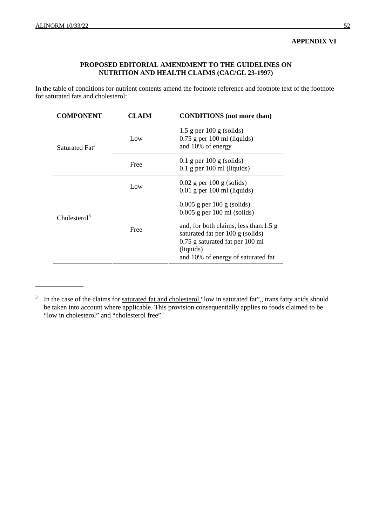\_\_\_\_\_\_\_\_\_\_\_\_\_\_

### **APPENDIX VI**

### **PROPOSED EDITORIAL AMENDMENT TO THE GUIDELINES ON NUTRITION AND HEALTH CLAIMS (CAC/GL 23-1997)**

In the table of conditions for nutrient contents amend the footnote reference and footnote text of the footnote for saturated fats and cholesterol:

| CLAIM | <b>CONDITIONS</b> (not more than)                                                                                                                                          |
|-------|----------------------------------------------------------------------------------------------------------------------------------------------------------------------------|
| Low   | $1.5$ g per $100$ g (solids)<br>$0.75$ g per 100 ml (liquids)<br>and 10% of energy                                                                                         |
| Free  | $0.1$ g per 100 g (solids)<br>$0.1$ g per 100 ml (liquids)                                                                                                                 |
| Low   | $0.02$ g per 100 g (solids)<br>$0.01$ g per 100 ml (liquids)                                                                                                               |
|       | $0.005$ g per 100 g (solids)<br>$0.005$ g per 100 ml (solids)                                                                                                              |
| Free  | and, for both claims, less than: $1.5 \text{ g}$<br>saturated fat per 100 g (solids)<br>0.75 g saturated fat per 100 ml<br>(liquids)<br>and 10% of energy of saturated fat |
|       |                                                                                                                                                                            |

<sup>&</sup>lt;sup>3</sup> In the case of the claims for <u>saturated fat and cholesterol "low in saturated fat</u>", trans fatty acids should be taken into account where applicable. This provision consequentially applies to foods claimed to be "low in cholesterol" and "cholesterol free".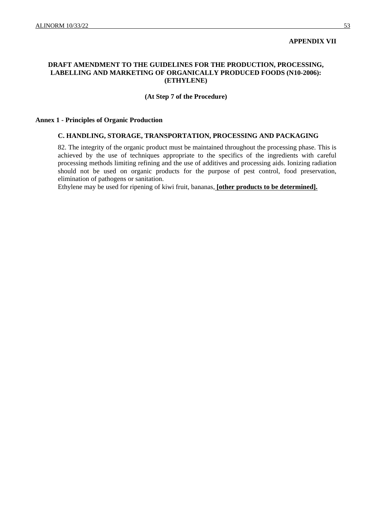#### **APPENDIX VII**

### **DRAFT AMENDMENT TO THE GUIDELINES FOR THE PRODUCTION, PROCESSING, LABELLING AND MARKETING OF ORGANICALLY PRODUCED FOODS (N10-2006): (ETHYLENE)**

#### **(At Step 7 of the Procedure)**

#### **Annex 1 - Principles of Organic Production**

### **C. HANDLING, STORAGE, TRANSPORTATION, PROCESSING AND PACKAGING**

82. The integrity of the organic product must be maintained throughout the processing phase. This is achieved by the use of techniques appropriate to the specifics of the ingredients with careful processing methods limiting refining and the use of additives and processing aids. Ionizing radiation should not be used on organic products for the purpose of pest control, food preservation, elimination of pathogens or sanitation.

Ethylene may be used for ripening of kiwi fruit, bananas, **[other products to be determined].**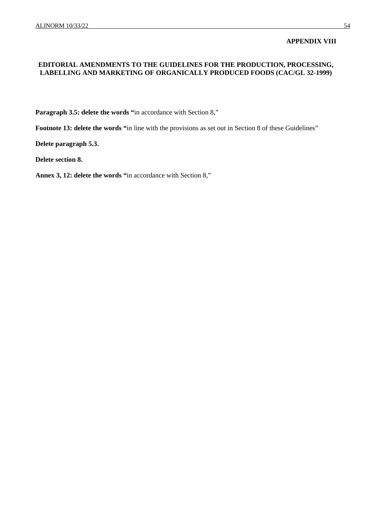### **APPENDIX VIII**

### **EDITORIAL AMENDMENTS TO THE GUIDELINES FOR THE PRODUCTION, PROCESSING, LABELLING AND MARKETING OF ORGANICALLY PRODUCED FOODS (CAC/GL 32-1999)**

**Paragraph 3.5: delete the words "**in accordance with Section 8,"

Footnote 13: delete the words "in line with the provisions as set out in Section 8 of these Guidelines"

**Delete paragraph 5.3.** 

**Delete section 8.** 

**Annex 3, 12: delete the words "**in accordance with Section 8,"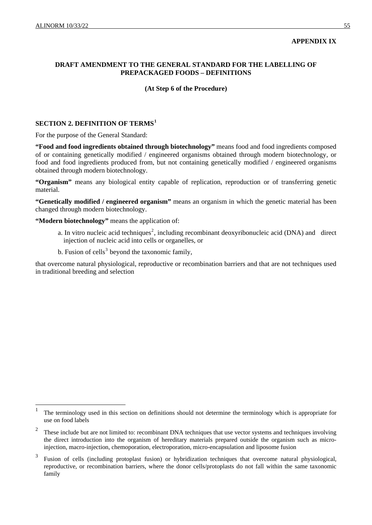$\overline{a}$ 

### **APPENDIX IX**

### **DRAFT AMENDMENT TO THE GENERAL STANDARD FOR THE LABELLING OF PREPACKAGED FOODS – DEFINITIONS**

#### **(At Step 6 of the Procedure)**

### **SECTION 2. DEFINITION OF TERMS[1](#page-59-0)**

For the purpose of the General Standard:

**"Food and food ingredients obtained through biotechnology"** means food and food ingredients composed of or containing genetically modified / engineered organisms obtained through modern biotechnology, or food and food ingredients produced from, but not containing genetically modified / engineered organisms obtained through modern biotechnology.

**"Organism"** means any biological entity capable of replication, reproduction or of transferring genetic material.

**"Genetically modified / engineered organism"** means an organism in which the genetic material has been changed through modern biotechnology.

**"Modern biotechnology"** means the application of:

- a. In vitro nucleic acid techniques<sup>[2](#page-59-1)</sup>, including recombinant deoxyribonucleic acid (DNA) and direct injection of nucleic acid into cells or organelles, or
- b. Fusion of cells<sup>[3](#page-59-2)</sup> beyond the taxonomic family,

that overcome natural physiological, reproductive or recombination barriers and that are not techniques used in traditional breeding and selection

<span id="page-59-0"></span><sup>1</sup> The terminology used in this section on definitions should not determine the terminology which is appropriate for use on food labels

<span id="page-59-1"></span><sup>2</sup> These include but are not limited to: recombinant DNA techniques that use vector systems and techniques involving the direct introduction into the organism of hereditary materials prepared outside the organism such as microinjection, macro-injection, chemoporation, electroporation, micro-encapsulation and liposome fusion

<span id="page-59-2"></span><sup>3</sup> Fusion of cells (including protoplast fusion) or hybridization techniques that overcome natural physiological, reproductive, or recombination barriers, where the donor cells/protoplasts do not fall within the same taxonomic family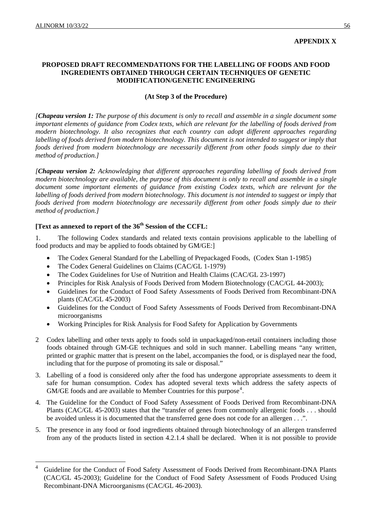$\overline{a}$ 

### **APPENDIX X**

### **PROPOSED DRAFT RECOMMENDATIONS FOR THE LABELLING OF FOODS AND FOOD INGREDIENTS OBTAINED THROUGH CERTAIN TECHNIQUES OF GENETIC MODIFICATION/GENETIC ENGINEERING**

### **(At Step 3 of the Procedure)**

*[Chapeau version 1: The purpose of this document is only to recall and assemble in a single document some important elements of guidance from Codex texts, which are relevant for the labelling of foods derived from modern biotechnology. It also recognizes that each country can adopt different approaches regarding labelling of foods derived from modern biotechnology. This document is not intended to suggest or imply that foods derived from modern biotechnology are necessarily different from other foods simply due to their method of production.]* 

*[Chapeau version 2: Acknowledging that different approaches regarding labelling of foods derived from modern biotechnology are available, the purpose of this document is only to recall and assemble in a single document some important elements of guidance from existing Codex texts, which are relevant for the labelling of foods derived from modern biotechnology. This document is not intended to suggest or imply that foods derived from modern biotechnology are necessarily different from other foods simply due to their method of production.]*

### **[Text as annexed to report of the 36<sup>th</sup> Session of the CCFL:**

1. The following Codex standards and related texts contain provisions applicable to the labelling of food products and may be applied to foods obtained by GM/GE:]

- The Codex General Standard for the Labelling of Prepackaged Foods, (Codex Stan 1-1985)
- The Codex General Guidelines on Claims (CAC/GL 1-1979)
- The Codex Guidelines for Use of Nutrition and Health Claims (CAC/GL 23-1997)
- Principles for Risk Analysis of Foods Derived from Modern Biotechnology (CAC/GL 44-2003);
- Guidelines for the Conduct of Food Safety Assessments of Foods Derived from Recombinant-DNA plants (CAC/GL 45-2003)
- Guidelines for the Conduct of Food Safety Assessments of Foods Derived from Recombinant-DNA microorganisms
- Working Principles for Risk Analysis for Food Safety for Application by Governments
- 2 Codex labelling and other texts apply to foods sold in unpackaged/non-retail containers including those foods obtained through GM-GE techniques and sold in such manner. Labelling means "any written, printed or graphic matter that is present on the label, accompanies the food, or is displayed near the food, including that for the purpose of promoting its sale or disposal."
- 3. Labelling of a food is considered only after the food has undergone appropriate assessments to deem it safe for human consumption. Codex has adopted several texts which address the safety aspects of GM/GE foods and are available to Member Countries for this purpose<sup>[4](#page-60-0)</sup>.
- 4. The Guideline for the Conduct of Food Safety Assessment of Foods Derived from Recombinant-DNA Plants (CAC/GL 45-2003) states that the "transfer of genes from commonly allergenic foods . . . should be avoided unless it is documented that the transferred gene does not code for an allergen . . .".
- 5. The presence in any food or food ingredients obtained through biotechnology of an allergen transferred from any of the products listed in section 4.2.1.4 shall be declared. When it is not possible to provide

<span id="page-60-0"></span><sup>4</sup> Guideline for the Conduct of Food Safety Assessment of Foods Derived from Recombinant-DNA Plants (CAC/GL 45-2003); Guideline for the Conduct of Food Safety Assessment of Foods Produced Using Recombinant-DNA Microorganisms (CAC/GL 46-2003).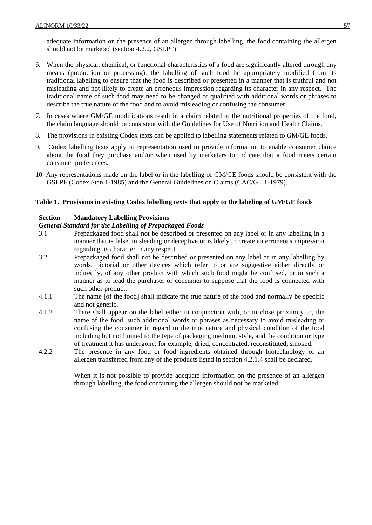adequate information on the presence of an allergen through labelling, the food containing the allergen should not be marketed (section 4.2.2, GSLPF).

- 6. When the physical, chemical, or functional characteristics of a food are significantly altered through any means (production or processing), the labelling of such food be appropriately modified from its traditional labelling to ensure that the food is described or presented in a manner that is truthful and not misleading and not likely to create an erroneous impression regarding its character in any respect. The traditional name of such food may need to be changed or qualified with additional words or phrases to describe the true nature of the food and to avoid misleading or confusing the consumer.
- 7. In cases where GM/GE modifications result in a claim related to the nutritional properties of the food, the claim language should be consistent with the Guidelines for Use of Nutrition and Health Claims.
- 8. The provisions in existing Codex texts can be applied to labelling statements related to GM/GE foods.
- 9. Codex labelling texts apply to representation used to provide information to enable consumer choice about the food they purchase and/or when used by marketers to indicate that a food meets certain consumer preferences.
- 10. Any representations made on the label or in the labelling of GM/GE foods should be consistent with the GSLPF (Codex Stan 1-1985) and the General Guidelines on Claims (CAC/GL 1-1979).

### **Table 1. Provisions in existing Codex labelling texts that apply to the labeling of GM/GE foods**

### **Section Mandatory Labelling Provisions**

#### *General Standard for the Labelling of Prepackaged Foods*

- 3.1 Prepackaged food shall not be described or presented on any label or in any labelling in a manner that is false, misleading or deceptive or is likely to create an erroneous impression regarding its character in any respect.
- 3.2 Prepackaged food shall not be described or presented on any label or in any labelling by words, pictorial or other devices which refer to or are suggestive either directly or indirectly, of any other product with which such food might be confused, or in such a manner as to lead the purchaser or consumer to suppose that the food is connected with such other product.
- 4.1.1 The name [of the food] shall indicate the true nature of the food and normally be specific and not generic.
- 4.1.2 There shall appear on the label either in conjunction with, or in close proximity to, the name of the food, such additional words or phrases as necessary to avoid misleading or confusing the consumer in regard to the true nature and physical condition of the food including but not limited to the type of packaging medium, style, and the condition or type of treatment it has undergone; for example, dried, concentrated, reconstituted, smoked.
- 4.2.2 The presence in any food or food ingredients obtained through biotechnology of an allergen transferred from any of the products listed in section 4.2.1.4 shall be declared.

When it is not possible to provide adequate information on the presence of an allergen through labelling, the food containing the allergen should not be marketed.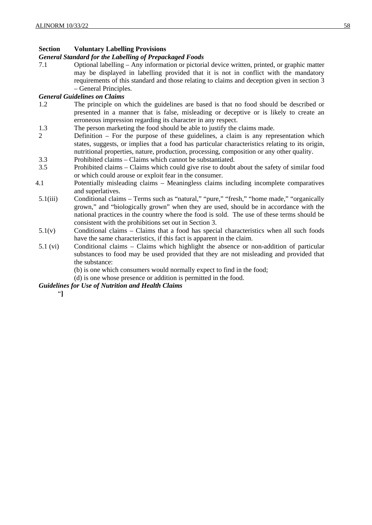### **Section Voluntary Labelling Provisions**

### *General Standard for the Labelling of Prepackaged Foods*

7.1 Optional labelling – Any information or pictorial device written, printed, or graphic matter may be displayed in labelling provided that it is not in conflict with the mandatory requirements of this standard and those relating to claims and deception given in section 3 – General Principles.

### *General Guidelines on Claims*

- 1.2 The principle on which the guidelines are based is that no food should be described or presented in a manner that is false, misleading or deceptive or is likely to create an erroneous impression regarding its character in any respect.
- 1.3 The person marketing the food should be able to justify the claims made.
- 2 Definition For the purpose of these guidelines, a claim is any representation which states, suggests, or implies that a food has particular characteristics relating to its origin, nutritional properties, nature, production, processing, composition or any other quality.
- 3.3 Prohibited claims Claims which cannot be substantiated.
- 3.5 Prohibited claims Claims which could give rise to doubt about the safety of similar food or which could arouse or exploit fear in the consumer.
- 4.1 Potentially misleading claims Meaningless claims including incomplete comparatives and superlatives.
- 5.1(iii) Conditional claims Terms such as "natural," "pure," "fresh," "home made," "organically grown," and "biologically grown" when they are used, should be in accordance with the national practices in the country where the food is sold. The use of these terms should be consistent with the prohibitions set out in Section 3.
- $5.1(v)$  Conditional claims Claims that a food has special characteristics when all such foods have the same characteristics, if this fact is apparent in the claim.
- 5.1 (vi) Conditional claims Claims which highlight the absence or non-addition of particular substances to food may be used provided that they are not misleading and provided that the substance:
	- (b) is one which consumers would normally expect to find in the food;
	- (d) is one whose presence or addition is permitted in the food.

### *Guidelines for Use of Nutrition and Health Claims*

"**]**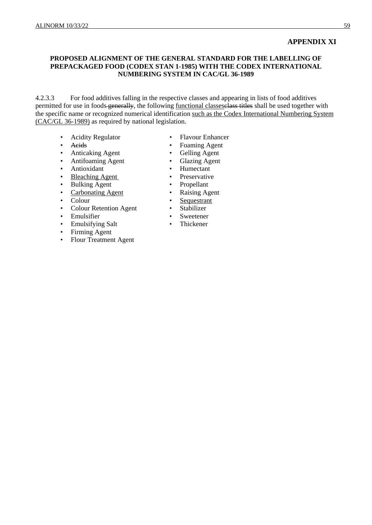### **APPENDIX XI**

### **PROPOSED ALIGNMENT OF THE GENERAL STANDARD FOR THE LABELLING OF PREPACKAGED FOOD (CODEX STAN 1-1985) WITH THE CODEX INTERNATIONAL NUMBERING SYSTEM IN CAC/GL 36-1989**

4.2.3.3 For food additives falling in the respective classes and appearing in lists of food additives permitted for use in foods generally, the following functional classes selass titles shall be used together with the specific name or recognized numerical identification such as the Codex International Numbering System (CAC/GL 36-1989) as required by national legislation.

- Acidity Regulator Flavour Enhancer
- 
- Anticaking Agent Gelling Agent
- 
- Antioxidant •
- Bleaching Agent Preservative
- Bulking Agent Propellant
- 
- 
- Colour <br>• Colour Retention Agent Stabilizer • Colour Retention Agent •
- Emulsifier Sweetener
- Emulsifying Salt Thickener
- Firming Agent
- Flour Treatment Agent
- 
- Acids Foaming Agent
	-
	- Antifoaming Agent Glazing Agent<br>Antioxidant Humectant
		-
		- -
	- Carbonating Agent Raising Agent
		-
		-
		-
		-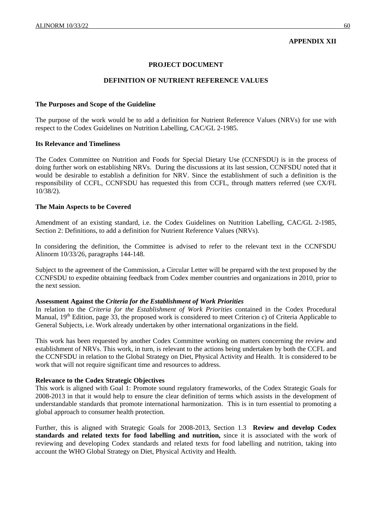### **APPENDIX XII**

### **PROJECT DOCUMENT**

#### **DEFINITION OF NUTRIENT REFERENCE VALUES**

#### **The Purposes and Scope of the Guideline**

The purpose of the work would be to add a definition for Nutrient Reference Values (NRVs) for use with respect to the Codex Guidelines on Nutrition Labelling, CAC/GL 2-1985.

#### **Its Relevance and Timeliness**

The Codex Committee on Nutrition and Foods for Special Dietary Use (CCNFSDU) is in the process of doing further work on establishing NRVs. During the discussions at its last session, CCNFSDU noted that it would be desirable to establish a definition for NRV. Since the establishment of such a definition is the responsibility of CCFL, CCNFSDU has requested this from CCFL, through matters referred (see CX/FL 10/38/2).

### **The Main Aspects to be Covered**

Amendment of an existing standard, i.e. the Codex Guidelines on Nutrition Labelling, CAC/GL 2-1985, Section 2: Definitions, to add a definition for Nutrient Reference Values (NRVs).

In considering the definition, the Committee is advised to refer to the relevant text in the CCNFSDU Alinorm 10/33/26, paragraphs 144-148.

Subject to the agreement of the Commission, a Circular Letter will be prepared with the text proposed by the CCNFSDU to expedite obtaining feedback from Codex member countries and organizations in 2010, prior to the next session.

#### **Assessment Against the** *Criteria for the Establishment of Work Priorities*

In relation to the *Criteria for the Establishment of Work Priorities* contained in the Codex Procedural Manual, 19<sup>th</sup> Edition, page 33, the proposed work is considered to meet Criterion c) of Criteria Applicable to General Subjects, i.e. Work already undertaken by other international organizations in the field.

This work has been requested by another Codex Committee working on matters concerning the review and establishment of NRVs. This work, in turn, is relevant to the actions being undertaken by both the CCFL and the CCNFSDU in relation to the Global Strategy on Diet, Physical Activity and Health. It is considered to be work that will not require significant time and resources to address.

#### **Relevance to the Codex Strategic Objectives**

This work is aligned with Goal 1: Promote sound regulatory frameworks, of the Codex Strategic Goals for 2008-2013 in that it would help to ensure the clear definition of terms which assists in the development of understandable standards that promote international harmonization. This is in turn essential to promoting a global approach to consumer health protection.

Further, this is aligned with Strategic Goals for 2008-2013, Section 1.3 **Review and develop Codex standards and related texts for food labelling and nutrition,** since it is associated with the work of reviewing and developing Codex standards and related texts for food labelling and nutrition, taking into account the WHO Global Strategy on Diet, Physical Activity and Health.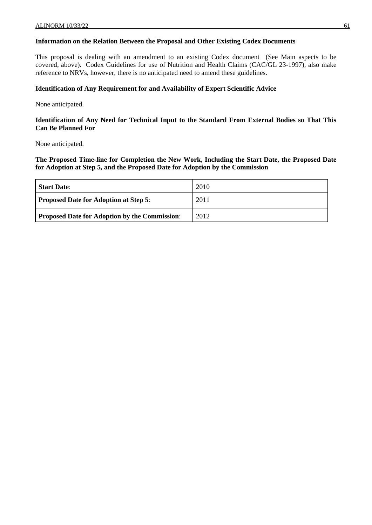### **Information on the Relation Between the Proposal and Other Existing Codex Documents**

This proposal is dealing with an amendment to an existing Codex document (See Main aspects to be covered, above). Codex Guidelines for use of Nutrition and Health Claims (CAC/GL 23-1997), also make reference to NRVs, however, there is no anticipated need to amend these guidelines.

### **Identification of Any Requirement for and Availability of Expert Scientific Advice**

None anticipated.

### **Identification of Any Need for Technical Input to the Standard From External Bodies so That This Can Be Planned For**

None anticipated.

**The Proposed Time-line for Completion the New Work, Including the Start Date, the Proposed Date for Adoption at Step 5, and the Proposed Date for Adoption by the Commission**

| <b>Start Date:</b>                                   | 2010 |
|------------------------------------------------------|------|
| <b>Proposed Date for Adoption at Step 5:</b>         | 2011 |
| <b>Proposed Date for Adoption by the Commission:</b> | 2012 |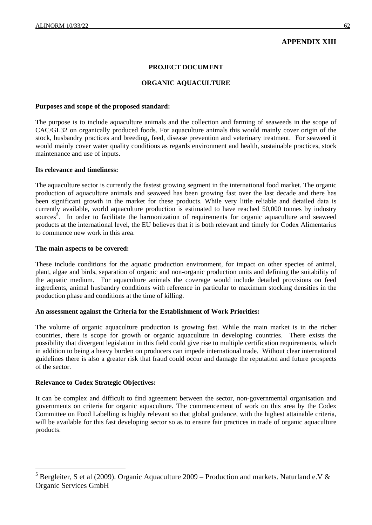### **APPENDIX XIII**

#### **PROJECT DOCUMENT**

### **ORGANIC AQUACULTURE**

#### **Purposes and scope of the proposed standard:**

The purpose is to include aquaculture animals and the collection and farming of seaweeds in the scope of CAC/GL32 on organically produced foods. For aquaculture animals this would mainly cover origin of the stock, husbandry practices and breeding, feed, disease prevention and veterinary treatment. For seaweed it would mainly cover water quality conditions as regards environment and health, sustainable practices, stock maintenance and use of inputs.

#### **Its relevance and timeliness:**

The aquaculture sector is currently the fastest growing segment in the international food market. The organic production of aquaculture animals and seaweed has been growing fast over the last decade and there has been significant growth in the market for these products. While very little reliable and detailed data is currently available, world aquaculture production is estimated to have reached 50,000 tonnes by industry sources<sup>[5](#page-66-0)</sup>. In order to facilitate the harmonization of requirements for organic aquaculture and seaweed products at the international level, the EU believes that it is both relevant and timely for Codex Alimentarius to commence new work in this area.

#### **The main aspects to be covered:**

These include conditions for the aquatic production environment, for impact on other species of animal, plant, algae and birds, separation of organic and non-organic production units and defining the suitability of the aquatic medium. For aquaculture animals the coverage would include detailed provisions on feed ingredients, animal husbandry conditions with reference in particular to maximum stocking densities in the production phase and conditions at the time of killing.

#### **An assessment against the Criteria for the Establishment of Work Priorities:**

The volume of organic aquaculture production is growing fast. While the main market is in the richer countries, there is scope for growth or organic aquaculture in developing countries. There exists the possibility that divergent legislation in this field could give rise to multiple certification requirements, which in addition to being a heavy burden on producers can impede international trade. Without clear international guidelines there is also a greater risk that fraud could occur and damage the reputation and future prospects of the sector.

### **Relevance to Codex Strategic Objectives:**

 $\overline{a}$ 

It can be complex and difficult to find agreement between the sector, non-governmental organisation and governments on criteria for organic aquaculture. The commencement of work on this area by the Codex Committee on Food Labelling is highly relevant so that global guidance, with the highest attainable criteria, will be available for this fast developing sector so as to ensure fair practices in trade of organic aquaculture products.

<span id="page-66-0"></span><sup>&</sup>lt;sup>5</sup> Bergleiter, S et al (2009). Organic Aquaculture 2009 – Production and markets. Naturland e.V & Organic Services GmbH